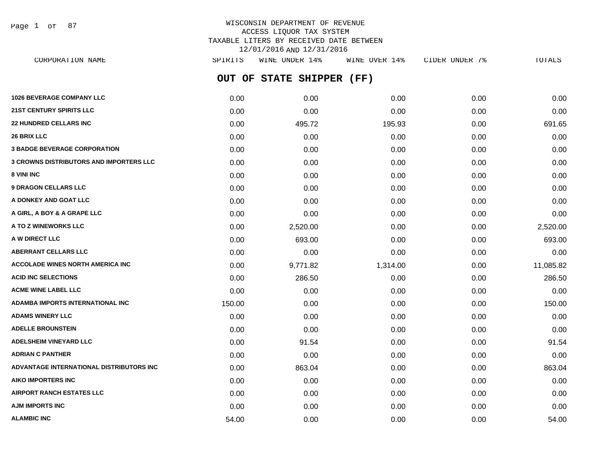Page 1 of 87

# WISCONSIN DEPARTMENT OF REVENUE ACCESS LIQUOR TAX SYSTEM TAXABLE LITERS BY RECEIVED DATE BETWEEN 12/01/2016 AND 12/31/2016

**OUT OF STATE SHIPPER (FF) 1026 BEVERAGE COMPANY LLC** 0.00 0.00 0.00 0.00 0.00 **21ST CENTURY SPIRITS LLC** 0.00 0.00 0.00 0.00 0.00 **22 HUNDRED CELLARS INC** 0.00 495.72 195.93 0.00 691.65 **26 BRIX LLC** 0.00 0.00 0.00 0.00 0.00 **3 BADGE BEVERAGE CORPORATION** 0.00 0.00 0.00 0.00 0.00 **3 CROWNS DISTRIBUTORS AND IMPORTERS LLC** 0.00 0.00 0.00 0.00 0.00 **8 VINI INC** 0.00 0.00 0.00 0.00 0.00 **9 DRAGON CELLARS LLC** 0.00 0.00 0.00 0.00 0.00 **A DONKEY AND GOAT LLC**  $\begin{array}{ccc} 0.00 & 0.00 & 0.00 & 0.00 & 0.00 & 0.00 \end{array}$ **A GIRL, A BOY & A GRAPE LLC** 0.00 0.00 0.00 0.00 0.00 **A TO Z WINEWORKS LLC** 0.00 2,520.00 0.00 0.00 2,520.00 **A W DIRECT LLC** 693.00 693.00 693.00 693.00 693.00 0.00 0.00 0.00 0.00 0.00 693.00 **ABERRANT CELLARS LLC** 0.00 0.00 0.00 0.00 0.00 **ACCOLADE WINES NORTH AMERICA INC** 0.00 9,771.82 1,314.00 0.00 11,085.82 **ACID INC SELECTIONS** 286.50 **0.00** 286.50 0.00 0.00 286.50 0.00 0.00 0.00 0.00 0.00 286.50 **ACME WINE LABEL LLC** 0.00 0.00 0.00 0.00 0.00 **ADAMBA IMPORTS INTERNATIONAL INC** 150.00 0.00 0.00 0.00 150.00 **ADAMS WINERY LLC** 0.00 0.00 0.00 0.00 0.00 **ADELLE BROUNSTEIN** 0.00 0.00 0.00 0.00 0.00 **ADELSHEIM VINEYARD LLC** 0.00 91.54 0.00 0.00 91.54 **ADRIAN C PANTHER** 0.00 0.00 0.00 0.00 0.00 **ADVANTAGE INTERNATIONAL DISTRIBUTORS INC** 0.00 863.04 0.00 0.00 863.04 **AIKO IMPORTERS INC** 0.00 0.00 0.00 0.00 0.00 **AIRPORT RANCH ESTATES LLC** 0.00 0.00 0.00 0.00 0.00 **AJM IMPORTS INC** 0.00 0.00 0.00 0.00 0.00 CORPORATION NAME SPIRITS WINE UNDER 14% WINE OVER 14% CIDER UNDER 7% TOTALS

**ALAMBIC INC** 64.00 **54.00 64.00 0.00 0.00 0.00 0.00 0.00 0.00 0.00 54.00**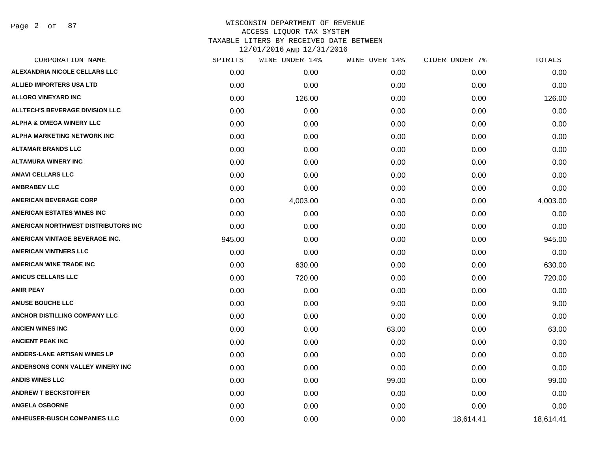Page 2 of 87

| CORPORATION NAME                       | SPIRITS | WINE UNDER 14% | WINE OVER 14% | CIDER UNDER 7% | <b>TOTALS</b> |
|----------------------------------------|---------|----------------|---------------|----------------|---------------|
| ALEXANDRIA NICOLE CELLARS LLC          | 0.00    | 0.00           | 0.00          | 0.00           | 0.00          |
| <b>ALLIED IMPORTERS USA LTD</b>        | 0.00    | 0.00           | 0.00          | 0.00           | 0.00          |
| <b>ALLORO VINEYARD INC</b>             | 0.00    | 126.00         | 0.00          | 0.00           | 126.00        |
| <b>ALLTECH'S BEVERAGE DIVISION LLC</b> | 0.00    | 0.00           | 0.00          | 0.00           | 0.00          |
| <b>ALPHA &amp; OMEGA WINERY LLC</b>    | 0.00    | 0.00           | 0.00          | 0.00           | 0.00          |
| ALPHA MARKETING NETWORK INC            | 0.00    | 0.00           | 0.00          | 0.00           | 0.00          |
| <b>ALTAMAR BRANDS LLC</b>              | 0.00    | 0.00           | 0.00          | 0.00           | 0.00          |
| <b>ALTAMURA WINERY INC</b>             | 0.00    | 0.00           | 0.00          | 0.00           | 0.00          |
| <b>AMAVI CELLARS LLC</b>               | 0.00    | 0.00           | 0.00          | 0.00           | 0.00          |
| <b>AMBRABEV LLC</b>                    | 0.00    | 0.00           | 0.00          | 0.00           | 0.00          |
| <b>AMERICAN BEVERAGE CORP</b>          | 0.00    | 4,003.00       | 0.00          | 0.00           | 4,003.00      |
| <b>AMERICAN ESTATES WINES INC</b>      | 0.00    | 0.00           | 0.00          | 0.00           | 0.00          |
| AMERICAN NORTHWEST DISTRIBUTORS INC    | 0.00    | 0.00           | 0.00          | 0.00           | 0.00          |
| AMERICAN VINTAGE BEVERAGE INC.         | 945.00  | 0.00           | 0.00          | 0.00           | 945.00        |
| <b>AMERICAN VINTNERS LLC</b>           | 0.00    | 0.00           | 0.00          | 0.00           | 0.00          |
| <b>AMERICAN WINE TRADE INC</b>         | 0.00    | 630.00         | 0.00          | 0.00           | 630.00        |
| <b>AMICUS CELLARS LLC</b>              | 0.00    | 720.00         | 0.00          | 0.00           | 720.00        |
| <b>AMIR PEAY</b>                       | 0.00    | 0.00           | 0.00          | 0.00           | 0.00          |
| <b>AMUSE BOUCHE LLC</b>                | 0.00    | 0.00           | 9.00          | 0.00           | 9.00          |
| ANCHOR DISTILLING COMPANY LLC          | 0.00    | 0.00           | 0.00          | 0.00           | 0.00          |
| <b>ANCIEN WINES INC</b>                | 0.00    | 0.00           | 63.00         | 0.00           | 63.00         |
| <b>ANCIENT PEAK INC</b>                | 0.00    | 0.00           | 0.00          | 0.00           | 0.00          |
| <b>ANDERS-LANE ARTISAN WINES LP</b>    | 0.00    | 0.00           | 0.00          | 0.00           | 0.00          |
| ANDERSONS CONN VALLEY WINERY INC       | 0.00    | 0.00           | 0.00          | 0.00           | 0.00          |
| <b>ANDIS WINES LLC</b>                 | 0.00    | 0.00           | 99.00         | 0.00           | 99.00         |
| <b>ANDREW T BECKSTOFFER</b>            | 0.00    | 0.00           | 0.00          | 0.00           | 0.00          |
| <b>ANGELA OSBORNE</b>                  | 0.00    | 0.00           | 0.00          | 0.00           | 0.00          |
| <b>ANHEUSER-BUSCH COMPANIES LLC</b>    | 0.00    | 0.00           | 0.00          | 18,614.41      | 18,614.41     |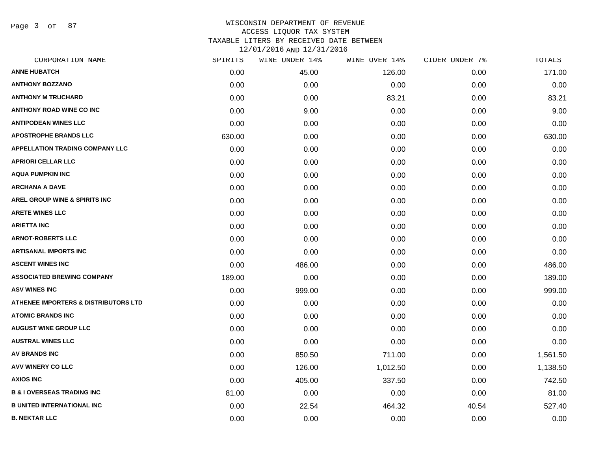Page 3 of 87

| CORPORATION NAME                                | SPIRITS | WINE UNDER 14% | WINE OVER 14% | CIDER UNDER 7% | TOTALS   |
|-------------------------------------------------|---------|----------------|---------------|----------------|----------|
| <b>ANNE HUBATCH</b>                             | 0.00    | 45.00          | 126.00        | 0.00           | 171.00   |
| <b>ANTHONY BOZZANO</b>                          | 0.00    | 0.00           | 0.00          | 0.00           | 0.00     |
| <b>ANTHONY M TRUCHARD</b>                       | 0.00    | 0.00           | 83.21         | 0.00           | 83.21    |
| <b>ANTHONY ROAD WINE CO INC</b>                 | 0.00    | 9.00           | 0.00          | 0.00           | 9.00     |
| <b>ANTIPODEAN WINES LLC</b>                     | 0.00    | 0.00           | 0.00          | 0.00           | 0.00     |
| <b>APOSTROPHE BRANDS LLC</b>                    | 630.00  | 0.00           | 0.00          | 0.00           | 630.00   |
| <b>APPELLATION TRADING COMPANY LLC</b>          | 0.00    | 0.00           | 0.00          | 0.00           | 0.00     |
| <b>APRIORI CELLAR LLC</b>                       | 0.00    | 0.00           | 0.00          | 0.00           | 0.00     |
| <b>AQUA PUMPKIN INC</b>                         | 0.00    | 0.00           | 0.00          | 0.00           | 0.00     |
| <b>ARCHANA A DAVE</b>                           | 0.00    | 0.00           | 0.00          | 0.00           | 0.00     |
| AREL GROUP WINE & SPIRITS INC                   | 0.00    | 0.00           | 0.00          | 0.00           | 0.00     |
| <b>ARETE WINES LLC</b>                          | 0.00    | 0.00           | 0.00          | 0.00           | 0.00     |
| <b>ARIETTA INC</b>                              | 0.00    | 0.00           | 0.00          | 0.00           | 0.00     |
| <b>ARNOT-ROBERTS LLC</b>                        | 0.00    | 0.00           | 0.00          | 0.00           | 0.00     |
| <b>ARTISANAL IMPORTS INC</b>                    | 0.00    | 0.00           | 0.00          | 0.00           | 0.00     |
| <b>ASCENT WINES INC</b>                         | 0.00    | 486.00         | 0.00          | 0.00           | 486.00   |
| <b>ASSOCIATED BREWING COMPANY</b>               | 189.00  | 0.00           | 0.00          | 0.00           | 189.00   |
| <b>ASV WINES INC</b>                            | 0.00    | 999.00         | 0.00          | 0.00           | 999.00   |
| <b>ATHENEE IMPORTERS &amp; DISTRIBUTORS LTD</b> | 0.00    | 0.00           | 0.00          | 0.00           | 0.00     |
| <b>ATOMIC BRANDS INC</b>                        | 0.00    | 0.00           | 0.00          | 0.00           | 0.00     |
| <b>AUGUST WINE GROUP LLC</b>                    | 0.00    | 0.00           | 0.00          | 0.00           | 0.00     |
| <b>AUSTRAL WINES LLC</b>                        | 0.00    | 0.00           | 0.00          | 0.00           | 0.00     |
| <b>AV BRANDS INC</b>                            | 0.00    | 850.50         | 711.00        | 0.00           | 1,561.50 |
| AVV WINERY CO LLC                               | 0.00    | 126.00         | 1,012.50      | 0.00           | 1,138.50 |
| <b>AXIOS INC</b>                                | 0.00    | 405.00         | 337.50        | 0.00           | 742.50   |
| <b>B &amp; I OVERSEAS TRADING INC</b>           | 81.00   | 0.00           | 0.00          | 0.00           | 81.00    |
| <b>B UNITED INTERNATIONAL INC</b>               | 0.00    | 22.54          | 464.32        | 40.54          | 527.40   |
| <b>B. NEKTAR LLC</b>                            | 0.00    | 0.00           | 0.00          | 0.00           | 0.00     |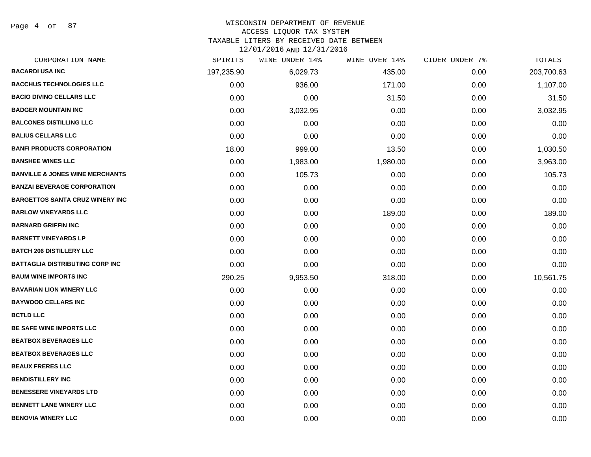Page 4 of 87

#### WISCONSIN DEPARTMENT OF REVENUE

#### ACCESS LIQUOR TAX SYSTEM

TAXABLE LITERS BY RECEIVED DATE BETWEEN

| CORPORATION NAME                           | SPIRITS    | WINE UNDER 14% | WINE OVER 14% | CIDER UNDER 7% | TOTALS     |
|--------------------------------------------|------------|----------------|---------------|----------------|------------|
| <b>BACARDI USA INC</b>                     | 197,235.90 | 6,029.73       | 435.00        | 0.00           | 203,700.63 |
| <b>BACCHUS TECHNOLOGIES LLC</b>            | 0.00       | 936.00         | 171.00        | 0.00           | 1,107.00   |
| <b>BACIO DIVINO CELLARS LLC</b>            | 0.00       | 0.00           | 31.50         | 0.00           | 31.50      |
| <b>BADGER MOUNTAIN INC</b>                 | 0.00       | 3,032.95       | 0.00          | 0.00           | 3,032.95   |
| <b>BALCONES DISTILLING LLC</b>             | 0.00       | 0.00           | 0.00          | 0.00           | 0.00       |
| <b>BALIUS CELLARS LLC</b>                  | 0.00       | 0.00           | 0.00          | 0.00           | 0.00       |
| <b>BANFI PRODUCTS CORPORATION</b>          | 18.00      | 999.00         | 13.50         | 0.00           | 1,030.50   |
| <b>BANSHEE WINES LLC</b>                   | 0.00       | 1,983.00       | 1,980.00      | 0.00           | 3,963.00   |
| <b>BANVILLE &amp; JONES WINE MERCHANTS</b> | 0.00       | 105.73         | 0.00          | 0.00           | 105.73     |
| <b>BANZAI BEVERAGE CORPORATION</b>         | 0.00       | 0.00           | 0.00          | 0.00           | 0.00       |
| <b>BARGETTOS SANTA CRUZ WINERY INC</b>     | 0.00       | 0.00           | 0.00          | 0.00           | 0.00       |
| <b>BARLOW VINEYARDS LLC</b>                | 0.00       | 0.00           | 189.00        | 0.00           | 189.00     |
| <b>BARNARD GRIFFIN INC</b>                 | 0.00       | 0.00           | 0.00          | 0.00           | 0.00       |
| <b>BARNETT VINEYARDS LP</b>                | 0.00       | 0.00           | 0.00          | 0.00           | 0.00       |
| <b>BATCH 206 DISTILLERY LLC</b>            | 0.00       | 0.00           | 0.00          | 0.00           | 0.00       |
| <b>BATTAGLIA DISTRIBUTING CORP INC</b>     | 0.00       | 0.00           | 0.00          | 0.00           | 0.00       |
| <b>BAUM WINE IMPORTS INC</b>               | 290.25     | 9,953.50       | 318.00        | 0.00           | 10,561.75  |
| <b>BAVARIAN LION WINERY LLC</b>            | 0.00       | 0.00           | 0.00          | 0.00           | 0.00       |
| <b>BAYWOOD CELLARS INC</b>                 | 0.00       | 0.00           | 0.00          | 0.00           | 0.00       |
| <b>BCTLD LLC</b>                           | 0.00       | 0.00           | 0.00          | 0.00           | 0.00       |
| BE SAFE WINE IMPORTS LLC                   | 0.00       | 0.00           | 0.00          | 0.00           | 0.00       |
| <b>BEATBOX BEVERAGES LLC</b>               | 0.00       | 0.00           | 0.00          | 0.00           | 0.00       |
| <b>BEATBOX BEVERAGES LLC</b>               | 0.00       | 0.00           | 0.00          | 0.00           | 0.00       |
| <b>BEAUX FRERES LLC</b>                    | 0.00       | 0.00           | 0.00          | 0.00           | 0.00       |
| <b>BENDISTILLERY INC</b>                   | 0.00       | 0.00           | 0.00          | 0.00           | 0.00       |
| <b>BENESSERE VINEYARDS LTD</b>             | 0.00       | 0.00           | 0.00          | 0.00           | 0.00       |
| <b>BENNETT LANE WINERY LLC</b>             | 0.00       | 0.00           | 0.00          | 0.00           | 0.00       |
| <b>BENOVIA WINERY LLC</b>                  | 0.00       | 0.00           | 0.00          | 0.00           | 0.00       |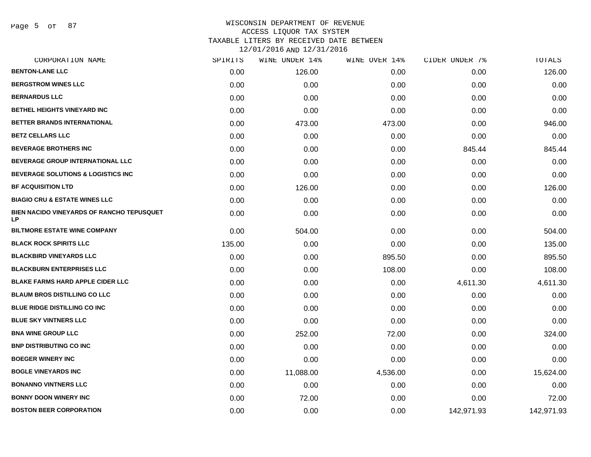Page 5 of 87

| SPIRITS | WINE UNDER 14% | WINE OVER 14% | CIDER UNDER 7% | TOTALS     |
|---------|----------------|---------------|----------------|------------|
| 0.00    | 126.00         | 0.00          | 0.00           | 126.00     |
| 0.00    | 0.00           | 0.00          | 0.00           | 0.00       |
| 0.00    | 0.00           | 0.00          | 0.00           | 0.00       |
| 0.00    | 0.00           | 0.00          | 0.00           | 0.00       |
| 0.00    | 473.00         | 473.00        | 0.00           | 946.00     |
| 0.00    | 0.00           | 0.00          | 0.00           | 0.00       |
| 0.00    | 0.00           | 0.00          | 845.44         | 845.44     |
| 0.00    | 0.00           | 0.00          | 0.00           | 0.00       |
| 0.00    | 0.00           | 0.00          | 0.00           | 0.00       |
| 0.00    | 126.00         | 0.00          | 0.00           | 126.00     |
| 0.00    | 0.00           | 0.00          | 0.00           | 0.00       |
| 0.00    | 0.00           | 0.00          | 0.00           | 0.00       |
| 0.00    | 504.00         | 0.00          | 0.00           | 504.00     |
| 135.00  | 0.00           | 0.00          | 0.00           | 135.00     |
| 0.00    | 0.00           | 895.50        | 0.00           | 895.50     |
| 0.00    | 0.00           | 108.00        | 0.00           | 108.00     |
| 0.00    | 0.00           | 0.00          | 4,611.30       | 4,611.30   |
| 0.00    | 0.00           | 0.00          | 0.00           | 0.00       |
| 0.00    | 0.00           | 0.00          | 0.00           | 0.00       |
| 0.00    | 0.00           | 0.00          | 0.00           | 0.00       |
| 0.00    | 252.00         | 72.00         | 0.00           | 324.00     |
| 0.00    | 0.00           | 0.00          | 0.00           | 0.00       |
| 0.00    | 0.00           | 0.00          | 0.00           | 0.00       |
| 0.00    | 11,088.00      | 4,536.00      | 0.00           | 15,624.00  |
| 0.00    | 0.00           | 0.00          | 0.00           | 0.00       |
| 0.00    | 72.00          | 0.00          | 0.00           | 72.00      |
| 0.00    | 0.00           | 0.00          | 142,971.93     | 142,971.93 |
|         |                |               |                |            |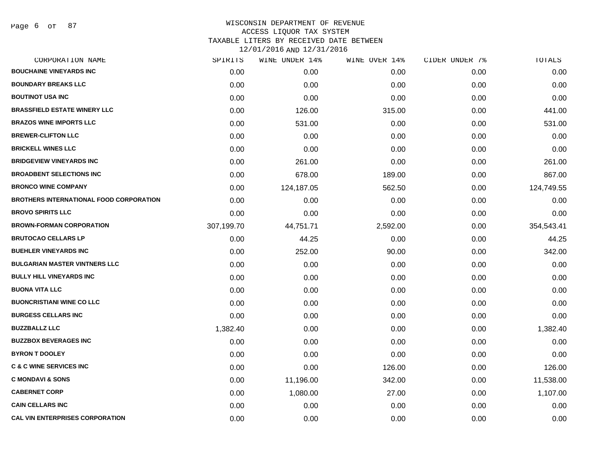| CORPORATION NAME                               | SPIRITS    | WINE UNDER 14% | WINE OVER 14% | CIDER UNDER 7% | TOTALS     |
|------------------------------------------------|------------|----------------|---------------|----------------|------------|
| <b>BOUCHAINE VINEYARDS INC</b>                 | 0.00       | 0.00           | 0.00          | 0.00           | 0.00       |
| <b>BOUNDARY BREAKS LLC</b>                     | 0.00       | 0.00           | 0.00          | 0.00           | 0.00       |
| <b>BOUTINOT USA INC</b>                        | 0.00       | 0.00           | 0.00          | 0.00           | 0.00       |
| <b>BRASSFIELD ESTATE WINERY LLC</b>            | 0.00       | 126.00         | 315.00        | 0.00           | 441.00     |
| <b>BRAZOS WINE IMPORTS LLC</b>                 | 0.00       | 531.00         | 0.00          | 0.00           | 531.00     |
| <b>BREWER-CLIFTON LLC</b>                      | 0.00       | 0.00           | 0.00          | 0.00           | 0.00       |
| <b>BRICKELL WINES LLC</b>                      | 0.00       | 0.00           | 0.00          | 0.00           | 0.00       |
| <b>BRIDGEVIEW VINEYARDS INC</b>                | 0.00       | 261.00         | 0.00          | 0.00           | 261.00     |
| <b>BROADBENT SELECTIONS INC</b>                | 0.00       | 678.00         | 189.00        | 0.00           | 867.00     |
| <b>BRONCO WINE COMPANY</b>                     | 0.00       | 124,187.05     | 562.50        | 0.00           | 124,749.55 |
| <b>BROTHERS INTERNATIONAL FOOD CORPORATION</b> | 0.00       | 0.00           | 0.00          | 0.00           | 0.00       |
| <b>BROVO SPIRITS LLC</b>                       | 0.00       | 0.00           | 0.00          | 0.00           | 0.00       |
| <b>BROWN-FORMAN CORPORATION</b>                | 307,199.70 | 44,751.71      | 2,592.00      | 0.00           | 354,543.41 |
| <b>BRUTOCAO CELLARS LP</b>                     | 0.00       | 44.25          | 0.00          | 0.00           | 44.25      |
| <b>BUEHLER VINEYARDS INC</b>                   | 0.00       | 252.00         | 90.00         | 0.00           | 342.00     |
| <b>BULGARIAN MASTER VINTNERS LLC</b>           | 0.00       | 0.00           | 0.00          | 0.00           | 0.00       |
| <b>BULLY HILL VINEYARDS INC</b>                | 0.00       | 0.00           | 0.00          | 0.00           | 0.00       |
| <b>BUONA VITA LLC</b>                          | 0.00       | 0.00           | 0.00          | 0.00           | 0.00       |
| <b>BUONCRISTIANI WINE CO LLC</b>               | 0.00       | 0.00           | 0.00          | 0.00           | 0.00       |
| <b>BURGESS CELLARS INC</b>                     | 0.00       | 0.00           | 0.00          | 0.00           | 0.00       |
| <b>BUZZBALLZ LLC</b>                           | 1,382.40   | 0.00           | 0.00          | 0.00           | 1,382.40   |
| <b>BUZZBOX BEVERAGES INC</b>                   | 0.00       | 0.00           | 0.00          | 0.00           | 0.00       |
| <b>BYRON T DOOLEY</b>                          | 0.00       | 0.00           | 0.00          | 0.00           | 0.00       |
| <b>C &amp; C WINE SERVICES INC</b>             | 0.00       | 0.00           | 126.00        | 0.00           | 126.00     |
| <b>C MONDAVI &amp; SONS</b>                    | 0.00       | 11,196.00      | 342.00        | 0.00           | 11,538.00  |
| <b>CABERNET CORP</b>                           | 0.00       | 1,080.00       | 27.00         | 0.00           | 1,107.00   |
| <b>CAIN CELLARS INC</b>                        | 0.00       | 0.00           | 0.00          | 0.00           | 0.00       |
| <b>CAL VIN ENTERPRISES CORPORATION</b>         | 0.00       | 0.00           | 0.00          | 0.00           | 0.00       |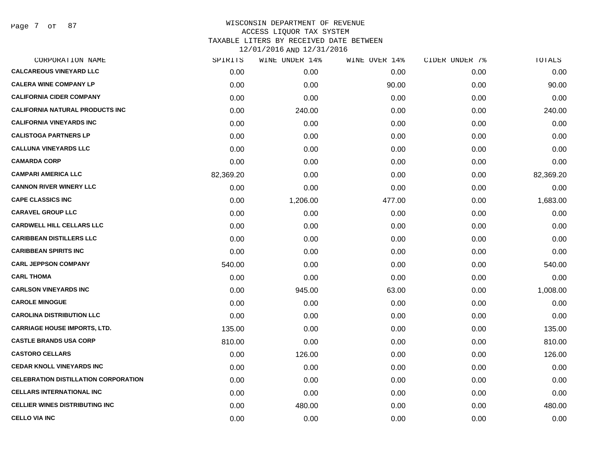Page 7 of 87

| SPIRITS   | WINE UNDER 14% |        |               | TOTALS         |
|-----------|----------------|--------|---------------|----------------|
| 0.00      | 0.00           | 0.00   | 0.00          | 0.00           |
| 0.00      | 0.00           | 90.00  | 0.00          | 90.00          |
| 0.00      | 0.00           | 0.00   | 0.00          | 0.00           |
| 0.00      | 240.00         | 0.00   | 0.00          | 240.00         |
| 0.00      | 0.00           | 0.00   | 0.00          | 0.00           |
| 0.00      | 0.00           | 0.00   | 0.00          | 0.00           |
| 0.00      | 0.00           | 0.00   | 0.00          | 0.00           |
| 0.00      | 0.00           | 0.00   | 0.00          | 0.00           |
| 82,369.20 | 0.00           | 0.00   | 0.00          | 82,369.20      |
| 0.00      | 0.00           | 0.00   | 0.00          | 0.00           |
| 0.00      | 1,206.00       | 477.00 | 0.00          | 1,683.00       |
| 0.00      | 0.00           | 0.00   | 0.00          | 0.00           |
| 0.00      | 0.00           | 0.00   | 0.00          | 0.00           |
| 0.00      | 0.00           | 0.00   | 0.00          | 0.00           |
| 0.00      | 0.00           | 0.00   | 0.00          | 0.00           |
| 540.00    | 0.00           | 0.00   | 0.00          | 540.00         |
| 0.00      | 0.00           | 0.00   | 0.00          | 0.00           |
| 0.00      | 945.00         | 63.00  | 0.00          | 1,008.00       |
| 0.00      | 0.00           | 0.00   | 0.00          | 0.00           |
| 0.00      | 0.00           | 0.00   | 0.00          | 0.00           |
| 135.00    | 0.00           | 0.00   | 0.00          | 135.00         |
| 810.00    | 0.00           | 0.00   | 0.00          | 810.00         |
| 0.00      | 126.00         | 0.00   | 0.00          | 126.00         |
| 0.00      | 0.00           | 0.00   | 0.00          | 0.00           |
| 0.00      | 0.00           | 0.00   | 0.00          | 0.00           |
| 0.00      | 0.00           | 0.00   | 0.00          | 0.00           |
| 0.00      | 480.00         | 0.00   | 0.00          | 480.00         |
| 0.00      | 0.00           | 0.00   | 0.00          | 0.00           |
|           |                |        | WINE OVER 14% | CIDER UNDER 7% |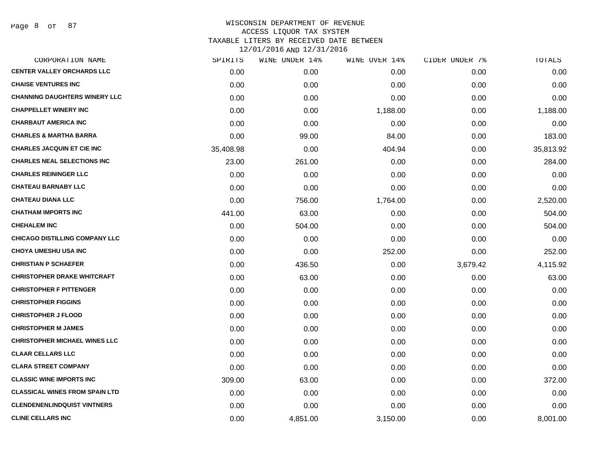Page 8 of 87

| <b>CENTER VALLEY ORCHARDS LLC</b>     | 0.00      |          |          |          |           |
|---------------------------------------|-----------|----------|----------|----------|-----------|
|                                       |           | 0.00     | 0.00     | 0.00     | 0.00      |
| <b>CHAISE VENTURES INC</b>            | 0.00      | 0.00     | 0.00     | 0.00     | 0.00      |
| <b>CHANNING DAUGHTERS WINERY LLC</b>  | 0.00      | 0.00     | 0.00     | 0.00     | 0.00      |
| <b>CHAPPELLET WINERY INC</b>          | 0.00      | 0.00     | 1,188.00 | 0.00     | 1,188.00  |
| <b>CHARBAUT AMERICA INC</b>           | 0.00      | 0.00     | 0.00     | 0.00     | 0.00      |
| <b>CHARLES &amp; MARTHA BARRA</b>     | 0.00      | 99.00    | 84.00    | 0.00     | 183.00    |
| <b>CHARLES JACQUIN ET CIE INC</b>     | 35,408.98 | 0.00     | 404.94   | 0.00     | 35,813.92 |
| <b>CHARLES NEAL SELECTIONS INC</b>    | 23.00     | 261.00   | 0.00     | 0.00     | 284.00    |
| <b>CHARLES REININGER LLC</b>          | 0.00      | 0.00     | 0.00     | 0.00     | 0.00      |
| <b>CHATEAU BARNABY LLC</b>            | 0.00      | 0.00     | 0.00     | 0.00     | 0.00      |
| <b>CHATEAU DIANA LLC</b>              | 0.00      | 756.00   | 1,764.00 | 0.00     | 2,520.00  |
| <b>CHATHAM IMPORTS INC</b>            | 441.00    | 63.00    | 0.00     | 0.00     | 504.00    |
| <b>CHEHALEM INC</b>                   | 0.00      | 504.00   | 0.00     | 0.00     | 504.00    |
| <b>CHICAGO DISTILLING COMPANY LLC</b> | 0.00      | 0.00     | 0.00     | 0.00     | 0.00      |
| <b>CHOYA UMESHU USA INC</b>           | 0.00      | 0.00     | 252.00   | 0.00     | 252.00    |
| <b>CHRISTIAN P SCHAEFER</b>           | 0.00      | 436.50   | 0.00     | 3,679.42 | 4,115.92  |
| <b>CHRISTOPHER DRAKE WHITCRAFT</b>    | 0.00      | 63.00    | 0.00     | 0.00     | 63.00     |
| <b>CHRISTOPHER F PITTENGER</b>        | 0.00      | 0.00     | 0.00     | 0.00     | 0.00      |
| <b>CHRISTOPHER FIGGINS</b>            | 0.00      | 0.00     | 0.00     | 0.00     | 0.00      |
| <b>CHRISTOPHER J FLOOD</b>            | 0.00      | 0.00     | 0.00     | 0.00     | 0.00      |
| <b>CHRISTOPHER M JAMES</b>            | 0.00      | 0.00     | 0.00     | 0.00     | 0.00      |
| <b>CHRISTOPHER MICHAEL WINES LLC</b>  | 0.00      | 0.00     | 0.00     | 0.00     | 0.00      |
| <b>CLAAR CELLARS LLC</b>              | 0.00      | 0.00     | 0.00     | 0.00     | 0.00      |
| <b>CLARA STREET COMPANY</b>           | 0.00      | 0.00     | 0.00     | 0.00     | 0.00      |
| <b>CLASSIC WINE IMPORTS INC</b>       | 309.00    | 63.00    | 0.00     | 0.00     | 372.00    |
| <b>CLASSICAL WINES FROM SPAIN LTD</b> | 0.00      | 0.00     | 0.00     | 0.00     | 0.00      |
| <b>CLENDENENLINDQUIST VINTNERS</b>    | 0.00      | 0.00     | 0.00     | 0.00     | 0.00      |
| <b>CLINE CELLARS INC</b>              | 0.00      | 4,851.00 | 3,150.00 | 0.00     | 8,001.00  |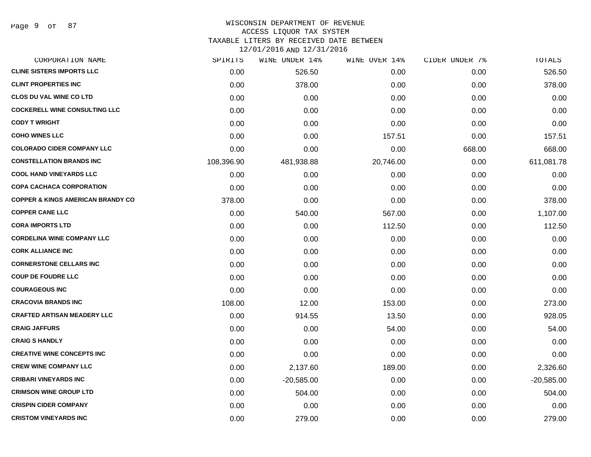#### WISCONSIN DEPARTMENT OF REVENUE ACCESS LIQUOR TAX SYSTEM

TAXABLE LITERS BY RECEIVED DATE BETWEEN

| CORPORATION NAME                             | SPIRITS    | WINE UNDER 14% | WINE OVER 14% | CIDER UNDER 7% | TOTALS       |
|----------------------------------------------|------------|----------------|---------------|----------------|--------------|
| <b>CLINE SISTERS IMPORTS LLC</b>             | 0.00       | 526.50         | 0.00          | 0.00           | 526.50       |
| <b>CLINT PROPERTIES INC</b>                  | 0.00       | 378.00         | 0.00          | 0.00           | 378.00       |
| <b>CLOS DU VAL WINE CO LTD</b>               | 0.00       | 0.00           | 0.00          | 0.00           | 0.00         |
| <b>COCKERELL WINE CONSULTING LLC</b>         | 0.00       | 0.00           | 0.00          | 0.00           | 0.00         |
| <b>CODY T WRIGHT</b>                         | 0.00       | 0.00           | 0.00          | 0.00           | 0.00         |
| <b>COHO WINES LLC</b>                        | 0.00       | 0.00           | 157.51        | 0.00           | 157.51       |
| <b>COLORADO CIDER COMPANY LLC</b>            | 0.00       | 0.00           | 0.00          | 668.00         | 668.00       |
| <b>CONSTELLATION BRANDS INC</b>              | 108,396.90 | 481,938.88     | 20,746.00     | 0.00           | 611,081.78   |
| <b>COOL HAND VINEYARDS LLC</b>               | 0.00       | 0.00           | 0.00          | 0.00           | 0.00         |
| <b>COPA CACHACA CORPORATION</b>              | 0.00       | 0.00           | 0.00          | 0.00           | 0.00         |
| <b>COPPER &amp; KINGS AMERICAN BRANDY CO</b> | 378.00     | 0.00           | 0.00          | 0.00           | 378.00       |
| <b>COPPER CANE LLC</b>                       | 0.00       | 540.00         | 567.00        | 0.00           | 1,107.00     |
| <b>CORA IMPORTS LTD</b>                      | 0.00       | 0.00           | 112.50        | 0.00           | 112.50       |
| <b>CORDELINA WINE COMPANY LLC</b>            | 0.00       | 0.00           | 0.00          | 0.00           | 0.00         |
| <b>CORK ALLIANCE INC</b>                     | 0.00       | 0.00           | 0.00          | 0.00           | 0.00         |
| <b>CORNERSTONE CELLARS INC</b>               | 0.00       | 0.00           | 0.00          | 0.00           | 0.00         |
| <b>COUP DE FOUDRE LLC</b>                    | 0.00       | 0.00           | 0.00          | 0.00           | 0.00         |
| <b>COURAGEOUS INC</b>                        | 0.00       | 0.00           | 0.00          | 0.00           | 0.00         |
| <b>CRACOVIA BRANDS INC</b>                   | 108.00     | 12.00          | 153.00        | 0.00           | 273.00       |
| <b>CRAFTED ARTISAN MEADERY LLC</b>           | 0.00       | 914.55         | 13.50         | 0.00           | 928.05       |
| <b>CRAIG JAFFURS</b>                         | 0.00       | 0.00           | 54.00         | 0.00           | 54.00        |
| <b>CRAIG S HANDLY</b>                        | 0.00       | 0.00           | 0.00          | 0.00           | 0.00         |
| <b>CREATIVE WINE CONCEPTS INC</b>            | 0.00       | 0.00           | 0.00          | 0.00           | 0.00         |
| <b>CREW WINE COMPANY LLC</b>                 | 0.00       | 2,137.60       | 189.00        | 0.00           | 2,326.60     |
| <b>CRIBARI VINEYARDS INC</b>                 | 0.00       | $-20,585.00$   | 0.00          | 0.00           | $-20,585.00$ |
| <b>CRIMSON WINE GROUP LTD</b>                | 0.00       | 504.00         | 0.00          | 0.00           | 504.00       |
| <b>CRISPIN CIDER COMPANY</b>                 | 0.00       | 0.00           | 0.00          | 0.00           | 0.00         |
| <b>CRISTOM VINEYARDS INC</b>                 | 0.00       | 279.00         | 0.00          | 0.00           | 279.00       |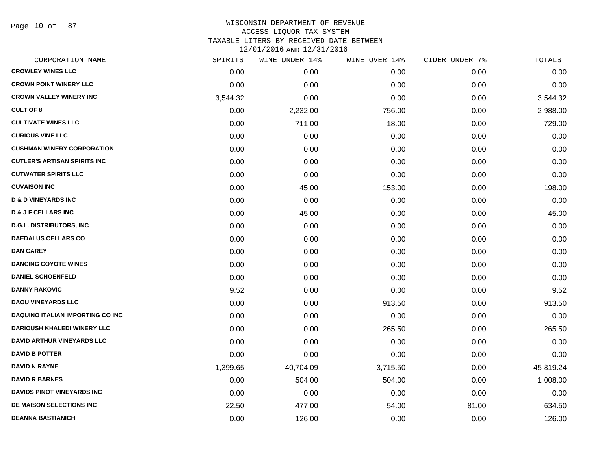Page 10 of 87

| CORPORATION NAME                        | SPIRITS  | WINE UNDER 14% | WINE OVER 14% | CIDER UNDER 7% | TOTALS    |
|-----------------------------------------|----------|----------------|---------------|----------------|-----------|
| <b>CROWLEY WINES LLC</b>                | 0.00     | 0.00           | 0.00          | 0.00           | 0.00      |
| <b>CROWN POINT WINERY LLC</b>           | 0.00     | 0.00           | 0.00          | 0.00           | 0.00      |
| <b>CROWN VALLEY WINERY INC</b>          | 3,544.32 | 0.00           | 0.00          | 0.00           | 3,544.32  |
| <b>CULT OF 8</b>                        | 0.00     | 2,232.00       | 756.00        | 0.00           | 2,988.00  |
| <b>CULTIVATE WINES LLC</b>              | 0.00     | 711.00         | 18.00         | 0.00           | 729.00    |
| <b>CURIOUS VINE LLC</b>                 | 0.00     | 0.00           | 0.00          | 0.00           | 0.00      |
| <b>CUSHMAN WINERY CORPORATION</b>       | 0.00     | 0.00           | 0.00          | 0.00           | 0.00      |
| <b>CUTLER'S ARTISAN SPIRITS INC</b>     | 0.00     | 0.00           | 0.00          | 0.00           | 0.00      |
| <b>CUTWATER SPIRITS LLC</b>             | 0.00     | 0.00           | 0.00          | 0.00           | 0.00      |
| <b>CUVAISON INC</b>                     | 0.00     | 45.00          | 153.00        | 0.00           | 198.00    |
| <b>D &amp; D VINEYARDS INC</b>          | 0.00     | 0.00           | 0.00          | 0.00           | 0.00      |
| <b>D &amp; J F CELLARS INC</b>          | 0.00     | 45.00          | 0.00          | 0.00           | 45.00     |
| <b>D.G.L. DISTRIBUTORS, INC</b>         | 0.00     | 0.00           | 0.00          | 0.00           | 0.00      |
| <b>DAEDALUS CELLARS CO</b>              | 0.00     | 0.00           | 0.00          | 0.00           | 0.00      |
| <b>DAN CAREY</b>                        | 0.00     | 0.00           | 0.00          | 0.00           | 0.00      |
| <b>DANCING COYOTE WINES</b>             | 0.00     | 0.00           | 0.00          | 0.00           | 0.00      |
| <b>DANIEL SCHOENFELD</b>                | 0.00     | 0.00           | 0.00          | 0.00           | 0.00      |
| <b>DANNY RAKOVIC</b>                    | 9.52     | 0.00           | 0.00          | 0.00           | 9.52      |
| <b>DAOU VINEYARDS LLC</b>               | 0.00     | 0.00           | 913.50        | 0.00           | 913.50    |
| <b>DAQUINO ITALIAN IMPORTING CO INC</b> | 0.00     | 0.00           | 0.00          | 0.00           | 0.00      |
| <b>DARIOUSH KHALEDI WINERY LLC</b>      | 0.00     | 0.00           | 265.50        | 0.00           | 265.50    |
| <b>DAVID ARTHUR VINEYARDS LLC</b>       | 0.00     | 0.00           | 0.00          | 0.00           | 0.00      |
| <b>DAVID B POTTER</b>                   | 0.00     | 0.00           | 0.00          | 0.00           | 0.00      |
| <b>DAVID N RAYNE</b>                    | 1,399.65 | 40,704.09      | 3,715.50      | 0.00           | 45,819.24 |
| <b>DAVID R BARNES</b>                   | 0.00     | 504.00         | 504.00        | 0.00           | 1,008.00  |
| DAVIDS PINOT VINEYARDS INC              | 0.00     | 0.00           | 0.00          | 0.00           | 0.00      |
| DE MAISON SELECTIONS INC                | 22.50    | 477.00         | 54.00         | 81.00          | 634.50    |
| <b>DEANNA BASTIANICH</b>                | 0.00     | 126.00         | 0.00          | 0.00           | 126.00    |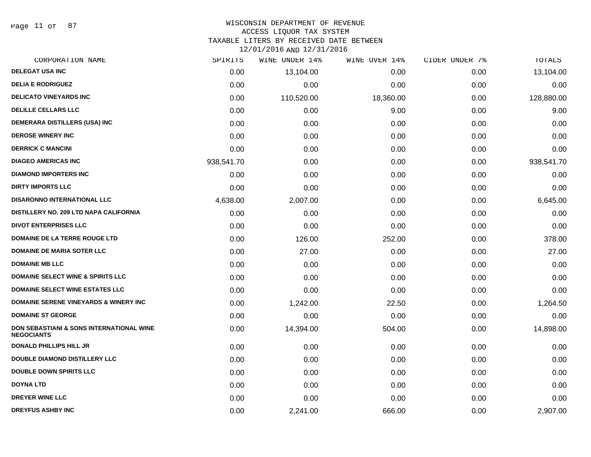Page 11 of 87

#### WISCONSIN DEPARTMENT OF REVENUE ACCESS LIQUOR TAX SYSTEM

TAXABLE LITERS BY RECEIVED DATE BETWEEN

| CORPORATION NAME                                                         | SPIRITS    | WINE UNDER 14% | WINE OVER 14% | CIDER UNDER 7% | <b>TOTALS</b> |
|--------------------------------------------------------------------------|------------|----------------|---------------|----------------|---------------|
| <b>DELEGAT USA INC</b>                                                   | 0.00       | 13,104.00      | 0.00          | 0.00           | 13,104.00     |
| <b>DELIA E RODRIGUEZ</b>                                                 | 0.00       | 0.00           | 0.00          | 0.00           | 0.00          |
| <b>DELICATO VINEYARDS INC</b>                                            | 0.00       | 110,520.00     | 18,360.00     | 0.00           | 128,880.00    |
| <b>DELILLE CELLARS LLC</b>                                               | 0.00       | 0.00           | 9.00          | 0.00           | 9.00          |
| DEMERARA DISTILLERS (USA) INC                                            | 0.00       | 0.00           | 0.00          | 0.00           | 0.00          |
| <b>DEROSE WINERY INC</b>                                                 | 0.00       | 0.00           | 0.00          | 0.00           | 0.00          |
| <b>DERRICK C MANCINI</b>                                                 | 0.00       | 0.00           | 0.00          | 0.00           | 0.00          |
| <b>DIAGEO AMERICAS INC</b>                                               | 938,541.70 | 0.00           | 0.00          | 0.00           | 938,541.70    |
| <b>DIAMOND IMPORTERS INC</b>                                             | 0.00       | 0.00           | 0.00          | 0.00           | 0.00          |
| <b>DIRTY IMPORTS LLC</b>                                                 | 0.00       | 0.00           | 0.00          | 0.00           | 0.00          |
| <b>DISARONNO INTERNATIONAL LLC</b>                                       | 4,638.00   | 2,007.00       | 0.00          | 0.00           | 6,645.00      |
| DISTILLERY NO. 209 LTD NAPA CALIFORNIA                                   | 0.00       | 0.00           | 0.00          | 0.00           | 0.00          |
| <b>DIVOT ENTERPRISES LLC</b>                                             | 0.00       | 0.00           | 0.00          | 0.00           | 0.00          |
| <b>DOMAINE DE LA TERRE ROUGE LTD</b>                                     | 0.00       | 126.00         | 252.00        | 0.00           | 378.00        |
| <b>DOMAINE DE MARIA SOTER LLC</b>                                        | 0.00       | 27.00          | 0.00          | 0.00           | 27.00         |
| <b>DOMAINE MB LLC</b>                                                    | 0.00       | 0.00           | 0.00          | 0.00           | 0.00          |
| <b>DOMAINE SELECT WINE &amp; SPIRITS LLC</b>                             | 0.00       | 0.00           | 0.00          | 0.00           | 0.00          |
| <b>DOMAINE SELECT WINE ESTATES LLC</b>                                   | 0.00       | 0.00           | 0.00          | 0.00           | 0.00          |
| <b>DOMAINE SERENE VINEYARDS &amp; WINERY INC</b>                         | 0.00       | 1,242.00       | 22.50         | 0.00           | 1,264.50      |
| <b>DOMAINE ST GEORGE</b>                                                 | 0.00       | 0.00           | 0.00          | 0.00           | 0.00          |
| <b>DON SEBASTIANI &amp; SONS INTERNATIONAL WINE</b><br><b>NEGOCIANTS</b> | 0.00       | 14,394.00      | 504.00        | 0.00           | 14,898.00     |
| <b>DONALD PHILLIPS HILL JR</b>                                           | 0.00       | 0.00           | 0.00          | 0.00           | 0.00          |
| <b>DOUBLE DIAMOND DISTILLERY LLC</b>                                     | 0.00       | 0.00           | 0.00          | 0.00           | 0.00          |
| <b>DOUBLE DOWN SPIRITS LLC</b>                                           | 0.00       | 0.00           | 0.00          | 0.00           | 0.00          |
| <b>DOYNA LTD</b>                                                         | 0.00       | 0.00           | 0.00          | 0.00           | 0.00          |
| <b>DREYER WINE LLC</b>                                                   | 0.00       | 0.00           | 0.00          | 0.00           | 0.00          |
| <b>DREYFUS ASHBY INC</b>                                                 | 0.00       | 2,241.00       | 666.00        | 0.00           | 2,907.00      |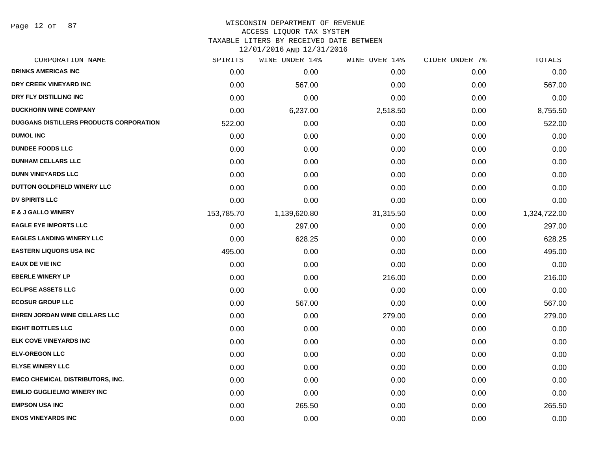Page 12 of 87

# WISCONSIN DEPARTMENT OF REVENUE

ACCESS LIQUOR TAX SYSTEM

TAXABLE LITERS BY RECEIVED DATE BETWEEN

| CORPORATION NAME                        | SPIRITS    | WINE UNDER 14% | WINE OVER 14% | CIDER UNDER 7% | TOTALS       |
|-----------------------------------------|------------|----------------|---------------|----------------|--------------|
| <b>DRINKS AMERICAS INC</b>              | 0.00       | 0.00           | 0.00          | 0.00           | 0.00         |
| DRY CREEK VINEYARD INC                  | 0.00       | 567.00         | 0.00          | 0.00           | 567.00       |
| DRY FLY DISTILLING INC                  | 0.00       | 0.00           | 0.00          | 0.00           | 0.00         |
| <b>DUCKHORN WINE COMPANY</b>            | 0.00       | 6,237.00       | 2,518.50      | 0.00           | 8,755.50     |
| DUGGANS DISTILLERS PRODUCTS CORPORATION | 522.00     | 0.00           | 0.00          | 0.00           | 522.00       |
| <b>DUMOL INC</b>                        | 0.00       | 0.00           | 0.00          | 0.00           | 0.00         |
| <b>DUNDEE FOODS LLC</b>                 | 0.00       | 0.00           | 0.00          | 0.00           | 0.00         |
| <b>DUNHAM CELLARS LLC</b>               | 0.00       | 0.00           | 0.00          | 0.00           | 0.00         |
| <b>DUNN VINEYARDS LLC</b>               | 0.00       | 0.00           | 0.00          | 0.00           | 0.00         |
| DUTTON GOLDFIELD WINERY LLC             | 0.00       | 0.00           | 0.00          | 0.00           | 0.00         |
| <b>DV SPIRITS LLC</b>                   | 0.00       | 0.00           | 0.00          | 0.00           | 0.00         |
| <b>E &amp; J GALLO WINERY</b>           | 153,785.70 | 1,139,620.80   | 31,315.50     | 0.00           | 1,324,722.00 |
| <b>EAGLE EYE IMPORTS LLC</b>            | 0.00       | 297.00         | 0.00          | 0.00           | 297.00       |
| <b>EAGLES LANDING WINERY LLC</b>        | 0.00       | 628.25         | 0.00          | 0.00           | 628.25       |
| <b>EASTERN LIQUORS USA INC</b>          | 495.00     | 0.00           | 0.00          | 0.00           | 495.00       |
| <b>EAUX DE VIE INC</b>                  | 0.00       | 0.00           | 0.00          | 0.00           | 0.00         |
| <b>EBERLE WINERY LP</b>                 | 0.00       | 0.00           | 216.00        | 0.00           | 216.00       |
| <b>ECLIPSE ASSETS LLC</b>               | 0.00       | 0.00           | 0.00          | 0.00           | 0.00         |
| <b>ECOSUR GROUP LLC</b>                 | 0.00       | 567.00         | 0.00          | 0.00           | 567.00       |
| <b>EHREN JORDAN WINE CELLARS LLC</b>    | 0.00       | 0.00           | 279.00        | 0.00           | 279.00       |
| <b>EIGHT BOTTLES LLC</b>                | 0.00       | 0.00           | 0.00          | 0.00           | 0.00         |
| <b>ELK COVE VINEYARDS INC</b>           | 0.00       | 0.00           | 0.00          | 0.00           | 0.00         |
| <b>ELV-OREGON LLC</b>                   | 0.00       | 0.00           | 0.00          | 0.00           | 0.00         |
| <b>ELYSE WINERY LLC</b>                 | 0.00       | 0.00           | 0.00          | 0.00           | 0.00         |
| <b>EMCO CHEMICAL DISTRIBUTORS, INC.</b> | 0.00       | 0.00           | 0.00          | 0.00           | 0.00         |
| <b>EMILIO GUGLIELMO WINERY INC</b>      | 0.00       | 0.00           | 0.00          | 0.00           | 0.00         |
| <b>EMPSON USA INC</b>                   | 0.00       | 265.50         | 0.00          | 0.00           | 265.50       |
| <b>ENOS VINEYARDS INC</b>               | 0.00       | 0.00           | 0.00          | 0.00           | 0.00         |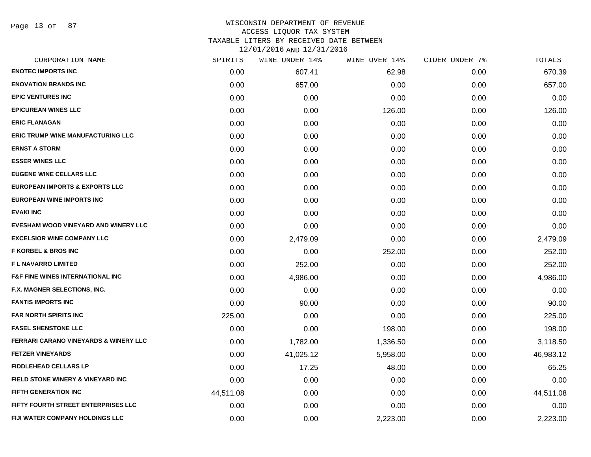Page 13 of 87

# WISCONSIN DEPARTMENT OF REVENUE ACCESS LIQUOR TAX SYSTEM TAXABLE LITERS BY RECEIVED DATE BETWEEN

| CORPORATION NAME                                 | SPIRITS   | WINE UNDER 14% | WINE OVER 14% | CIDER UNDER 7% | TOTALS    |
|--------------------------------------------------|-----------|----------------|---------------|----------------|-----------|
| <b>ENOTEC IMPORTS INC</b>                        | 0.00      | 607.41         | 62.98         | 0.00           | 670.39    |
| <b>ENOVATION BRANDS INC</b>                      | 0.00      | 657.00         | 0.00          | 0.00           | 657.00    |
| <b>EPIC VENTURES INC</b>                         | 0.00      | 0.00           | 0.00          | 0.00           | 0.00      |
| <b>EPICUREAN WINES LLC</b>                       | 0.00      | 0.00           | 126.00        | 0.00           | 126.00    |
| <b>ERIC FLANAGAN</b>                             | 0.00      | 0.00           | 0.00          | 0.00           | 0.00      |
| <b>ERIC TRUMP WINE MANUFACTURING LLC</b>         | 0.00      | 0.00           | 0.00          | 0.00           | 0.00      |
| <b>ERNST A STORM</b>                             | 0.00      | 0.00           | 0.00          | 0.00           | 0.00      |
| <b>ESSER WINES LLC</b>                           | 0.00      | 0.00           | 0.00          | 0.00           | 0.00      |
| <b>EUGENE WINE CELLARS LLC</b>                   | 0.00      | 0.00           | 0.00          | 0.00           | 0.00      |
| <b>EUROPEAN IMPORTS &amp; EXPORTS LLC</b>        | 0.00      | 0.00           | 0.00          | 0.00           | 0.00      |
| <b>EUROPEAN WINE IMPORTS INC</b>                 | 0.00      | 0.00           | 0.00          | 0.00           | 0.00      |
| <b>EVAKI INC</b>                                 | 0.00      | 0.00           | 0.00          | 0.00           | 0.00      |
| EVESHAM WOOD VINEYARD AND WINERY LLC             | 0.00      | 0.00           | 0.00          | 0.00           | 0.00      |
| <b>EXCELSIOR WINE COMPANY LLC</b>                | 0.00      | 2,479.09       | 0.00          | 0.00           | 2,479.09  |
| <b>F KORBEL &amp; BROS INC</b>                   | 0.00      | 0.00           | 252.00        | 0.00           | 252.00    |
| <b>FL NAVARRO LIMITED</b>                        | 0.00      | 252.00         | 0.00          | 0.00           | 252.00    |
| <b>F&amp;F FINE WINES INTERNATIONAL INC</b>      | 0.00      | 4,986.00       | 0.00          | 0.00           | 4,986.00  |
| F.X. MAGNER SELECTIONS, INC.                     | 0.00      | 0.00           | 0.00          | 0.00           | 0.00      |
| <b>FANTIS IMPORTS INC</b>                        | 0.00      | 90.00          | 0.00          | 0.00           | 90.00     |
| <b>FAR NORTH SPIRITS INC</b>                     | 225.00    | 0.00           | 0.00          | 0.00           | 225.00    |
| <b>FASEL SHENSTONE LLC</b>                       | 0.00      | 0.00           | 198.00        | 0.00           | 198.00    |
| <b>FERRARI CARANO VINEYARDS &amp; WINERY LLC</b> | 0.00      | 1,782.00       | 1,336.50      | 0.00           | 3,118.50  |
| <b>FETZER VINEYARDS</b>                          | 0.00      | 41,025.12      | 5,958.00      | 0.00           | 46,983.12 |
| <b>FIDDLEHEAD CELLARS LP</b>                     | 0.00      | 17.25          | 48.00         | 0.00           | 65.25     |
| FIELD STONE WINERY & VINEYARD INC                | 0.00      | 0.00           | 0.00          | 0.00           | 0.00      |
| <b>FIFTH GENERATION INC</b>                      | 44,511.08 | 0.00           | 0.00          | 0.00           | 44,511.08 |
| FIFTY FOURTH STREET ENTERPRISES LLC              | 0.00      | 0.00           | 0.00          | 0.00           | 0.00      |
| FIJI WATER COMPANY HOLDINGS LLC                  | 0.00      | 0.00           | 2,223.00      | 0.00           | 2,223.00  |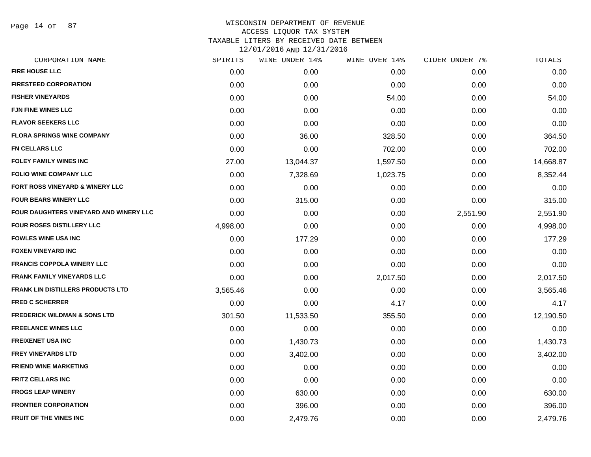Page 14 of 87

| CORPORATION NAME                         | SPIRITS  | WINE UNDER 14% | WINE OVER 14% | CIDER UNDER 7% | TOTALS    |
|------------------------------------------|----------|----------------|---------------|----------------|-----------|
| <b>FIRE HOUSE LLC</b>                    | 0.00     | 0.00           | 0.00          | 0.00           | 0.00      |
| <b>FIRESTEED CORPORATION</b>             | 0.00     | 0.00           | 0.00          | 0.00           | 0.00      |
| <b>FISHER VINEYARDS</b>                  | 0.00     | 0.00           | 54.00         | 0.00           | 54.00     |
| <b>FJN FINE WINES LLC</b>                | 0.00     | 0.00           | 0.00          | 0.00           | 0.00      |
| <b>FLAVOR SEEKERS LLC</b>                | 0.00     | 0.00           | 0.00          | 0.00           | 0.00      |
| <b>FLORA SPRINGS WINE COMPANY</b>        | 0.00     | 36.00          | 328.50        | 0.00           | 364.50    |
| <b>FN CELLARS LLC</b>                    | 0.00     | 0.00           | 702.00        | 0.00           | 702.00    |
| <b>FOLEY FAMILY WINES INC</b>            | 27.00    | 13,044.37      | 1,597.50      | 0.00           | 14,668.87 |
| <b>FOLIO WINE COMPANY LLC</b>            | 0.00     | 7,328.69       | 1,023.75      | 0.00           | 8,352.44  |
| FORT ROSS VINEYARD & WINERY LLC          | 0.00     | 0.00           | 0.00          | 0.00           | 0.00      |
| <b>FOUR BEARS WINERY LLC</b>             | 0.00     | 315.00         | 0.00          | 0.00           | 315.00    |
| FOUR DAUGHTERS VINEYARD AND WINERY LLC   | 0.00     | 0.00           | 0.00          | 2,551.90       | 2,551.90  |
| FOUR ROSES DISTILLERY LLC                | 4,998.00 | 0.00           | 0.00          | 0.00           | 4,998.00  |
| <b>FOWLES WINE USA INC</b>               | 0.00     | 177.29         | 0.00          | 0.00           | 177.29    |
| <b>FOXEN VINEYARD INC</b>                | 0.00     | 0.00           | 0.00          | 0.00           | 0.00      |
| <b>FRANCIS COPPOLA WINERY LLC</b>        | 0.00     | 0.00           | 0.00          | 0.00           | 0.00      |
| <b>FRANK FAMILY VINEYARDS LLC</b>        | 0.00     | 0.00           | 2,017.50      | 0.00           | 2,017.50  |
| <b>FRANK LIN DISTILLERS PRODUCTS LTD</b> | 3,565.46 | 0.00           | 0.00          | 0.00           | 3,565.46  |
| <b>FRED C SCHERRER</b>                   | 0.00     | 0.00           | 4.17          | 0.00           | 4.17      |
| <b>FREDERICK WILDMAN &amp; SONS LTD</b>  | 301.50   | 11,533.50      | 355.50        | 0.00           | 12,190.50 |
| <b>FREELANCE WINES LLC</b>               | 0.00     | 0.00           | 0.00          | 0.00           | 0.00      |
| <b>FREIXENET USA INC</b>                 | 0.00     | 1,430.73       | 0.00          | 0.00           | 1,430.73  |
| <b>FREY VINEYARDS LTD</b>                | 0.00     | 3,402.00       | 0.00          | 0.00           | 3,402.00  |
| <b>FRIEND WINE MARKETING</b>             | 0.00     | 0.00           | 0.00          | 0.00           | 0.00      |
| <b>FRITZ CELLARS INC</b>                 | 0.00     | 0.00           | 0.00          | 0.00           | 0.00      |
| <b>FROGS LEAP WINERY</b>                 | 0.00     | 630.00         | 0.00          | 0.00           | 630.00    |
| <b>FRONTIER CORPORATION</b>              | 0.00     | 396.00         | 0.00          | 0.00           | 396.00    |
| <b>FRUIT OF THE VINES INC</b>            | 0.00     | 2,479.76       | 0.00          | 0.00           | 2,479.76  |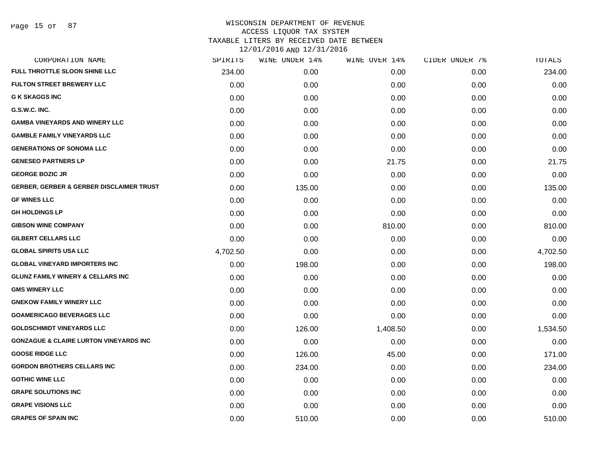| CORPORATION NAME                                    | SPIRITS  | WINE UNDER 14% | WINE OVER 14% | CIDER UNDER 7% | TOTALS   |
|-----------------------------------------------------|----------|----------------|---------------|----------------|----------|
| FULL THROTTLE SLOON SHINE LLC                       | 234.00   | 0.00           | 0.00          | 0.00           | 234.00   |
| <b>FULTON STREET BREWERY LLC</b>                    | 0.00     | 0.00           | 0.00          | 0.00           | 0.00     |
| <b>G K SKAGGS INC</b>                               | 0.00     | 0.00           | 0.00          | 0.00           | 0.00     |
| G.S.W.C. INC.                                       | 0.00     | 0.00           | 0.00          | 0.00           | 0.00     |
| <b>GAMBA VINEYARDS AND WINERY LLC</b>               | 0.00     | 0.00           | 0.00          | 0.00           | 0.00     |
| <b>GAMBLE FAMILY VINEYARDS LLC</b>                  | 0.00     | 0.00           | 0.00          | 0.00           | 0.00     |
| <b>GENERATIONS OF SONOMA LLC</b>                    | 0.00     | 0.00           | 0.00          | 0.00           | 0.00     |
| <b>GENESEO PARTNERS LP</b>                          | 0.00     | 0.00           | 21.75         | 0.00           | 21.75    |
| <b>GEORGE BOZIC JR</b>                              | 0.00     | 0.00           | 0.00          | 0.00           | 0.00     |
| <b>GERBER, GERBER &amp; GERBER DISCLAIMER TRUST</b> | 0.00     | 135.00         | 0.00          | 0.00           | 135.00   |
| <b>GF WINES LLC</b>                                 | 0.00     | 0.00           | 0.00          | 0.00           | 0.00     |
| <b>GH HOLDINGS LP</b>                               | 0.00     | 0.00           | 0.00          | 0.00           | 0.00     |
| <b>GIBSON WINE COMPANY</b>                          | 0.00     | 0.00           | 810.00        | 0.00           | 810.00   |
| <b>GILBERT CELLARS LLC</b>                          | 0.00     | 0.00           | 0.00          | 0.00           | 0.00     |
| <b>GLOBAL SPIRITS USA LLC</b>                       | 4,702.50 | 0.00           | 0.00          | 0.00           | 4,702.50 |
| <b>GLOBAL VINEYARD IMPORTERS INC</b>                | 0.00     | 198.00         | 0.00          | 0.00           | 198.00   |
| <b>GLUNZ FAMILY WINERY &amp; CELLARS INC</b>        | 0.00     | 0.00           | 0.00          | 0.00           | 0.00     |
| <b>GMS WINERY LLC</b>                               | 0.00     | 0.00           | 0.00          | 0.00           | 0.00     |
| <b>GNEKOW FAMILY WINERY LLC</b>                     | 0.00     | 0.00           | 0.00          | 0.00           | 0.00     |
| <b>GOAMERICAGO BEVERAGES LLC</b>                    | 0.00     | 0.00           | 0.00          | 0.00           | 0.00     |
| <b>GOLDSCHMIDT VINEYARDS LLC</b>                    | 0.00     | 126.00         | 1,408.50      | 0.00           | 1,534.50 |
| <b>GONZAGUE &amp; CLAIRE LURTON VINEYARDS INC</b>   | 0.00     | 0.00           | 0.00          | 0.00           | 0.00     |
| <b>GOOSE RIDGE LLC</b>                              | 0.00     | 126.00         | 45.00         | 0.00           | 171.00   |
| <b>GORDON BROTHERS CELLARS INC</b>                  | 0.00     | 234.00         | 0.00          | 0.00           | 234.00   |
| <b>GOTHIC WINE LLC</b>                              | 0.00     | 0.00           | 0.00          | 0.00           | 0.00     |
| <b>GRAPE SOLUTIONS INC</b>                          | 0.00     | 0.00           | 0.00          | 0.00           | 0.00     |
| <b>GRAPE VISIONS LLC</b>                            | 0.00     | 0.00           | 0.00          | 0.00           | 0.00     |
| <b>GRAPES OF SPAIN INC</b>                          | 0.00     | 510.00         | 0.00          | 0.00           | 510.00   |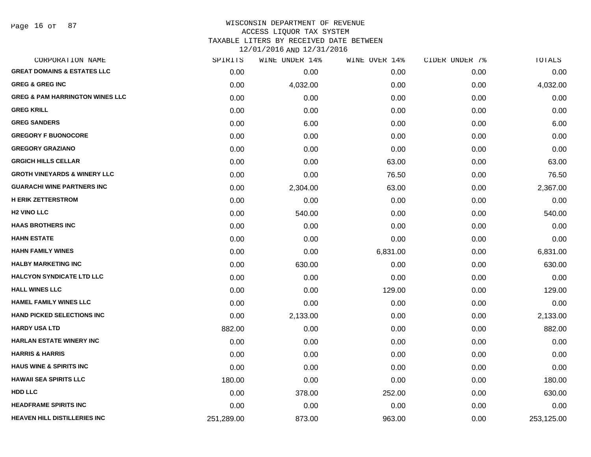Page 16 of 87

# WISCONSIN DEPARTMENT OF REVENUE ACCESS LIQUOR TAX SYSTEM TAXABLE LITERS BY RECEIVED DATE BETWEEN

| CORPORATION NAME                           | SPIRITS    | WINE UNDER 14% | WINE OVER 14% | CIDER UNDER 7% | TOTALS     |
|--------------------------------------------|------------|----------------|---------------|----------------|------------|
| <b>GREAT DOMAINS &amp; ESTATES LLC</b>     | 0.00       | 0.00           | 0.00          | 0.00           | 0.00       |
| <b>GREG &amp; GREG INC</b>                 | 0.00       | 4,032.00       | 0.00          | 0.00           | 4,032.00   |
| <b>GREG &amp; PAM HARRINGTON WINES LLC</b> | 0.00       | 0.00           | 0.00          | 0.00           | 0.00       |
| <b>GREG KRILL</b>                          | 0.00       | 0.00           | 0.00          | 0.00           | 0.00       |
| <b>GREG SANDERS</b>                        | 0.00       | 6.00           | 0.00          | 0.00           | 6.00       |
| <b>GREGORY F BUONOCORE</b>                 | 0.00       | 0.00           | 0.00          | 0.00           | 0.00       |
| <b>GREGORY GRAZIANO</b>                    | 0.00       | 0.00           | 0.00          | 0.00           | 0.00       |
| <b>GRGICH HILLS CELLAR</b>                 | 0.00       | 0.00           | 63.00         | 0.00           | 63.00      |
| <b>GROTH VINEYARDS &amp; WINERY LLC</b>    | 0.00       | 0.00           | 76.50         | 0.00           | 76.50      |
| <b>GUARACHI WINE PARTNERS INC</b>          | 0.00       | 2,304.00       | 63.00         | 0.00           | 2,367.00   |
| <b>H ERIK ZETTERSTROM</b>                  | 0.00       | 0.00           | 0.00          | 0.00           | 0.00       |
| <b>H2 VINO LLC</b>                         | 0.00       | 540.00         | 0.00          | 0.00           | 540.00     |
| <b>HAAS BROTHERS INC</b>                   | 0.00       | 0.00           | 0.00          | 0.00           | 0.00       |
| <b>HAHN ESTATE</b>                         | 0.00       | 0.00           | 0.00          | 0.00           | 0.00       |
| <b>HAHN FAMILY WINES</b>                   | 0.00       | 0.00           | 6,831.00      | 0.00           | 6,831.00   |
| <b>HALBY MARKETING INC</b>                 | 0.00       | 630.00         | 0.00          | 0.00           | 630.00     |
| <b>HALCYON SYNDICATE LTD LLC</b>           | 0.00       | 0.00           | 0.00          | 0.00           | 0.00       |
| <b>HALL WINES LLC</b>                      | 0.00       | 0.00           | 129.00        | 0.00           | 129.00     |
| <b>HAMEL FAMILY WINES LLC</b>              | 0.00       | 0.00           | 0.00          | 0.00           | 0.00       |
| <b>HAND PICKED SELECTIONS INC</b>          | 0.00       | 2,133.00       | 0.00          | 0.00           | 2,133.00   |
| <b>HARDY USA LTD</b>                       | 882.00     | 0.00           | 0.00          | 0.00           | 882.00     |
| <b>HARLAN ESTATE WINERY INC</b>            | 0.00       | 0.00           | 0.00          | 0.00           | 0.00       |
| <b>HARRIS &amp; HARRIS</b>                 | 0.00       | 0.00           | 0.00          | 0.00           | 0.00       |
| <b>HAUS WINE &amp; SPIRITS INC</b>         | 0.00       | 0.00           | 0.00          | 0.00           | 0.00       |
| <b>HAWAII SEA SPIRITS LLC</b>              | 180.00     | 0.00           | 0.00          | 0.00           | 180.00     |
| <b>HDD LLC</b>                             | 0.00       | 378.00         | 252.00        | 0.00           | 630.00     |
| <b>HEADFRAME SPIRITS INC</b>               | 0.00       | 0.00           | 0.00          | 0.00           | 0.00       |
| <b>HEAVEN HILL DISTILLERIES INC</b>        | 251,289.00 | 873.00         | 963.00        | 0.00           | 253,125.00 |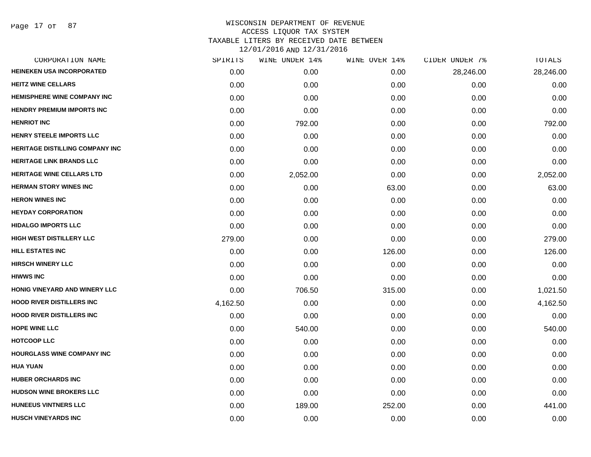| SPIRITS  | WINE UNDER 14% | WINE OVER 14% | CIDER UNDER 7% | TOTALS    |
|----------|----------------|---------------|----------------|-----------|
| 0.00     | 0.00           | 0.00          | 28,246.00      | 28,246.00 |
| 0.00     | 0.00           | 0.00          | 0.00           | 0.00      |
| 0.00     | 0.00           | 0.00          | 0.00           | 0.00      |
| 0.00     | 0.00           | 0.00          | 0.00           | 0.00      |
| 0.00     | 792.00         | 0.00          | 0.00           | 792.00    |
| 0.00     | 0.00           | 0.00          | 0.00           | 0.00      |
| 0.00     | 0.00           | 0.00          | 0.00           | 0.00      |
| 0.00     | 0.00           | 0.00          | 0.00           | 0.00      |
| 0.00     | 2,052.00       | 0.00          | 0.00           | 2,052.00  |
| 0.00     | 0.00           | 63.00         | 0.00           | 63.00     |
| 0.00     | 0.00           | 0.00          | 0.00           | 0.00      |
| 0.00     | 0.00           | 0.00          | 0.00           | 0.00      |
| 0.00     | 0.00           | 0.00          | 0.00           | 0.00      |
| 279.00   | 0.00           | 0.00          | 0.00           | 279.00    |
| 0.00     | 0.00           | 126.00        | 0.00           | 126.00    |
| 0.00     | 0.00           | 0.00          | 0.00           | 0.00      |
| 0.00     | 0.00           | 0.00          | 0.00           | 0.00      |
| 0.00     | 706.50         | 315.00        | 0.00           | 1,021.50  |
| 4,162.50 | 0.00           | 0.00          | 0.00           | 4,162.50  |
| 0.00     | 0.00           | 0.00          | 0.00           | 0.00      |
| 0.00     | 540.00         | 0.00          | 0.00           | 540.00    |
| 0.00     | 0.00           | 0.00          | 0.00           | 0.00      |
| 0.00     | 0.00           | 0.00          | 0.00           | 0.00      |
| 0.00     | 0.00           | 0.00          | 0.00           | 0.00      |
| 0.00     | 0.00           | 0.00          | 0.00           | 0.00      |
| 0.00     | 0.00           | 0.00          | 0.00           | 0.00      |
| 0.00     | 189.00         | 252.00        | 0.00           | 441.00    |
| 0.00     | 0.00           | 0.00          | 0.00           | 0.00      |
|          |                |               |                |           |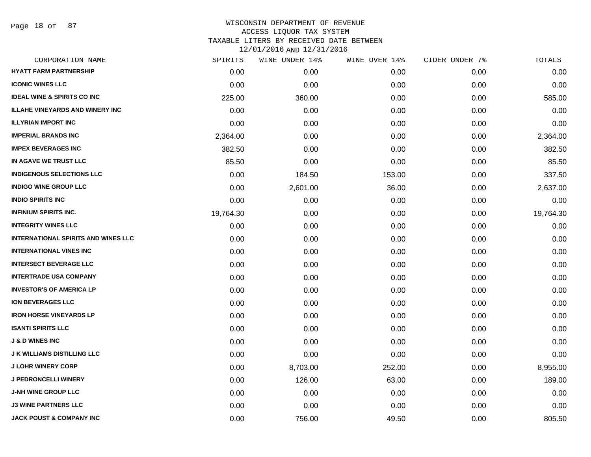Page 18 of 87

| CORPORATION NAME                           | SPIRITS   | WINE UNDER 14% | WINE OVER 14% | CIDER UNDER 7% | TOTALS    |
|--------------------------------------------|-----------|----------------|---------------|----------------|-----------|
| <b>HYATT FARM PARTNERSHIP</b>              | 0.00      | 0.00           | 0.00          | 0.00           | 0.00      |
| <b>ICONIC WINES LLC</b>                    | 0.00      | 0.00           | 0.00          | 0.00           | 0.00      |
| <b>IDEAL WINE &amp; SPIRITS CO INC</b>     | 225.00    | 360.00         | 0.00          | 0.00           | 585.00    |
| <b>ILLAHE VINEYARDS AND WINERY INC</b>     | 0.00      | 0.00           | 0.00          | 0.00           | 0.00      |
| <b>ILLYRIAN IMPORT INC</b>                 | 0.00      | 0.00           | 0.00          | 0.00           | 0.00      |
| <b>IMPERIAL BRANDS INC</b>                 | 2,364.00  | 0.00           | 0.00          | 0.00           | 2,364.00  |
| <b>IMPEX BEVERAGES INC</b>                 | 382.50    | 0.00           | 0.00          | 0.00           | 382.50    |
| IN AGAVE WE TRUST LLC                      | 85.50     | 0.00           | 0.00          | 0.00           | 85.50     |
| <b>INDIGENOUS SELECTIONS LLC</b>           | 0.00      | 184.50         | 153.00        | 0.00           | 337.50    |
| <b>INDIGO WINE GROUP LLC</b>               | 0.00      | 2,601.00       | 36.00         | 0.00           | 2,637.00  |
| <b>INDIO SPIRITS INC</b>                   | 0.00      | 0.00           | 0.00          | 0.00           | 0.00      |
| <b>INFINIUM SPIRITS INC.</b>               | 19,764.30 | 0.00           | 0.00          | 0.00           | 19,764.30 |
| <b>INTEGRITY WINES LLC</b>                 | 0.00      | 0.00           | 0.00          | 0.00           | 0.00      |
| <b>INTERNATIONAL SPIRITS AND WINES LLC</b> | 0.00      | 0.00           | 0.00          | 0.00           | 0.00      |
| <b>INTERNATIONAL VINES INC</b>             | 0.00      | 0.00           | 0.00          | 0.00           | 0.00      |
| <b>INTERSECT BEVERAGE LLC</b>              | 0.00      | 0.00           | 0.00          | 0.00           | 0.00      |
| <b>INTERTRADE USA COMPANY</b>              | 0.00      | 0.00           | 0.00          | 0.00           | 0.00      |
| <b>INVESTOR'S OF AMERICA LP</b>            | 0.00      | 0.00           | 0.00          | 0.00           | 0.00      |
| <b>ION BEVERAGES LLC</b>                   | 0.00      | 0.00           | 0.00          | 0.00           | 0.00      |
| <b>IRON HORSE VINEYARDS LP</b>             | 0.00      | 0.00           | 0.00          | 0.00           | 0.00      |
| <b>ISANTI SPIRITS LLC</b>                  | 0.00      | 0.00           | 0.00          | 0.00           | 0.00      |
| <b>J &amp; D WINES INC</b>                 | 0.00      | 0.00           | 0.00          | 0.00           | 0.00      |
| <b>J K WILLIAMS DISTILLING LLC</b>         | 0.00      | 0.00           | 0.00          | 0.00           | 0.00      |
| <b>J LOHR WINERY CORP</b>                  | 0.00      | 8,703.00       | 252.00        | 0.00           | 8,955.00  |
| <b>J PEDRONCELLI WINERY</b>                | 0.00      | 126.00         | 63.00         | 0.00           | 189.00    |
| <b>J-NH WINE GROUP LLC</b>                 | 0.00      | 0.00           | 0.00          | 0.00           | 0.00      |
| <b>J3 WINE PARTNERS LLC</b>                | 0.00      | 0.00           | 0.00          | 0.00           | 0.00      |
| <b>JACK POUST &amp; COMPANY INC</b>        | 0.00      | 756.00         | 49.50         | 0.00           | 805.50    |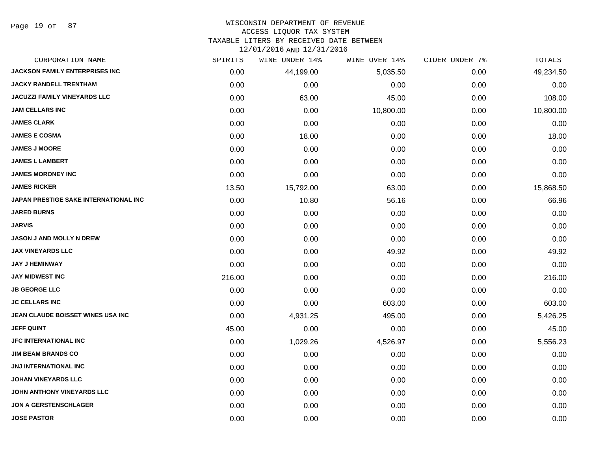Page 19 of 87

## WISCONSIN DEPARTMENT OF REVENUE ACCESS LIQUOR TAX SYSTEM TAXABLE LITERS BY RECEIVED DATE BETWEEN

| CORPORATION NAME                      | SPIRITS | WINE UNDER 14% | WINE OVER 14% | CIDER UNDER 7% | TOTALS    |
|---------------------------------------|---------|----------------|---------------|----------------|-----------|
| <b>JACKSON FAMILY ENTERPRISES INC</b> | 0.00    | 44,199.00      | 5,035.50      | 0.00           | 49,234.50 |
| <b>JACKY RANDELL TRENTHAM</b>         | 0.00    | 0.00           | 0.00          | 0.00           | 0.00      |
| <b>JACUZZI FAMILY VINEYARDS LLC</b>   | 0.00    | 63.00          | 45.00         | 0.00           | 108.00    |
| <b>JAM CELLARS INC</b>                | 0.00    | 0.00           | 10,800.00     | 0.00           | 10,800.00 |
| <b>JAMES CLARK</b>                    | 0.00    | 0.00           | 0.00          | 0.00           | 0.00      |
| <b>JAMES E COSMA</b>                  | 0.00    | 18.00          | 0.00          | 0.00           | 18.00     |
| <b>JAMES J MOORE</b>                  | 0.00    | 0.00           | 0.00          | 0.00           | 0.00      |
| <b>JAMES L LAMBERT</b>                | 0.00    | 0.00           | 0.00          | 0.00           | 0.00      |
| <b>JAMES MORONEY INC</b>              | 0.00    | 0.00           | 0.00          | 0.00           | 0.00      |
| <b>JAMES RICKER</b>                   | 13.50   | 15,792.00      | 63.00         | 0.00           | 15,868.50 |
| JAPAN PRESTIGE SAKE INTERNATIONAL INC | 0.00    | 10.80          | 56.16         | 0.00           | 66.96     |
| <b>JARED BURNS</b>                    | 0.00    | 0.00           | 0.00          | 0.00           | 0.00      |
| <b>JARVIS</b>                         | 0.00    | 0.00           | 0.00          | 0.00           | 0.00      |
| <b>JASON J AND MOLLY N DREW</b>       | 0.00    | 0.00           | 0.00          | 0.00           | 0.00      |
| <b>JAX VINEYARDS LLC</b>              | 0.00    | 0.00           | 49.92         | 0.00           | 49.92     |
| <b>JAY J HEMINWAY</b>                 | 0.00    | 0.00           | 0.00          | 0.00           | 0.00      |
| <b>JAY MIDWEST INC</b>                | 216.00  | 0.00           | 0.00          | 0.00           | 216.00    |
| <b>JB GEORGE LLC</b>                  | 0.00    | 0.00           | 0.00          | 0.00           | 0.00      |
| <b>JC CELLARS INC</b>                 | 0.00    | 0.00           | 603.00        | 0.00           | 603.00    |
| JEAN CLAUDE BOISSET WINES USA INC     | 0.00    | 4,931.25       | 495.00        | 0.00           | 5,426.25  |
| <b>JEFF QUINT</b>                     | 45.00   | 0.00           | 0.00          | 0.00           | 45.00     |
| <b>JFC INTERNATIONAL INC</b>          | 0.00    | 1,029.26       | 4,526.97      | 0.00           | 5,556.23  |
| <b>JIM BEAM BRANDS CO</b>             | 0.00    | 0.00           | 0.00          | 0.00           | 0.00      |
| <b>JNJ INTERNATIONAL INC</b>          | 0.00    | 0.00           | 0.00          | 0.00           | 0.00      |
| <b>JOHAN VINEYARDS LLC</b>            | 0.00    | 0.00           | 0.00          | 0.00           | 0.00      |
| JOHN ANTHONY VINEYARDS LLC            | 0.00    | 0.00           | 0.00          | 0.00           | 0.00      |
| <b>JON A GERSTENSCHLAGER</b>          | 0.00    | 0.00           | 0.00          | 0.00           | 0.00      |
| <b>JOSE PASTOR</b>                    | 0.00    | 0.00           | 0.00          | 0.00           | 0.00      |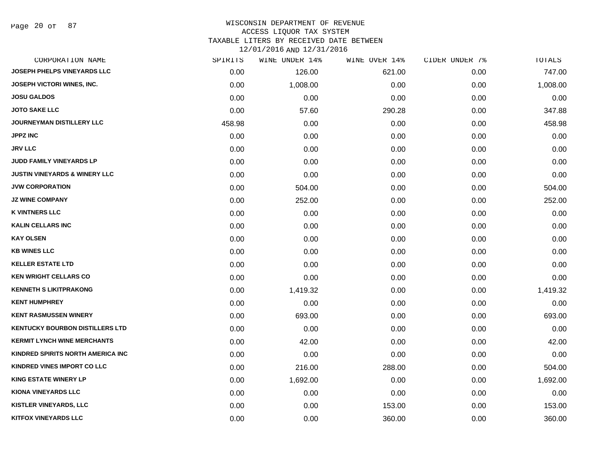Page 20 of 87

#### WISCONSIN DEPARTMENT OF REVENUE ACCESS LIQUOR TAX SYSTEM

TAXABLE LITERS BY RECEIVED DATE BETWEEN

| CORPORATION NAME                         | SPIRITS | WINE UNDER 14% | WINE OVER 14% | CIDER UNDER 7% | TOTALS   |
|------------------------------------------|---------|----------------|---------------|----------------|----------|
| <b>JOSEPH PHELPS VINEYARDS LLC</b>       | 0.00    | 126.00         | 621.00        | 0.00           | 747.00   |
| <b>JOSEPH VICTORI WINES, INC.</b>        | 0.00    | 1,008.00       | 0.00          | 0.00           | 1,008.00 |
| <b>JOSU GALDOS</b>                       | 0.00    | 0.00           | 0.00          | 0.00           | 0.00     |
| <b>JOTO SAKE LLC</b>                     | 0.00    | 57.60          | 290.28        | 0.00           | 347.88   |
| <b>JOURNEYMAN DISTILLERY LLC</b>         | 458.98  | 0.00           | 0.00          | 0.00           | 458.98   |
| <b>JPPZ INC</b>                          | 0.00    | 0.00           | 0.00          | 0.00           | 0.00     |
| <b>JRV LLC</b>                           | 0.00    | 0.00           | 0.00          | 0.00           | 0.00     |
| <b>JUDD FAMILY VINEYARDS LP</b>          | 0.00    | 0.00           | 0.00          | 0.00           | 0.00     |
| <b>JUSTIN VINEYARDS &amp; WINERY LLC</b> | 0.00    | 0.00           | 0.00          | 0.00           | 0.00     |
| <b>JVW CORPORATION</b>                   | 0.00    | 504.00         | 0.00          | 0.00           | 504.00   |
| <b>JZ WINE COMPANY</b>                   | 0.00    | 252.00         | 0.00          | 0.00           | 252.00   |
| <b>K VINTNERS LLC</b>                    | 0.00    | 0.00           | 0.00          | 0.00           | 0.00     |
| <b>KALIN CELLARS INC</b>                 | 0.00    | 0.00           | 0.00          | 0.00           | 0.00     |
| <b>KAY OLSEN</b>                         | 0.00    | 0.00           | 0.00          | 0.00           | 0.00     |
| <b>KB WINES LLC</b>                      | 0.00    | 0.00           | 0.00          | 0.00           | 0.00     |
| <b>KELLER ESTATE LTD</b>                 | 0.00    | 0.00           | 0.00          | 0.00           | 0.00     |
| <b>KEN WRIGHT CELLARS CO</b>             | 0.00    | 0.00           | 0.00          | 0.00           | 0.00     |
| <b>KENNETH S LIKITPRAKONG</b>            | 0.00    | 1,419.32       | 0.00          | 0.00           | 1,419.32 |
| <b>KENT HUMPHREY</b>                     | 0.00    | 0.00           | 0.00          | 0.00           | 0.00     |
| <b>KENT RASMUSSEN WINERY</b>             | 0.00    | 693.00         | 0.00          | 0.00           | 693.00   |
| <b>KENTUCKY BOURBON DISTILLERS LTD</b>   | 0.00    | 0.00           | 0.00          | 0.00           | 0.00     |
| <b>KERMIT LYNCH WINE MERCHANTS</b>       | 0.00    | 42.00          | 0.00          | 0.00           | 42.00    |
| KINDRED SPIRITS NORTH AMERICA INC        | 0.00    | 0.00           | 0.00          | 0.00           | 0.00     |
| KINDRED VINES IMPORT CO LLC              | 0.00    | 216.00         | 288.00        | 0.00           | 504.00   |
| <b>KING ESTATE WINERY LP</b>             | 0.00    | 1,692.00       | 0.00          | 0.00           | 1,692.00 |
| <b>KIONA VINEYARDS LLC</b>               | 0.00    | 0.00           | 0.00          | 0.00           | 0.00     |
| <b>KISTLER VINEYARDS, LLC</b>            | 0.00    | 0.00           | 153.00        | 0.00           | 153.00   |
| <b>KITFOX VINEYARDS LLC</b>              | 0.00    | 0.00           | 360.00        | 0.00           | 360.00   |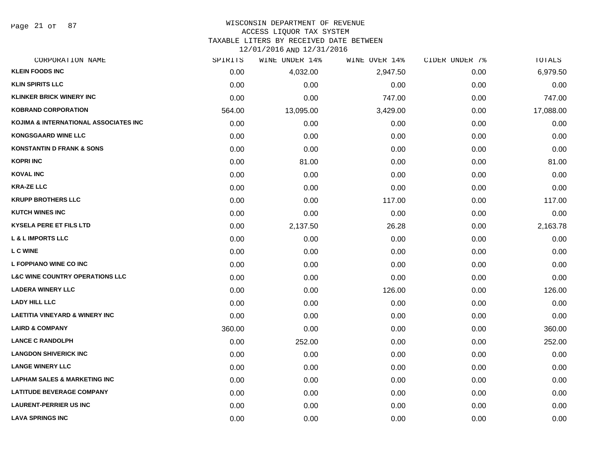Page 21 of 87

## WISCONSIN DEPARTMENT OF REVENUE ACCESS LIQUOR TAX SYSTEM TAXABLE LITERS BY RECEIVED DATE BETWEEN

| CORPORATION NAME                           | SPIRITS | WINE UNDER 14% | WINE OVER 14% | CIDER UNDER 7% | TOTALS    |
|--------------------------------------------|---------|----------------|---------------|----------------|-----------|
| <b>KLEIN FOODS INC</b>                     | 0.00    | 4,032.00       | 2,947.50      | 0.00           | 6,979.50  |
| <b>KLIN SPIRITS LLC</b>                    | 0.00    | 0.00           | 0.00          | 0.00           | 0.00      |
| <b>KLINKER BRICK WINERY INC</b>            | 0.00    | 0.00           | 747.00        | 0.00           | 747.00    |
| <b>KOBRAND CORPORATION</b>                 | 564.00  | 13,095.00      | 3,429.00      | 0.00           | 17,088.00 |
| KOJIMA & INTERNATIONAL ASSOCIATES INC      | 0.00    | 0.00           | 0.00          | 0.00           | 0.00      |
| <b>KONGSGAARD WINE LLC</b>                 | 0.00    | 0.00           | 0.00          | 0.00           | 0.00      |
| <b>KONSTANTIN D FRANK &amp; SONS</b>       | 0.00    | 0.00           | 0.00          | 0.00           | 0.00      |
| <b>KOPRI INC</b>                           | 0.00    | 81.00          | 0.00          | 0.00           | 81.00     |
| <b>KOVAL INC</b>                           | 0.00    | 0.00           | 0.00          | 0.00           | 0.00      |
| <b>KRA-ZE LLC</b>                          | 0.00    | 0.00           | 0.00          | 0.00           | 0.00      |
| <b>KRUPP BROTHERS LLC</b>                  | 0.00    | 0.00           | 117.00        | 0.00           | 117.00    |
| <b>KUTCH WINES INC</b>                     | 0.00    | 0.00           | 0.00          | 0.00           | 0.00      |
| <b>KYSELA PERE ET FILS LTD</b>             | 0.00    | 2,137.50       | 26.28         | 0.00           | 2,163.78  |
| <b>L &amp; L IMPORTS LLC</b>               | 0.00    | 0.00           | 0.00          | 0.00           | 0.00      |
| <b>L C WINE</b>                            | 0.00    | 0.00           | 0.00          | 0.00           | 0.00      |
| <b>L FOPPIANO WINE CO INC</b>              | 0.00    | 0.00           | 0.00          | 0.00           | 0.00      |
| <b>L&amp;C WINE COUNTRY OPERATIONS LLC</b> | 0.00    | 0.00           | 0.00          | 0.00           | 0.00      |
| <b>LADERA WINERY LLC</b>                   | 0.00    | 0.00           | 126.00        | 0.00           | 126.00    |
| <b>LADY HILL LLC</b>                       | 0.00    | 0.00           | 0.00          | 0.00           | 0.00      |
| <b>LAETITIA VINEYARD &amp; WINERY INC</b>  | 0.00    | 0.00           | 0.00          | 0.00           | 0.00      |
| <b>LAIRD &amp; COMPANY</b>                 | 360.00  | 0.00           | 0.00          | 0.00           | 360.00    |
| <b>LANCE C RANDOLPH</b>                    | 0.00    | 252.00         | 0.00          | 0.00           | 252.00    |
| <b>LANGDON SHIVERICK INC</b>               | 0.00    | 0.00           | 0.00          | 0.00           | 0.00      |
| <b>LANGE WINERY LLC</b>                    | 0.00    | 0.00           | 0.00          | 0.00           | 0.00      |
| <b>LAPHAM SALES &amp; MARKETING INC</b>    | 0.00    | 0.00           | 0.00          | 0.00           | 0.00      |
| <b>LATITUDE BEVERAGE COMPANY</b>           | 0.00    | 0.00           | 0.00          | 0.00           | 0.00      |
| <b>LAURENT-PERRIER US INC</b>              | 0.00    | 0.00           | 0.00          | 0.00           | 0.00      |
| <b>LAVA SPRINGS INC</b>                    | 0.00    | 0.00           | 0.00          | 0.00           | 0.00      |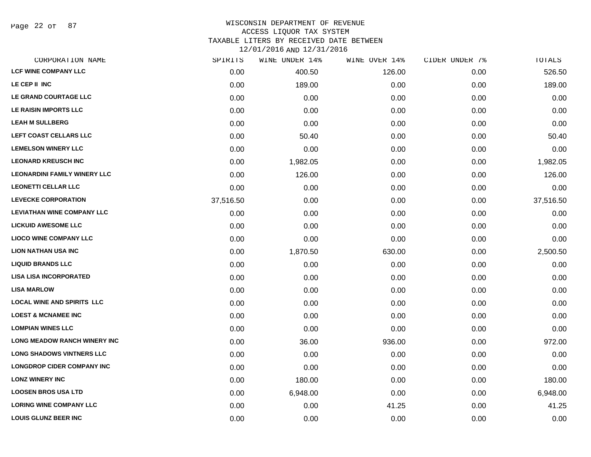Page 22 of 87

## WISCONSIN DEPARTMENT OF REVENUE ACCESS LIQUOR TAX SYSTEM TAXABLE LITERS BY RECEIVED DATE BETWEEN

| CORPORATION NAME                    | SPIRITS   | WINE UNDER 14% | WINE OVER 14% | CIDER UNDER 7% | TOTALS    |
|-------------------------------------|-----------|----------------|---------------|----------------|-----------|
| <b>LCF WINE COMPANY LLC</b>         | 0.00      | 400.50         | 126.00        | 0.00           | 526.50    |
| LE CEP II INC                       | 0.00      | 189.00         | 0.00          | 0.00           | 189.00    |
| LE GRAND COURTAGE LLC               | 0.00      | 0.00           | 0.00          | 0.00           | 0.00      |
| LE RAISIN IMPORTS LLC               | 0.00      | 0.00           | 0.00          | 0.00           | 0.00      |
| <b>LEAH M SULLBERG</b>              | 0.00      | 0.00           | 0.00          | 0.00           | 0.00      |
| LEFT COAST CELLARS LLC              | 0.00      | 50.40          | 0.00          | 0.00           | 50.40     |
| <b>LEMELSON WINERY LLC</b>          | 0.00      | 0.00           | 0.00          | 0.00           | 0.00      |
| <b>LEONARD KREUSCH INC</b>          | 0.00      | 1,982.05       | 0.00          | 0.00           | 1,982.05  |
| <b>LEONARDINI FAMILY WINERY LLC</b> | 0.00      | 126.00         | 0.00          | 0.00           | 126.00    |
| <b>LEONETTI CELLAR LLC</b>          | 0.00      | 0.00           | 0.00          | 0.00           | 0.00      |
| <b>LEVECKE CORPORATION</b>          | 37,516.50 | 0.00           | 0.00          | 0.00           | 37,516.50 |
| <b>LEVIATHAN WINE COMPANY LLC</b>   | 0.00      | 0.00           | 0.00          | 0.00           | 0.00      |
| <b>LICKUID AWESOME LLC</b>          | 0.00      | 0.00           | 0.00          | 0.00           | 0.00      |
| <b>LIOCO WINE COMPANY LLC</b>       | 0.00      | 0.00           | 0.00          | 0.00           | 0.00      |
| <b>LION NATHAN USA INC</b>          | 0.00      | 1,870.50       | 630.00        | 0.00           | 2,500.50  |
| <b>LIQUID BRANDS LLC</b>            | 0.00      | 0.00           | 0.00          | 0.00           | 0.00      |
| <b>LISA LISA INCORPORATED</b>       | 0.00      | 0.00           | 0.00          | 0.00           | 0.00      |
| <b>LISA MARLOW</b>                  | 0.00      | 0.00           | 0.00          | 0.00           | 0.00      |
| <b>LOCAL WINE AND SPIRITS LLC</b>   | 0.00      | 0.00           | 0.00          | 0.00           | 0.00      |
| <b>LOEST &amp; MCNAMEE INC</b>      | 0.00      | 0.00           | 0.00          | 0.00           | 0.00      |
| <b>LOMPIAN WINES LLC</b>            | 0.00      | 0.00           | 0.00          | 0.00           | 0.00      |
| <b>LONG MEADOW RANCH WINERY INC</b> | 0.00      | 36.00          | 936.00        | 0.00           | 972.00    |
| <b>LONG SHADOWS VINTNERS LLC</b>    | 0.00      | 0.00           | 0.00          | 0.00           | 0.00      |
| <b>LONGDROP CIDER COMPANY INC</b>   | 0.00      | 0.00           | 0.00          | 0.00           | 0.00      |
| <b>LONZ WINERY INC</b>              | 0.00      | 180.00         | 0.00          | 0.00           | 180.00    |
| <b>LOOSEN BROS USA LTD</b>          | 0.00      | 6,948.00       | 0.00          | 0.00           | 6,948.00  |
| <b>LORING WINE COMPANY LLC</b>      | 0.00      | 0.00           | 41.25         | 0.00           | 41.25     |
| <b>LOUIS GLUNZ BEER INC</b>         | 0.00      | 0.00           | 0.00          | 0.00           | 0.00      |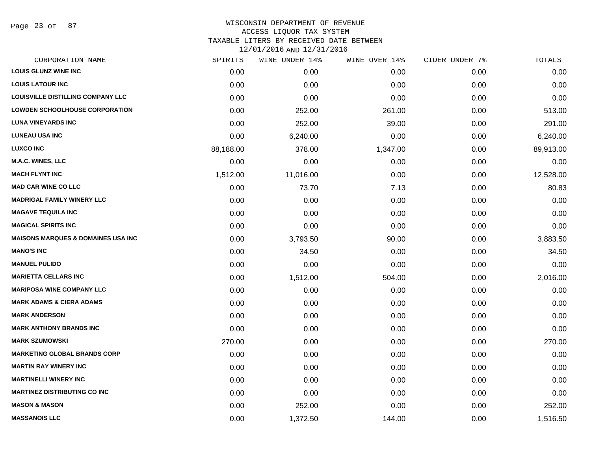Page 23 of 87

| CORPORATION NAME                              | SPIRITS   | WINE UNDER 14% | WINE OVER 14% | CIDER UNDER 7% | TOTALS    |
|-----------------------------------------------|-----------|----------------|---------------|----------------|-----------|
| <b>LOUIS GLUNZ WINE INC</b>                   | 0.00      | 0.00           | 0.00          | 0.00           | 0.00      |
| <b>LOUIS LATOUR INC</b>                       | 0.00      | 0.00           | 0.00          | 0.00           | 0.00      |
| <b>LOUISVILLE DISTILLING COMPANY LLC</b>      | 0.00      | 0.00           | 0.00          | 0.00           | 0.00      |
| <b>LOWDEN SCHOOLHOUSE CORPORATION</b>         | 0.00      | 252.00         | 261.00        | 0.00           | 513.00    |
| <b>LUNA VINEYARDS INC</b>                     | 0.00      | 252.00         | 39.00         | 0.00           | 291.00    |
| <b>LUNEAU USA INC</b>                         | 0.00      | 6,240.00       | 0.00          | 0.00           | 6,240.00  |
| <b>LUXCO INC</b>                              | 88,188.00 | 378.00         | 1,347.00      | 0.00           | 89,913.00 |
| M.A.C. WINES, LLC                             | 0.00      | 0.00           | 0.00          | 0.00           | 0.00      |
| <b>MACH FLYNT INC</b>                         | 1,512.00  | 11,016.00      | 0.00          | 0.00           | 12,528.00 |
| <b>MAD CAR WINE CO LLC</b>                    | 0.00      | 73.70          | 7.13          | 0.00           | 80.83     |
| <b>MADRIGAL FAMILY WINERY LLC</b>             | 0.00      | 0.00           | 0.00          | 0.00           | 0.00      |
| <b>MAGAVE TEQUILA INC</b>                     | 0.00      | 0.00           | 0.00          | 0.00           | 0.00      |
| <b>MAGICAL SPIRITS INC</b>                    | 0.00      | 0.00           | 0.00          | 0.00           | 0.00      |
| <b>MAISONS MARQUES &amp; DOMAINES USA INC</b> | 0.00      | 3,793.50       | 90.00         | 0.00           | 3,883.50  |
| <b>MANO'S INC</b>                             | 0.00      | 34.50          | 0.00          | 0.00           | 34.50     |
| <b>MANUEL PULIDO</b>                          | 0.00      | 0.00           | 0.00          | 0.00           | 0.00      |
| <b>MARIETTA CELLARS INC</b>                   | 0.00      | 1,512.00       | 504.00        | 0.00           | 2,016.00  |
| <b>MARIPOSA WINE COMPANY LLC</b>              | 0.00      | 0.00           | 0.00          | 0.00           | 0.00      |
| <b>MARK ADAMS &amp; CIERA ADAMS</b>           | 0.00      | 0.00           | 0.00          | 0.00           | 0.00      |
| <b>MARK ANDERSON</b>                          | 0.00      | 0.00           | 0.00          | 0.00           | 0.00      |
| <b>MARK ANTHONY BRANDS INC</b>                | 0.00      | 0.00           | 0.00          | 0.00           | 0.00      |
| <b>MARK SZUMOWSKI</b>                         | 270.00    | 0.00           | 0.00          | 0.00           | 270.00    |
| <b>MARKETING GLOBAL BRANDS CORP</b>           | 0.00      | 0.00           | 0.00          | 0.00           | 0.00      |
| <b>MARTIN RAY WINERY INC</b>                  | 0.00      | 0.00           | 0.00          | 0.00           | 0.00      |
| <b>MARTINELLI WINERY INC</b>                  | 0.00      | 0.00           | 0.00          | 0.00           | 0.00      |
| <b>MARTINEZ DISTRIBUTING CO INC</b>           | 0.00      | 0.00           | 0.00          | 0.00           | 0.00      |
| <b>MASON &amp; MASON</b>                      | 0.00      | 252.00         | 0.00          | 0.00           | 252.00    |
| <b>MASSANOIS LLC</b>                          | 0.00      | 1,372.50       | 144.00        | 0.00           | 1,516.50  |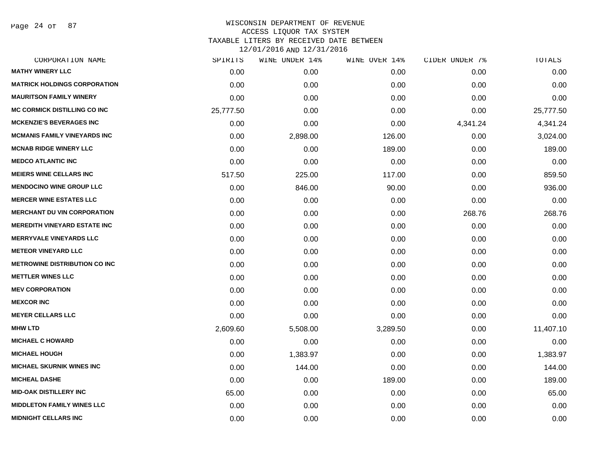Page 24 of 87

| SPIRITS   | WINE UNDER 14% | WINE OVER 14% | CIDER UNDER 7% | TOTALS    |
|-----------|----------------|---------------|----------------|-----------|
| 0.00      | 0.00           | 0.00          | 0.00           | 0.00      |
| 0.00      | 0.00           | 0.00          | 0.00           | 0.00      |
| 0.00      | 0.00           | 0.00          | 0.00           | 0.00      |
| 25,777.50 | 0.00           | 0.00          | 0.00           | 25,777.50 |
| 0.00      | 0.00           | 0.00          | 4,341.24       | 4,341.24  |
| 0.00      | 2,898.00       | 126.00        | 0.00           | 3,024.00  |
| 0.00      | 0.00           | 189.00        | 0.00           | 189.00    |
| 0.00      | 0.00           | 0.00          | 0.00           | 0.00      |
| 517.50    | 225.00         | 117.00        | 0.00           | 859.50    |
| 0.00      | 846.00         | 90.00         | 0.00           | 936.00    |
| 0.00      | 0.00           | 0.00          | 0.00           | 0.00      |
| 0.00      | 0.00           | 0.00          | 268.76         | 268.76    |
| 0.00      | 0.00           | 0.00          | 0.00           | 0.00      |
| 0.00      | 0.00           | 0.00          | 0.00           | 0.00      |
| 0.00      | 0.00           | 0.00          | 0.00           | 0.00      |
| 0.00      | 0.00           | 0.00          | 0.00           | 0.00      |
| 0.00      | 0.00           | 0.00          | 0.00           | 0.00      |
| 0.00      | 0.00           | 0.00          | 0.00           | 0.00      |
| 0.00      | 0.00           | 0.00          | 0.00           | 0.00      |
| 0.00      | 0.00           | 0.00          | 0.00           | 0.00      |
| 2,609.60  | 5,508.00       | 3,289.50      | 0.00           | 11,407.10 |
| 0.00      | 0.00           | 0.00          | 0.00           | 0.00      |
| 0.00      | 1,383.97       | 0.00          | 0.00           | 1,383.97  |
| 0.00      | 144.00         | 0.00          | 0.00           | 144.00    |
| 0.00      | 0.00           | 189.00        | 0.00           | 189.00    |
| 65.00     | 0.00           | 0.00          | 0.00           | 65.00     |
| 0.00      | 0.00           | 0.00          | 0.00           | 0.00      |
| 0.00      | 0.00           | 0.00          | 0.00           | 0.00      |
|           |                |               |                |           |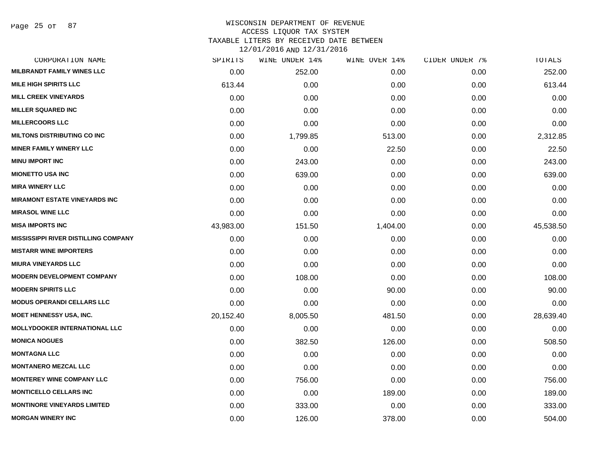Page 25 of 87

## WISCONSIN DEPARTMENT OF REVENUE ACCESS LIQUOR TAX SYSTEM TAXABLE LITERS BY RECEIVED DATE BETWEEN

| CORPORATION NAME                            | SPIRITS   | WINE UNDER 14% | WINE OVER 14% | CIDER UNDER 7% | TOTALS    |
|---------------------------------------------|-----------|----------------|---------------|----------------|-----------|
| <b>MILBRANDT FAMILY WINES LLC</b>           | 0.00      | 252.00         | 0.00          | 0.00           | 252.00    |
| <b>MILE HIGH SPIRITS LLC</b>                | 613.44    | 0.00           | 0.00          | 0.00           | 613.44    |
| <b>MILL CREEK VINEYARDS</b>                 | 0.00      | 0.00           | 0.00          | 0.00           | 0.00      |
| <b>MILLER SQUARED INC</b>                   | 0.00      | 0.00           | 0.00          | 0.00           | 0.00      |
| <b>MILLERCOORS LLC</b>                      | 0.00      | 0.00           | 0.00          | 0.00           | 0.00      |
| <b>MILTONS DISTRIBUTING CO INC</b>          | 0.00      | 1,799.85       | 513.00        | 0.00           | 2,312.85  |
| <b>MINER FAMILY WINERY LLC</b>              | 0.00      | 0.00           | 22.50         | 0.00           | 22.50     |
| <b>MINU IMPORT INC</b>                      | 0.00      | 243.00         | 0.00          | 0.00           | 243.00    |
| <b>MIONETTO USA INC</b>                     | 0.00      | 639.00         | 0.00          | 0.00           | 639.00    |
| <b>MIRA WINERY LLC</b>                      | 0.00      | 0.00           | 0.00          | 0.00           | 0.00      |
| <b>MIRAMONT ESTATE VINEYARDS INC</b>        | 0.00      | 0.00           | 0.00          | 0.00           | 0.00      |
| <b>MIRASOL WINE LLC</b>                     | 0.00      | 0.00           | 0.00          | 0.00           | 0.00      |
| <b>MISA IMPORTS INC</b>                     | 43,983.00 | 151.50         | 1,404.00      | 0.00           | 45,538.50 |
| <b>MISSISSIPPI RIVER DISTILLING COMPANY</b> | 0.00      | 0.00           | 0.00          | 0.00           | 0.00      |
| <b>MISTARR WINE IMPORTERS</b>               | 0.00      | 0.00           | 0.00          | 0.00           | 0.00      |
| <b>MIURA VINEYARDS LLC</b>                  | 0.00      | 0.00           | 0.00          | 0.00           | 0.00      |
| <b>MODERN DEVELOPMENT COMPANY</b>           | 0.00      | 108.00         | 0.00          | 0.00           | 108.00    |
| <b>MODERN SPIRITS LLC</b>                   | 0.00      | 0.00           | 90.00         | 0.00           | 90.00     |
| <b>MODUS OPERANDI CELLARS LLC</b>           | 0.00      | 0.00           | 0.00          | 0.00           | 0.00      |
| <b>MOET HENNESSY USA, INC.</b>              | 20,152.40 | 8,005.50       | 481.50        | 0.00           | 28,639.40 |
| <b>MOLLYDOOKER INTERNATIONAL LLC</b>        | 0.00      | 0.00           | 0.00          | 0.00           | 0.00      |
| <b>MONICA NOGUES</b>                        | 0.00      | 382.50         | 126.00        | 0.00           | 508.50    |
| <b>MONTAGNA LLC</b>                         | 0.00      | 0.00           | 0.00          | 0.00           | 0.00      |
| <b>MONTANERO MEZCAL LLC</b>                 | 0.00      | 0.00           | 0.00          | 0.00           | 0.00      |
| <b>MONTEREY WINE COMPANY LLC</b>            | 0.00      | 756.00         | 0.00          | 0.00           | 756.00    |
| <b>MONTICELLO CELLARS INC</b>               | 0.00      | 0.00           | 189.00        | 0.00           | 189.00    |
| <b>MONTINORE VINEYARDS LIMITED</b>          | 0.00      | 333.00         | 0.00          | 0.00           | 333.00    |
| <b>MORGAN WINERY INC</b>                    | 0.00      | 126.00         | 378.00        | 0.00           | 504.00    |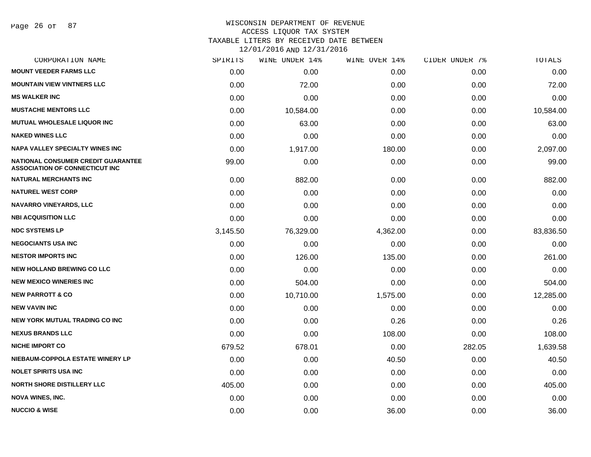## WISCONSIN DEPARTMENT OF REVENUE ACCESS LIQUOR TAX SYSTEM TAXABLE LITERS BY RECEIVED DATE BETWEEN

| CORPORATION NAME                                                                   | SPIRITS  | WINE UNDER 14% | WINE OVER 14% | CIDER UNDER 7% | TOTALS    |
|------------------------------------------------------------------------------------|----------|----------------|---------------|----------------|-----------|
| <b>MOUNT VEEDER FARMS LLC</b>                                                      | 0.00     | 0.00           | 0.00          | 0.00           | 0.00      |
| <b>MOUNTAIN VIEW VINTNERS LLC</b>                                                  | 0.00     | 72.00          | 0.00          | 0.00           | 72.00     |
| <b>MS WALKER INC</b>                                                               | 0.00     | 0.00           | 0.00          | 0.00           | 0.00      |
| <b>MUSTACHE MENTORS LLC</b>                                                        | 0.00     | 10,584.00      | 0.00          | 0.00           | 10,584.00 |
| <b>MUTUAL WHOLESALE LIQUOR INC</b>                                                 | 0.00     | 63.00          | 0.00          | 0.00           | 63.00     |
| <b>NAKED WINES LLC</b>                                                             | 0.00     | 0.00           | 0.00          | 0.00           | 0.00      |
| NAPA VALLEY SPECIALTY WINES INC                                                    | 0.00     | 1,917.00       | 180.00        | 0.00           | 2,097.00  |
| <b>NATIONAL CONSUMER CREDIT GUARANTEE</b><br><b>ASSOCIATION OF CONNECTICUT INC</b> | 99.00    | 0.00           | 0.00          | 0.00           | 99.00     |
| <b>NATURAL MERCHANTS INC</b>                                                       | 0.00     | 882.00         | 0.00          | 0.00           | 882.00    |
| <b>NATUREL WEST CORP</b>                                                           | 0.00     | 0.00           | 0.00          | 0.00           | 0.00      |
| <b>NAVARRO VINEYARDS, LLC</b>                                                      | 0.00     | 0.00           | 0.00          | 0.00           | 0.00      |
| <b>NBI ACQUISITION LLC</b>                                                         | 0.00     | 0.00           | 0.00          | 0.00           | 0.00      |
| <b>NDC SYSTEMS LP</b>                                                              | 3,145.50 | 76,329.00      | 4,362.00      | 0.00           | 83,836.50 |
| <b>NEGOCIANTS USA INC</b>                                                          | 0.00     | 0.00           | 0.00          | 0.00           | 0.00      |
| <b>NESTOR IMPORTS INC</b>                                                          | 0.00     | 126.00         | 135.00        | 0.00           | 261.00    |
| <b>NEW HOLLAND BREWING CO LLC</b>                                                  | 0.00     | 0.00           | 0.00          | 0.00           | 0.00      |
| <b>NEW MEXICO WINERIES INC</b>                                                     | 0.00     | 504.00         | 0.00          | 0.00           | 504.00    |
| <b>NEW PARROTT &amp; CO</b>                                                        | 0.00     | 10,710.00      | 1,575.00      | 0.00           | 12,285.00 |
| <b>NEW VAVIN INC</b>                                                               | 0.00     | 0.00           | 0.00          | 0.00           | 0.00      |
| NEW YORK MUTUAL TRADING CO INC                                                     | 0.00     | 0.00           | 0.26          | 0.00           | 0.26      |
| <b>NEXUS BRANDS LLC</b>                                                            | 0.00     | 0.00           | 108.00        | 0.00           | 108.00    |
| <b>NICHE IMPORT CO</b>                                                             | 679.52   | 678.01         | 0.00          | 282.05         | 1,639.58  |
| NIEBAUM-COPPOLA ESTATE WINERY LP                                                   | 0.00     | 0.00           | 40.50         | 0.00           | 40.50     |
| <b>NOLET SPIRITS USA INC</b>                                                       | 0.00     | 0.00           | 0.00          | 0.00           | 0.00      |
| <b>NORTH SHORE DISTILLERY LLC</b>                                                  | 405.00   | 0.00           | 0.00          | 0.00           | 405.00    |
| <b>NOVA WINES, INC.</b>                                                            | 0.00     | 0.00           | 0.00          | 0.00           | 0.00      |
| <b>NUCCIO &amp; WISE</b>                                                           | 0.00     | 0.00           | 36.00         | 0.00           | 36.00     |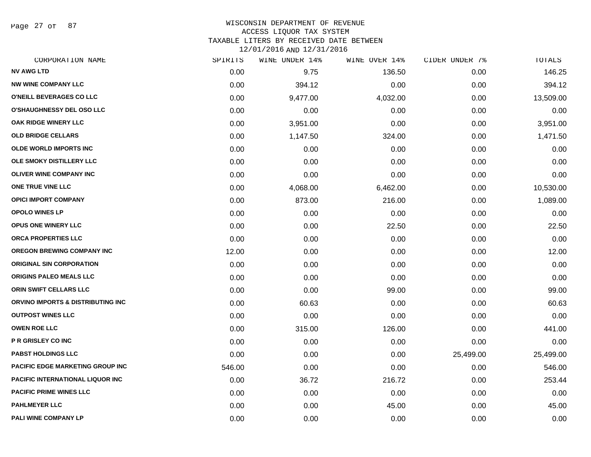Page 27 of 87

## WISCONSIN DEPARTMENT OF REVENUE ACCESS LIQUOR TAX SYSTEM TAXABLE LITERS BY RECEIVED DATE BETWEEN

| CORPORATION NAME                        | SPIRITS | WINE UNDER 14% | WINE OVER 14% | CIDER UNDER 7% | <b>TOTALS</b> |
|-----------------------------------------|---------|----------------|---------------|----------------|---------------|
| <b>NV AWG LTD</b>                       | 0.00    | 9.75           | 136.50        | 0.00           | 146.25        |
| <b>NW WINE COMPANY LLC</b>              | 0.00    | 394.12         | 0.00          | 0.00           | 394.12        |
| O'NEILL BEVERAGES CO LLC                | 0.00    | 9,477.00       | 4,032.00      | 0.00           | 13,509.00     |
| <b>O'SHAUGHNESSY DEL OSO LLC</b>        | 0.00    | 0.00           | 0.00          | 0.00           | 0.00          |
| <b>OAK RIDGE WINERY LLC</b>             | 0.00    | 3,951.00       | 0.00          | 0.00           | 3,951.00      |
| <b>OLD BRIDGE CELLARS</b>               | 0.00    | 1,147.50       | 324.00        | 0.00           | 1,471.50      |
| <b>OLDE WORLD IMPORTS INC</b>           | 0.00    | 0.00           | 0.00          | 0.00           | 0.00          |
| OLE SMOKY DISTILLERY LLC                | 0.00    | 0.00           | 0.00          | 0.00           | 0.00          |
| <b>OLIVER WINE COMPANY INC</b>          | 0.00    | 0.00           | 0.00          | 0.00           | 0.00          |
| ONE TRUE VINE LLC                       | 0.00    | 4,068.00       | 6,462.00      | 0.00           | 10,530.00     |
| <b>OPICI IMPORT COMPANY</b>             | 0.00    | 873.00         | 216.00        | 0.00           | 1,089.00      |
| <b>OPOLO WINES LP</b>                   | 0.00    | 0.00           | 0.00          | 0.00           | 0.00          |
| OPUS ONE WINERY LLC                     | 0.00    | 0.00           | 22.50         | 0.00           | 22.50         |
| ORCA PROPERTIES LLC                     | 0.00    | 0.00           | 0.00          | 0.00           | 0.00          |
| OREGON BREWING COMPANY INC              | 12.00   | 0.00           | 0.00          | 0.00           | 12.00         |
| <b>ORIGINAL SIN CORPORATION</b>         | 0.00    | 0.00           | 0.00          | 0.00           | 0.00          |
| <b>ORIGINS PALEO MEALS LLC</b>          | 0.00    | 0.00           | 0.00          | 0.00           | 0.00          |
| ORIN SWIFT CELLARS LLC                  | 0.00    | 0.00           | 99.00         | 0.00           | 99.00         |
| ORVINO IMPORTS & DISTRIBUTING INC       | 0.00    | 60.63          | 0.00          | 0.00           | 60.63         |
| <b>OUTPOST WINES LLC</b>                | 0.00    | 0.00           | 0.00          | 0.00           | 0.00          |
| <b>OWEN ROE LLC</b>                     | 0.00    | 315.00         | 126.00        | 0.00           | 441.00        |
| P R GRISLEY CO INC                      | 0.00    | 0.00           | 0.00          | 0.00           | 0.00          |
| <b>PABST HOLDINGS LLC</b>               | 0.00    | 0.00           | 0.00          | 25,499.00      | 25,499.00     |
| <b>PACIFIC EDGE MARKETING GROUP INC</b> | 546.00  | 0.00           | 0.00          | 0.00           | 546.00        |
| <b>PACIFIC INTERNATIONAL LIQUOR INC</b> | 0.00    | 36.72          | 216.72        | 0.00           | 253.44        |
| <b>PACIFIC PRIME WINES LLC</b>          | 0.00    | 0.00           | 0.00          | 0.00           | 0.00          |
| <b>PAHLMEYER LLC</b>                    | 0.00    | 0.00           | 45.00         | 0.00           | 45.00         |
| PALI WINE COMPANY LP                    | 0.00    | 0.00           | 0.00          | 0.00           | 0.00          |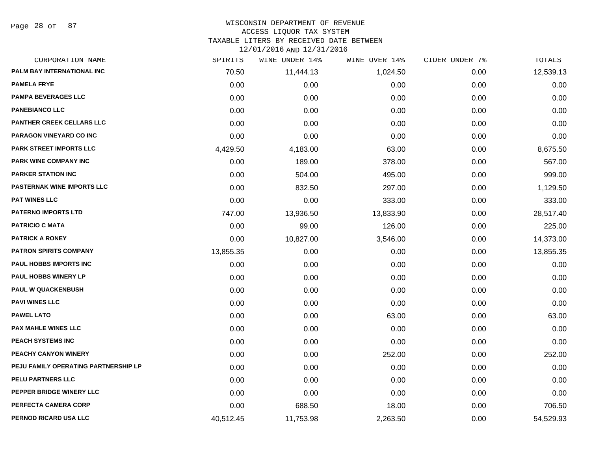Page 28 of 87

## WISCONSIN DEPARTMENT OF REVENUE ACCESS LIQUOR TAX SYSTEM TAXABLE LITERS BY RECEIVED DATE BETWEEN

| CORPORATION NAME                     | SPIRITS   | WINE UNDER 14% | WINE OVER 14% | CIDER UNDER 7% | TOTALS    |
|--------------------------------------|-----------|----------------|---------------|----------------|-----------|
| PALM BAY INTERNATIONAL INC           | 70.50     | 11,444.13      | 1,024.50      | 0.00           | 12,539.13 |
| <b>PAMELA FRYE</b>                   | 0.00      | 0.00           | 0.00          | 0.00           | 0.00      |
| <b>PAMPA BEVERAGES LLC</b>           | 0.00      | 0.00           | 0.00          | 0.00           | 0.00      |
| <b>PANEBIANCO LLC</b>                | 0.00      | 0.00           | 0.00          | 0.00           | 0.00      |
| <b>PANTHER CREEK CELLARS LLC</b>     | 0.00      | 0.00           | 0.00          | 0.00           | 0.00      |
| PARAGON VINEYARD CO INC              | 0.00      | 0.00           | 0.00          | 0.00           | 0.00      |
| PARK STREET IMPORTS LLC              | 4,429.50  | 4,183.00       | 63.00         | 0.00           | 8,675.50  |
| <b>PARK WINE COMPANY INC</b>         | 0.00      | 189.00         | 378.00        | 0.00           | 567.00    |
| <b>PARKER STATION INC</b>            | 0.00      | 504.00         | 495.00        | 0.00           | 999.00    |
| <b>PASTERNAK WINE IMPORTS LLC</b>    | 0.00      | 832.50         | 297.00        | 0.00           | 1,129.50  |
| <b>PAT WINES LLC</b>                 | 0.00      | 0.00           | 333.00        | 0.00           | 333.00    |
| <b>PATERNO IMPORTS LTD</b>           | 747.00    | 13,936.50      | 13,833.90     | 0.00           | 28,517.40 |
| <b>PATRICIO C MATA</b>               | 0.00      | 99.00          | 126.00        | 0.00           | 225.00    |
| <b>PATRICK A RONEY</b>               | 0.00      | 10,827.00      | 3,546.00      | 0.00           | 14,373.00 |
| <b>PATRON SPIRITS COMPANY</b>        | 13,855.35 | 0.00           | 0.00          | 0.00           | 13,855.35 |
| PAUL HOBBS IMPORTS INC               | 0.00      | 0.00           | 0.00          | 0.00           | 0.00      |
| <b>PAUL HOBBS WINERY LP</b>          | 0.00      | 0.00           | 0.00          | 0.00           | 0.00      |
| <b>PAUL W QUACKENBUSH</b>            | 0.00      | 0.00           | 0.00          | 0.00           | 0.00      |
| <b>PAVI WINES LLC</b>                | 0.00      | 0.00           | 0.00          | 0.00           | 0.00      |
| <b>PAWEL LATO</b>                    | 0.00      | 0.00           | 63.00         | 0.00           | 63.00     |
| <b>PAX MAHLE WINES LLC</b>           | 0.00      | 0.00           | 0.00          | 0.00           | 0.00      |
| PEACH SYSTEMS INC                    | 0.00      | 0.00           | 0.00          | 0.00           | 0.00      |
| PEACHY CANYON WINERY                 | 0.00      | 0.00           | 252.00        | 0.00           | 252.00    |
| PEJU FAMILY OPERATING PARTNERSHIP LP | 0.00      | 0.00           | 0.00          | 0.00           | 0.00      |
| PELU PARTNERS LLC                    | 0.00      | 0.00           | 0.00          | 0.00           | 0.00      |
| PEPPER BRIDGE WINERY LLC             | 0.00      | 0.00           | 0.00          | 0.00           | 0.00      |
| PERFECTA CAMERA CORP                 | 0.00      | 688.50         | 18.00         | 0.00           | 706.50    |
| PERNOD RICARD USA LLC                | 40,512.45 | 11,753.98      | 2,263.50      | 0.00           | 54,529.93 |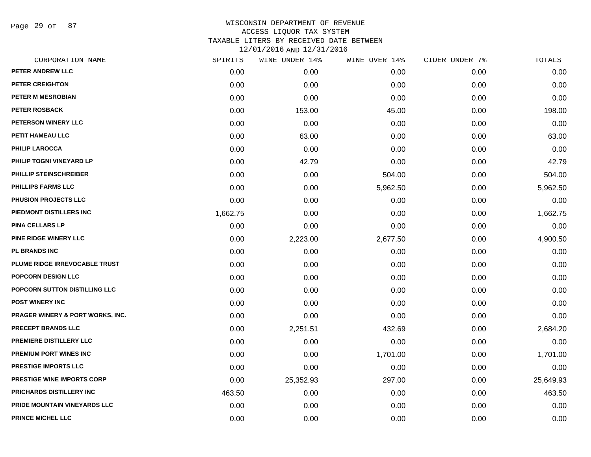Page 29 of 87

| CORPORATION NAME                            | SPIRITS  | WINE UNDER 14% | WINE OVER 14% | CIDER UNDER 7% | TOTALS    |
|---------------------------------------------|----------|----------------|---------------|----------------|-----------|
| PETER ANDREW LLC                            | 0.00     | 0.00           | 0.00          | 0.00           | 0.00      |
| <b>PETER CREIGHTON</b>                      | 0.00     | 0.00           | 0.00          | 0.00           | 0.00      |
| PETER M MESROBIAN                           | 0.00     | 0.00           | 0.00          | 0.00           | 0.00      |
| PETER ROSBACK                               | 0.00     | 153.00         | 45.00         | 0.00           | 198.00    |
| PETERSON WINERY LLC                         | 0.00     | 0.00           | 0.00          | 0.00           | 0.00      |
| PETIT HAMEAU LLC                            | 0.00     | 63.00          | 0.00          | 0.00           | 63.00     |
| <b>PHILIP LAROCCA</b>                       | 0.00     | 0.00           | 0.00          | 0.00           | 0.00      |
| PHILIP TOGNI VINEYARD LP                    | 0.00     | 42.79          | 0.00          | 0.00           | 42.79     |
| PHILLIP STEINSCHREIBER                      | 0.00     | 0.00           | 504.00        | 0.00           | 504.00    |
| <b>PHILLIPS FARMS LLC</b>                   | 0.00     | 0.00           | 5,962.50      | 0.00           | 5,962.50  |
| <b>PHUSION PROJECTS LLC</b>                 | 0.00     | 0.00           | 0.00          | 0.00           | 0.00      |
| PIEDMONT DISTILLERS INC                     | 1,662.75 | 0.00           | 0.00          | 0.00           | 1,662.75  |
| PINA CELLARS LP                             | 0.00     | 0.00           | 0.00          | 0.00           | 0.00      |
| PINE RIDGE WINERY LLC                       | 0.00     | 2,223.00       | 2,677.50      | 0.00           | 4,900.50  |
| <b>PL BRANDS INC</b>                        | 0.00     | 0.00           | 0.00          | 0.00           | 0.00      |
| PLUME RIDGE IRREVOCABLE TRUST               | 0.00     | 0.00           | 0.00          | 0.00           | 0.00      |
| <b>POPCORN DESIGN LLC</b>                   | 0.00     | 0.00           | 0.00          | 0.00           | 0.00      |
| POPCORN SUTTON DISTILLING LLC               | 0.00     | 0.00           | 0.00          | 0.00           | 0.00      |
| <b>POST WINERY INC</b>                      | 0.00     | 0.00           | 0.00          | 0.00           | 0.00      |
| <b>PRAGER WINERY &amp; PORT WORKS, INC.</b> | 0.00     | 0.00           | 0.00          | 0.00           | 0.00      |
| <b>PRECEPT BRANDS LLC</b>                   | 0.00     | 2,251.51       | 432.69        | 0.00           | 2,684.20  |
| PREMIERE DISTILLERY LLC                     | 0.00     | 0.00           | 0.00          | 0.00           | 0.00      |
| PREMIUM PORT WINES INC                      | 0.00     | 0.00           | 1,701.00      | 0.00           | 1,701.00  |
| <b>PRESTIGE IMPORTS LLC</b>                 | 0.00     | 0.00           | 0.00          | 0.00           | 0.00      |
| <b>PRESTIGE WINE IMPORTS CORP</b>           | 0.00     | 25,352.93      | 297.00        | 0.00           | 25,649.93 |
| PRICHARDS DISTILLERY INC                    | 463.50   | 0.00           | 0.00          | 0.00           | 463.50    |
| PRIDE MOUNTAIN VINEYARDS LLC                | 0.00     | 0.00           | 0.00          | 0.00           | 0.00      |
| <b>PRINCE MICHEL LLC</b>                    | 0.00     | 0.00           | 0.00          | 0.00           | 0.00      |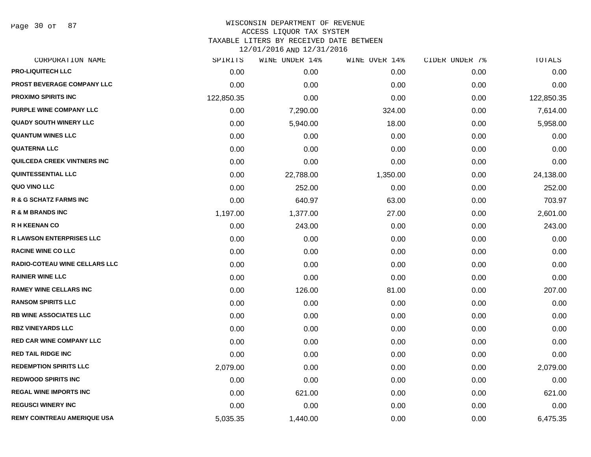Page 30 of 87

| SPIRITS    | WINE UNDER 14% | WINE OVER 14% | CIDER UNDER 7% | TOTALS     |
|------------|----------------|---------------|----------------|------------|
| 0.00       | 0.00           | 0.00          | 0.00           | 0.00       |
| 0.00       | 0.00           | 0.00          | 0.00           | 0.00       |
| 122,850.35 | 0.00           | 0.00          | 0.00           | 122,850.35 |
| 0.00       | 7,290.00       | 324.00        | 0.00           | 7,614.00   |
| 0.00       | 5,940.00       | 18.00         | 0.00           | 5,958.00   |
| 0.00       | 0.00           | 0.00          | 0.00           | 0.00       |
| 0.00       | 0.00           | 0.00          | 0.00           | 0.00       |
| 0.00       | 0.00           | 0.00          | 0.00           | 0.00       |
| 0.00       | 22,788.00      | 1,350.00      | 0.00           | 24,138.00  |
| 0.00       | 252.00         | 0.00          | 0.00           | 252.00     |
| 0.00       | 640.97         | 63.00         | 0.00           | 703.97     |
| 1,197.00   | 1,377.00       | 27.00         | 0.00           | 2,601.00   |
| 0.00       | 243.00         | 0.00          | 0.00           | 243.00     |
| 0.00       | 0.00           | 0.00          | 0.00           | 0.00       |
| 0.00       | 0.00           | 0.00          | 0.00           | 0.00       |
| 0.00       | 0.00           | 0.00          | 0.00           | 0.00       |
| 0.00       | 0.00           | 0.00          | 0.00           | 0.00       |
| 0.00       | 126.00         | 81.00         | 0.00           | 207.00     |
| 0.00       | 0.00           | 0.00          | 0.00           | 0.00       |
| 0.00       | 0.00           | 0.00          | 0.00           | 0.00       |
| 0.00       | 0.00           | 0.00          | 0.00           | 0.00       |
| 0.00       | 0.00           | 0.00          | 0.00           | 0.00       |
| 0.00       | 0.00           | 0.00          | 0.00           | 0.00       |
| 2,079.00   | 0.00           | 0.00          | 0.00           | 2,079.00   |
| 0.00       | 0.00           | 0.00          | 0.00           | 0.00       |
| 0.00       | 621.00         | 0.00          | 0.00           | 621.00     |
| 0.00       | 0.00           | 0.00          | 0.00           | 0.00       |
| 5,035.35   | 1,440.00       | 0.00          | 0.00           | 6,475.35   |
|            |                |               |                |            |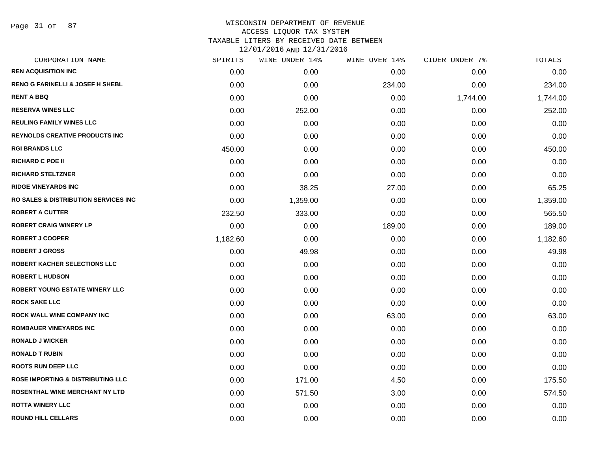Page 31 of 87

| CORPORATION NAME                                 | SPIRITS  | WINE UNDER 14% | WINE OVER 14% | CIDER UNDER 7% | TOTALS   |
|--------------------------------------------------|----------|----------------|---------------|----------------|----------|
| <b>REN ACQUISITION INC</b>                       | 0.00     | 0.00           | 0.00          | 0.00           | 0.00     |
| <b>RENO G FARINELLI &amp; JOSEF H SHEBL</b>      | 0.00     | 0.00           | 234.00        | 0.00           | 234.00   |
| <b>RENT A BBQ</b>                                | 0.00     | 0.00           | 0.00          | 1,744.00       | 1,744.00 |
| <b>RESERVA WINES LLC</b>                         | 0.00     | 252.00         | 0.00          | 0.00           | 252.00   |
| <b>REULING FAMILY WINES LLC</b>                  | 0.00     | 0.00           | 0.00          | 0.00           | 0.00     |
| <b>REYNOLDS CREATIVE PRODUCTS INC</b>            | 0.00     | 0.00           | 0.00          | 0.00           | 0.00     |
| <b>RGI BRANDS LLC</b>                            | 450.00   | 0.00           | 0.00          | 0.00           | 450.00   |
| <b>RICHARD C POE II</b>                          | 0.00     | 0.00           | 0.00          | 0.00           | 0.00     |
| <b>RICHARD STELTZNER</b>                         | 0.00     | 0.00           | 0.00          | 0.00           | 0.00     |
| <b>RIDGE VINEYARDS INC</b>                       | 0.00     | 38.25          | 27.00         | 0.00           | 65.25    |
| <b>RO SALES &amp; DISTRIBUTION SERVICES INC.</b> | 0.00     | 1,359.00       | 0.00          | 0.00           | 1,359.00 |
| <b>ROBERT A CUTTER</b>                           | 232.50   | 333.00         | 0.00          | 0.00           | 565.50   |
| <b>ROBERT CRAIG WINERY LP</b>                    | 0.00     | 0.00           | 189.00        | 0.00           | 189.00   |
| <b>ROBERT J COOPER</b>                           | 1,182.60 | 0.00           | 0.00          | 0.00           | 1,182.60 |
| <b>ROBERT J GROSS</b>                            | 0.00     | 49.98          | 0.00          | 0.00           | 49.98    |
| ROBERT KACHER SELECTIONS LLC                     | 0.00     | 0.00           | 0.00          | 0.00           | 0.00     |
| <b>ROBERT L HUDSON</b>                           | 0.00     | 0.00           | 0.00          | 0.00           | 0.00     |
| <b>ROBERT YOUNG ESTATE WINERY LLC</b>            | 0.00     | 0.00           | 0.00          | 0.00           | 0.00     |
| <b>ROCK SAKE LLC</b>                             | 0.00     | 0.00           | 0.00          | 0.00           | 0.00     |
| <b>ROCK WALL WINE COMPANY INC</b>                | 0.00     | 0.00           | 63.00         | 0.00           | 63.00    |
| ROMBAUER VINEYARDS INC                           | 0.00     | 0.00           | 0.00          | 0.00           | 0.00     |
| <b>RONALD J WICKER</b>                           | 0.00     | 0.00           | 0.00          | 0.00           | 0.00     |
| <b>RONALD T RUBIN</b>                            | 0.00     | 0.00           | 0.00          | 0.00           | 0.00     |
| <b>ROOTS RUN DEEP LLC</b>                        | 0.00     | 0.00           | 0.00          | 0.00           | 0.00     |
| <b>ROSE IMPORTING &amp; DISTRIBUTING LLC</b>     | 0.00     | 171.00         | 4.50          | 0.00           | 175.50   |
| ROSENTHAL WINE MERCHANT NY LTD                   | 0.00     | 571.50         | 3.00          | 0.00           | 574.50   |
| <b>ROTTA WINERY LLC</b>                          | 0.00     | 0.00           | 0.00          | 0.00           | 0.00     |
| <b>ROUND HILL CELLARS</b>                        | 0.00     | 0.00           | 0.00          | 0.00           | 0.00     |
|                                                  |          |                |               |                |          |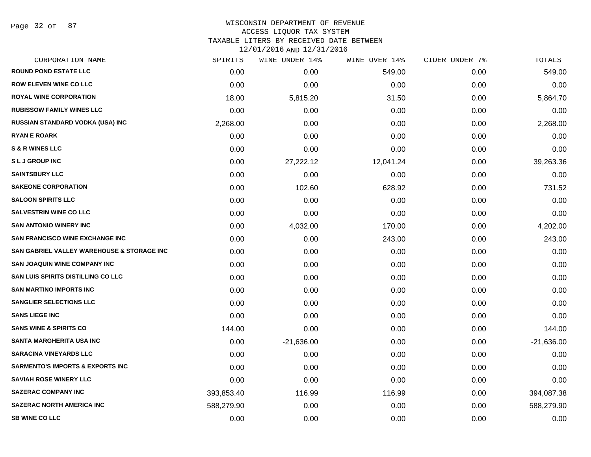#### WISCONSIN DEPARTMENT OF REVENUE ACCESS LIQUOR TAX SYSTEM

TAXABLE LITERS BY RECEIVED DATE BETWEEN

|  | TY\NT\YATQRUDIY\?I\YAT |  |  |
|--|------------------------|--|--|
|  |                        |  |  |

| CORPORATION NAME                                      | SPIRITS    | WINE UNDER 14% | WINE OVER 14% | CIDER UNDER 7% | TOTALS       |
|-------------------------------------------------------|------------|----------------|---------------|----------------|--------------|
| <b>ROUND POND ESTATE LLC</b>                          | 0.00       | 0.00           | 549.00        | 0.00           | 549.00       |
| <b>ROW ELEVEN WINE CO LLC</b>                         | 0.00       | 0.00           | 0.00          | 0.00           | 0.00         |
| <b>ROYAL WINE CORPORATION</b>                         | 18.00      | 5,815.20       | 31.50         | 0.00           | 5,864.70     |
| <b>RUBISSOW FAMILY WINES LLC</b>                      | 0.00       | 0.00           | 0.00          | 0.00           | 0.00         |
| <b>RUSSIAN STANDARD VODKA (USA) INC</b>               | 2,268.00   | 0.00           | 0.00          | 0.00           | 2,268.00     |
| <b>RYAN E ROARK</b>                                   | 0.00       | 0.00           | 0.00          | 0.00           | 0.00         |
| <b>S &amp; R WINES LLC</b>                            | 0.00       | 0.00           | 0.00          | 0.00           | 0.00         |
| <b>SLJGROUP INC</b>                                   | 0.00       | 27,222.12      | 12,041.24     | 0.00           | 39,263.36    |
| <b>SAINTSBURY LLC</b>                                 | 0.00       | 0.00           | 0.00          | 0.00           | 0.00         |
| <b>SAKEONE CORPORATION</b>                            | 0.00       | 102.60         | 628.92        | 0.00           | 731.52       |
| <b>SALOON SPIRITS LLC</b>                             | 0.00       | 0.00           | 0.00          | 0.00           | 0.00         |
| <b>SALVESTRIN WINE CO LLC</b>                         | 0.00       | 0.00           | 0.00          | 0.00           | 0.00         |
| <b>SAN ANTONIO WINERY INC</b>                         | 0.00       | 4,032.00       | 170.00        | 0.00           | 4,202.00     |
| <b>SAN FRANCISCO WINE EXCHANGE INC</b>                | 0.00       | 0.00           | 243.00        | 0.00           | 243.00       |
| <b>SAN GABRIEL VALLEY WAREHOUSE &amp; STORAGE INC</b> | 0.00       | 0.00           | 0.00          | 0.00           | 0.00         |
| <b>SAN JOAQUIN WINE COMPANY INC</b>                   | 0.00       | 0.00           | 0.00          | 0.00           | 0.00         |
| SAN LUIS SPIRITS DISTILLING CO LLC                    | 0.00       | 0.00           | 0.00          | 0.00           | 0.00         |
| <b>SAN MARTINO IMPORTS INC</b>                        | 0.00       | 0.00           | 0.00          | 0.00           | 0.00         |
| <b>SANGLIER SELECTIONS LLC</b>                        | 0.00       | 0.00           | 0.00          | 0.00           | 0.00         |
| <b>SANS LIEGE INC</b>                                 | 0.00       | 0.00           | 0.00          | 0.00           | 0.00         |
| <b>SANS WINE &amp; SPIRITS CO</b>                     | 144.00     | 0.00           | 0.00          | 0.00           | 144.00       |
| SANTA MARGHERITA USA INC                              | 0.00       | $-21,636.00$   | 0.00          | 0.00           | $-21,636.00$ |
| <b>SARACINA VINEYARDS LLC</b>                         | 0.00       | 0.00           | 0.00          | 0.00           | 0.00         |
| <b>SARMENTO'S IMPORTS &amp; EXPORTS INC</b>           | 0.00       | 0.00           | 0.00          | 0.00           | 0.00         |
| <b>SAVIAH ROSE WINERY LLC</b>                         | 0.00       | 0.00           | 0.00          | 0.00           | 0.00         |
| <b>SAZERAC COMPANY INC</b>                            | 393,853.40 | 116.99         | 116.99        | 0.00           | 394,087.38   |
| <b>SAZERAC NORTH AMERICA INC</b>                      | 588,279.90 | 0.00           | 0.00          | 0.00           | 588,279.90   |
| <b>SB WINE CO LLC</b>                                 | 0.00       | 0.00           | 0.00          | 0.00           | 0.00         |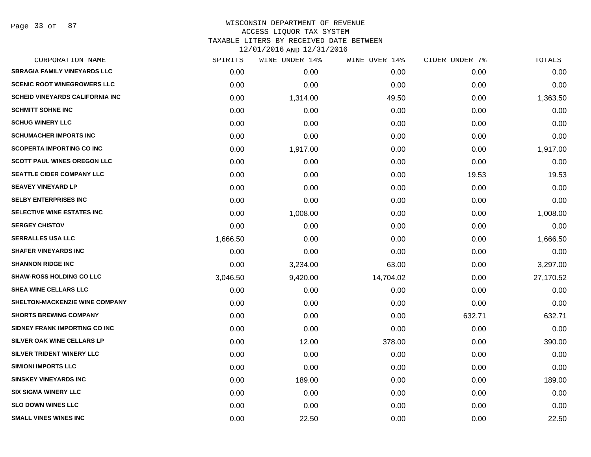Page 33 of 87

| CORPORATION NAME                       | SPIRITS  | WINE UNDER 14% | WINE OVER 14% | CIDER UNDER 7% | TOTALS    |
|----------------------------------------|----------|----------------|---------------|----------------|-----------|
| <b>SBRAGIA FAMILY VINEYARDS LLC</b>    | 0.00     | 0.00           | 0.00          | 0.00           | 0.00      |
| <b>SCENIC ROOT WINEGROWERS LLC</b>     | 0.00     | 0.00           | 0.00          | 0.00           | 0.00      |
| <b>SCHEID VINEYARDS CALIFORNIA INC</b> | 0.00     | 1,314.00       | 49.50         | 0.00           | 1,363.50  |
| <b>SCHMITT SOHNE INC</b>               | 0.00     | 0.00           | 0.00          | 0.00           | 0.00      |
| <b>SCHUG WINERY LLC</b>                | 0.00     | 0.00           | 0.00          | 0.00           | 0.00      |
| <b>SCHUMACHER IMPORTS INC</b>          | 0.00     | 0.00           | 0.00          | 0.00           | 0.00      |
| <b>SCOPERTA IMPORTING CO INC</b>       | 0.00     | 1,917.00       | 0.00          | 0.00           | 1,917.00  |
| <b>SCOTT PAUL WINES OREGON LLC</b>     | 0.00     | 0.00           | 0.00          | 0.00           | 0.00      |
| <b>SEATTLE CIDER COMPANY LLC</b>       | 0.00     | 0.00           | 0.00          | 19.53          | 19.53     |
| <b>SEAVEY VINEYARD LP</b>              | 0.00     | 0.00           | 0.00          | 0.00           | 0.00      |
| <b>SELBY ENTERPRISES INC</b>           | 0.00     | 0.00           | 0.00          | 0.00           | 0.00      |
| SELECTIVE WINE ESTATES INC             | 0.00     | 1,008.00       | 0.00          | 0.00           | 1,008.00  |
| <b>SERGEY CHISTOV</b>                  | 0.00     | 0.00           | 0.00          | 0.00           | 0.00      |
| <b>SERRALLES USA LLC</b>               | 1,666.50 | 0.00           | 0.00          | 0.00           | 1,666.50  |
| <b>SHAFER VINEYARDS INC</b>            | 0.00     | 0.00           | 0.00          | 0.00           | 0.00      |
| <b>SHANNON RIDGE INC</b>               | 0.00     | 3,234.00       | 63.00         | 0.00           | 3,297.00  |
| <b>SHAW-ROSS HOLDING CO LLC</b>        | 3,046.50 | 9,420.00       | 14,704.02     | 0.00           | 27,170.52 |
| SHEA WINE CELLARS LLC                  | 0.00     | 0.00           | 0.00          | 0.00           | 0.00      |
| SHELTON-MACKENZIE WINE COMPANY         | 0.00     | 0.00           | 0.00          | 0.00           | 0.00      |
| <b>SHORTS BREWING COMPANY</b>          | 0.00     | 0.00           | 0.00          | 632.71         | 632.71    |
| SIDNEY FRANK IMPORTING CO INC          | 0.00     | 0.00           | 0.00          | 0.00           | 0.00      |
| SILVER OAK WINE CELLARS LP             | 0.00     | 12.00          | 378.00        | 0.00           | 390.00    |
| SILVER TRIDENT WINERY LLC              | 0.00     | 0.00           | 0.00          | 0.00           | 0.00      |
| <b>SIMIONI IMPORTS LLC</b>             | 0.00     | 0.00           | 0.00          | 0.00           | 0.00      |
| <b>SINSKEY VINEYARDS INC</b>           | 0.00     | 189.00         | 0.00          | 0.00           | 189.00    |
| <b>SIX SIGMA WINERY LLC</b>            | 0.00     | 0.00           | 0.00          | 0.00           | 0.00      |
| <b>SLO DOWN WINES LLC</b>              | 0.00     | 0.00           | 0.00          | 0.00           | 0.00      |
| <b>SMALL VINES WINES INC</b>           | 0.00     | 22.50          | 0.00          | 0.00           | 22.50     |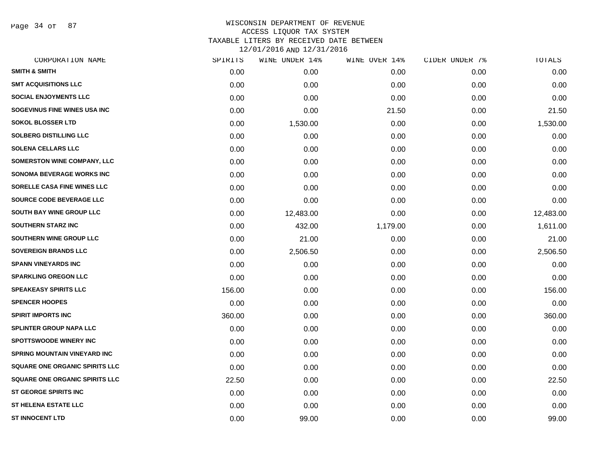Page 34 of 87

| CORPORATION NAME                      | SPIRITS | WINE UNDER 14% | WINE OVER 14% | CIDER UNDER 7% | TOTALS    |
|---------------------------------------|---------|----------------|---------------|----------------|-----------|
| <b>SMITH &amp; SMITH</b>              | 0.00    | 0.00           | 0.00          | 0.00           | 0.00      |
| <b>SMT ACQUISITIONS LLC</b>           | 0.00    | 0.00           | 0.00          | 0.00           | 0.00      |
| <b>SOCIAL ENJOYMENTS LLC</b>          | 0.00    | 0.00           | 0.00          | 0.00           | 0.00      |
| SOGEVINUS FINE WINES USA INC          | 0.00    | 0.00           | 21.50         | 0.00           | 21.50     |
| <b>SOKOL BLOSSER LTD</b>              | 0.00    | 1,530.00       | 0.00          | 0.00           | 1,530.00  |
| <b>SOLBERG DISTILLING LLC</b>         | 0.00    | 0.00           | 0.00          | 0.00           | 0.00      |
| <b>SOLENA CELLARS LLC</b>             | 0.00    | 0.00           | 0.00          | 0.00           | 0.00      |
| SOMERSTON WINE COMPANY, LLC           | 0.00    | 0.00           | 0.00          | 0.00           | 0.00      |
| <b>SONOMA BEVERAGE WORKS INC</b>      | 0.00    | 0.00           | 0.00          | 0.00           | 0.00      |
| SORELLE CASA FINE WINES LLC           | 0.00    | 0.00           | 0.00          | 0.00           | 0.00      |
| <b>SOURCE CODE BEVERAGE LLC</b>       | 0.00    | 0.00           | 0.00          | 0.00           | 0.00      |
| <b>SOUTH BAY WINE GROUP LLC</b>       | 0.00    | 12,483.00      | 0.00          | 0.00           | 12,483.00 |
| <b>SOUTHERN STARZ INC</b>             | 0.00    | 432.00         | 1,179.00      | 0.00           | 1,611.00  |
| SOUTHERN WINE GROUP LLC               | 0.00    | 21.00          | 0.00          | 0.00           | 21.00     |
| <b>SOVEREIGN BRANDS LLC</b>           | 0.00    | 2,506.50       | 0.00          | 0.00           | 2,506.50  |
| <b>SPANN VINEYARDS INC</b>            | 0.00    | 0.00           | 0.00          | 0.00           | 0.00      |
| <b>SPARKLING OREGON LLC</b>           | 0.00    | 0.00           | 0.00          | 0.00           | 0.00      |
| <b>SPEAKEASY SPIRITS LLC</b>          | 156.00  | 0.00           | 0.00          | 0.00           | 156.00    |
| <b>SPENCER HOOPES</b>                 | 0.00    | 0.00           | 0.00          | 0.00           | 0.00      |
| <b>SPIRIT IMPORTS INC</b>             | 360.00  | 0.00           | 0.00          | 0.00           | 360.00    |
| <b>SPLINTER GROUP NAPA LLC</b>        | 0.00    | 0.00           | 0.00          | 0.00           | 0.00      |
| <b>SPOTTSWOODE WINERY INC</b>         | 0.00    | 0.00           | 0.00          | 0.00           | 0.00      |
| <b>SPRING MOUNTAIN VINEYARD INC</b>   | 0.00    | 0.00           | 0.00          | 0.00           | 0.00      |
| <b>SQUARE ONE ORGANIC SPIRITS LLC</b> | 0.00    | 0.00           | 0.00          | 0.00           | 0.00      |
| <b>SQUARE ONE ORGANIC SPIRITS LLC</b> | 22.50   | 0.00           | 0.00          | 0.00           | 22.50     |
| <b>ST GEORGE SPIRITS INC</b>          | 0.00    | 0.00           | 0.00          | 0.00           | 0.00      |
| <b>ST HELENA ESTATE LLC</b>           | 0.00    | 0.00           | 0.00          | 0.00           | 0.00      |
| <b>ST INNOCENT LTD</b>                | 0.00    | 99.00          | 0.00          | 0.00           | 99.00     |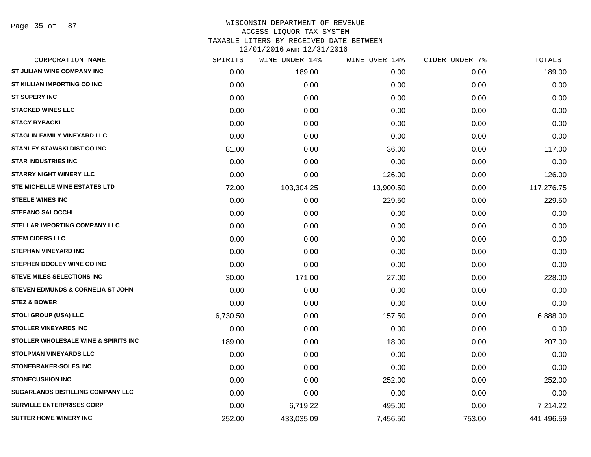Page 35 of 87

| CORPORATION NAME                             | SPIRITS  | WINE UNDER 14% | WINE OVER 14% | CIDER UNDER 7% | TOTALS     |
|----------------------------------------------|----------|----------------|---------------|----------------|------------|
| <b>ST JULIAN WINE COMPANY INC</b>            | 0.00     | 189.00         | 0.00          | 0.00           | 189.00     |
| ST KILLIAN IMPORTING CO INC                  | 0.00     | 0.00           | 0.00          | 0.00           | 0.00       |
| <b>ST SUPERY INC</b>                         | 0.00     | 0.00           | 0.00          | 0.00           | 0.00       |
| <b>STACKED WINES LLC</b>                     | 0.00     | 0.00           | 0.00          | 0.00           | 0.00       |
| <b>STACY RYBACKI</b>                         | 0.00     | 0.00           | 0.00          | 0.00           | 0.00       |
| <b>STAGLIN FAMILY VINEYARD LLC</b>           | 0.00     | 0.00           | 0.00          | 0.00           | 0.00       |
| <b>STANLEY STAWSKI DIST CO INC</b>           | 81.00    | 0.00           | 36.00         | 0.00           | 117.00     |
| <b>STAR INDUSTRIES INC</b>                   | 0.00     | 0.00           | 0.00          | 0.00           | 0.00       |
| <b>STARRY NIGHT WINERY LLC</b>               | 0.00     | 0.00           | 126.00        | 0.00           | 126.00     |
| STE MICHELLE WINE ESTATES LTD                | 72.00    | 103,304.25     | 13,900.50     | 0.00           | 117,276.75 |
| <b>STEELE WINES INC</b>                      | 0.00     | 0.00           | 229.50        | 0.00           | 229.50     |
| <b>STEFANO SALOCCHI</b>                      | 0.00     | 0.00           | 0.00          | 0.00           | 0.00       |
| <b>STELLAR IMPORTING COMPANY LLC</b>         | 0.00     | 0.00           | 0.00          | 0.00           | 0.00       |
| <b>STEM CIDERS LLC</b>                       | 0.00     | 0.00           | 0.00          | 0.00           | 0.00       |
| <b>STEPHAN VINEYARD INC</b>                  | 0.00     | 0.00           | 0.00          | 0.00           | 0.00       |
| STEPHEN DOOLEY WINE CO INC                   | 0.00     | 0.00           | 0.00          | 0.00           | 0.00       |
| <b>STEVE MILES SELECTIONS INC</b>            | 30.00    | 171.00         | 27.00         | 0.00           | 228.00     |
| <b>STEVEN EDMUNDS &amp; CORNELIA ST JOHN</b> | 0.00     | 0.00           | 0.00          | 0.00           | 0.00       |
| <b>STEZ &amp; BOWER</b>                      | 0.00     | 0.00           | 0.00          | 0.00           | 0.00       |
| <b>STOLI GROUP (USA) LLC</b>                 | 6,730.50 | 0.00           | 157.50        | 0.00           | 6,888.00   |
| <b>STOLLER VINEYARDS INC</b>                 | 0.00     | 0.00           | 0.00          | 0.00           | 0.00       |
| STOLLER WHOLESALE WINE & SPIRITS INC         | 189.00   | 0.00           | 18.00         | 0.00           | 207.00     |
| <b>STOLPMAN VINEYARDS LLC</b>                | 0.00     | 0.00           | 0.00          | 0.00           | 0.00       |
| <b>STONEBRAKER-SOLES INC</b>                 | 0.00     | 0.00           | 0.00          | 0.00           | 0.00       |
| <b>STONECUSHION INC</b>                      | 0.00     | 0.00           | 252.00        | 0.00           | 252.00     |
| SUGARLANDS DISTILLING COMPANY LLC            | 0.00     | 0.00           | 0.00          | 0.00           | 0.00       |
| <b>SURVILLE ENTERPRISES CORP</b>             | 0.00     | 6,719.22       | 495.00        | 0.00           | 7,214.22   |
| <b>SUTTER HOME WINERY INC</b>                | 252.00   | 433,035.09     | 7,456.50      | 753.00         | 441,496.59 |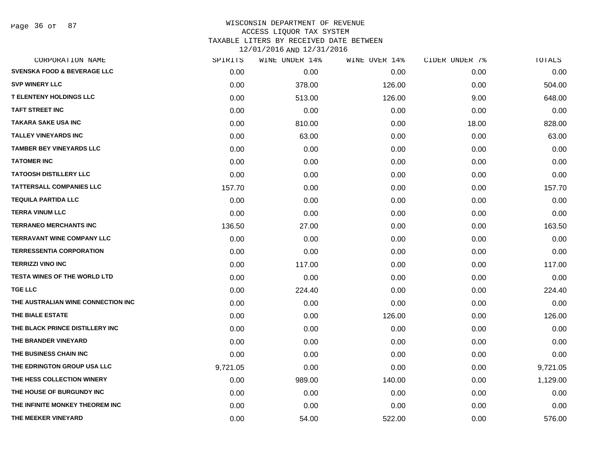Page 36 of 87

| CORPORATION NAME                       | SPIRITS  | WINE UNDER 14% | WINE OVER 14% | CIDER UNDER 7% | TOTALS   |
|----------------------------------------|----------|----------------|---------------|----------------|----------|
| <b>SVENSKA FOOD &amp; BEVERAGE LLC</b> | 0.00     | 0.00           | 0.00          | 0.00           | 0.00     |
| <b>SVP WINERY LLC</b>                  | 0.00     | 378.00         | 126.00        | 0.00           | 504.00   |
| <b>T ELENTENY HOLDINGS LLC</b>         | 0.00     | 513.00         | 126.00        | 9.00           | 648.00   |
| <b>TAFT STREET INC</b>                 | 0.00     | 0.00           | 0.00          | 0.00           | 0.00     |
| <b>TAKARA SAKE USA INC</b>             | 0.00     | 810.00         | 0.00          | 18.00          | 828.00   |
| <b>TALLEY VINEYARDS INC</b>            | 0.00     | 63.00          | 0.00          | 0.00           | 63.00    |
| <b>TAMBER BEY VINEYARDS LLC</b>        | 0.00     | 0.00           | 0.00          | 0.00           | 0.00     |
| <b>TATOMER INC</b>                     | 0.00     | 0.00           | 0.00          | 0.00           | 0.00     |
| <b>TATOOSH DISTILLERY LLC</b>          | 0.00     | 0.00           | 0.00          | 0.00           | 0.00     |
| <b>TATTERSALL COMPANIES LLC</b>        | 157.70   | 0.00           | 0.00          | 0.00           | 157.70   |
| <b>TEQUILA PARTIDA LLC</b>             | 0.00     | 0.00           | 0.00          | 0.00           | 0.00     |
| <b>TERRA VINUM LLC</b>                 | 0.00     | 0.00           | 0.00          | 0.00           | 0.00     |
| <b>TERRANEO MERCHANTS INC</b>          | 136.50   | 27.00          | 0.00          | 0.00           | 163.50   |
| <b>TERRAVANT WINE COMPANY LLC</b>      | 0.00     | 0.00           | 0.00          | 0.00           | 0.00     |
| <b>TERRESSENTIA CORPORATION</b>        | 0.00     | 0.00           | 0.00          | 0.00           | 0.00     |
| <b>TERRIZZI VINO INC</b>               | 0.00     | 117.00         | 0.00          | 0.00           | 117.00   |
| <b>TESTA WINES OF THE WORLD LTD</b>    | 0.00     | 0.00           | 0.00          | 0.00           | 0.00     |
| <b>TGE LLC</b>                         | 0.00     | 224.40         | 0.00          | 0.00           | 224.40   |
| THE AUSTRALIAN WINE CONNECTION INC     | 0.00     | 0.00           | 0.00          | 0.00           | 0.00     |
| THE BIALE ESTATE                       | 0.00     | 0.00           | 126.00        | 0.00           | 126.00   |
| THE BLACK PRINCE DISTILLERY INC        | 0.00     | 0.00           | 0.00          | 0.00           | 0.00     |
| THE BRANDER VINEYARD                   | 0.00     | 0.00           | 0.00          | 0.00           | 0.00     |
| THE BUSINESS CHAIN INC                 | 0.00     | 0.00           | 0.00          | 0.00           | 0.00     |
| THE EDRINGTON GROUP USA LLC            | 9,721.05 | 0.00           | 0.00          | 0.00           | 9,721.05 |
| THE HESS COLLECTION WINERY             | 0.00     | 989.00         | 140.00        | 0.00           | 1,129.00 |
| THE HOUSE OF BURGUNDY INC              | 0.00     | 0.00           | 0.00          | 0.00           | 0.00     |
| THE INFINITE MONKEY THEOREM INC        | 0.00     | 0.00           | 0.00          | 0.00           | 0.00     |
| THE MEEKER VINEYARD                    | 0.00     | 54.00          | 522.00        | 0.00           | 576.00   |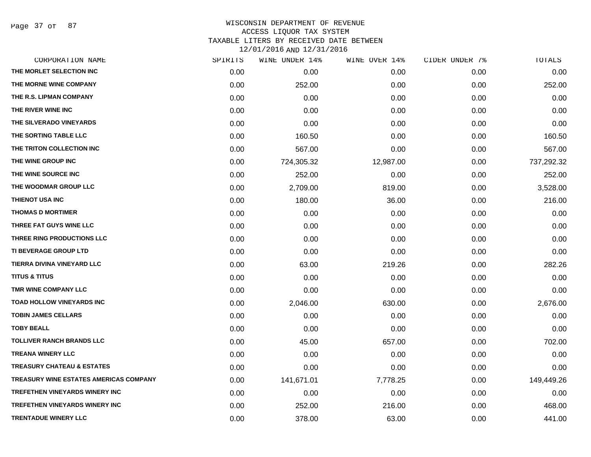Page 37 of 87

| CORPORATION NAME                       | SPIRITS | WINE UNDER 14% | WINE OVER 14% | CIDER UNDER 7% | TOTALS     |
|----------------------------------------|---------|----------------|---------------|----------------|------------|
| THE MORLET SELECTION INC               | 0.00    | 0.00           | 0.00          | 0.00           | 0.00       |
| THE MORNE WINE COMPANY                 | 0.00    | 252.00         | 0.00          | 0.00           | 252.00     |
| THE R.S. LIPMAN COMPANY                | 0.00    | 0.00           | 0.00          | 0.00           | 0.00       |
| THE RIVER WINE INC                     | 0.00    | 0.00           | 0.00          | 0.00           | 0.00       |
| THE SILVERADO VINEYARDS                | 0.00    | 0.00           | 0.00          | 0.00           | 0.00       |
| THE SORTING TABLE LLC                  | 0.00    | 160.50         | 0.00          | 0.00           | 160.50     |
| THE TRITON COLLECTION INC              | 0.00    | 567.00         | 0.00          | 0.00           | 567.00     |
| THE WINE GROUP INC                     | 0.00    | 724,305.32     | 12,987.00     | 0.00           | 737,292.32 |
| THE WINE SOURCE INC                    | 0.00    | 252.00         | 0.00          | 0.00           | 252.00     |
| THE WOODMAR GROUP LLC                  | 0.00    | 2,709.00       | 819.00        | 0.00           | 3,528.00   |
| THIENOT USA INC                        | 0.00    | 180.00         | 36.00         | 0.00           | 216.00     |
| <b>THOMAS D MORTIMER</b>               | 0.00    | 0.00           | 0.00          | 0.00           | 0.00       |
| THREE FAT GUYS WINE LLC                | 0.00    | 0.00           | 0.00          | 0.00           | 0.00       |
| THREE RING PRODUCTIONS LLC             | 0.00    | 0.00           | 0.00          | 0.00           | 0.00       |
| <b>TI BEVERAGE GROUP LTD</b>           | 0.00    | 0.00           | 0.00          | 0.00           | 0.00       |
| TIERRA DIVINA VINEYARD LLC             | 0.00    | 63.00          | 219.26        | 0.00           | 282.26     |
| <b>TITUS &amp; TITUS</b>               | 0.00    | 0.00           | 0.00          | 0.00           | 0.00       |
| TMR WINE COMPANY LLC                   | 0.00    | 0.00           | 0.00          | 0.00           | 0.00       |
| TOAD HOLLOW VINEYARDS INC              | 0.00    | 2,046.00       | 630.00        | 0.00           | 2,676.00   |
| <b>TOBIN JAMES CELLARS</b>             | 0.00    | 0.00           | 0.00          | 0.00           | 0.00       |
| <b>TOBY BEALL</b>                      | 0.00    | 0.00           | 0.00          | 0.00           | 0.00       |
| <b>TOLLIVER RANCH BRANDS LLC</b>       | 0.00    | 45.00          | 657.00        | 0.00           | 702.00     |
| <b>TREANA WINERY LLC</b>               | 0.00    | 0.00           | 0.00          | 0.00           | 0.00       |
| <b>TREASURY CHATEAU &amp; ESTATES</b>  | 0.00    | 0.00           | 0.00          | 0.00           | 0.00       |
| TREASURY WINE ESTATES AMERICAS COMPANY | 0.00    | 141,671.01     | 7,778.25      | 0.00           | 149,449.26 |
| <b>TREFETHEN VINEYARDS WINERY INC</b>  | 0.00    | 0.00           | 0.00          | 0.00           | 0.00       |
| <b>TREFETHEN VINEYARDS WINERY INC</b>  | 0.00    | 252.00         | 216.00        | 0.00           | 468.00     |
| <b>TRENTADUE WINERY LLC</b>            | 0.00    | 378.00         | 63.00         | 0.00           | 441.00     |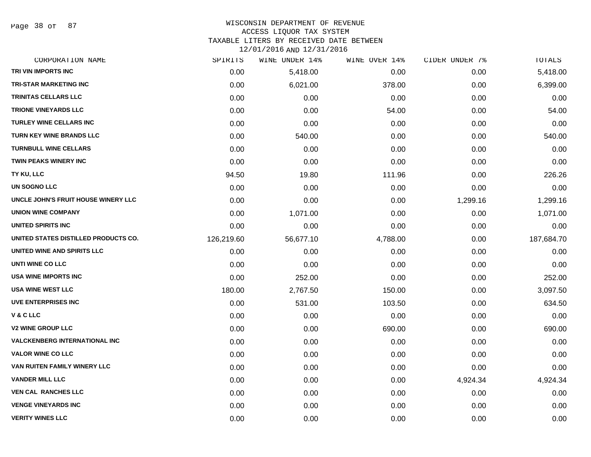Page 38 of 87

#### WISCONSIN DEPARTMENT OF REVENUE ACCESS LIQUOR TAX SYSTEM

TAXABLE LITERS BY RECEIVED DATE BETWEEN

| CORPORATION NAME                     | SPIRITS    | WINE UNDER 14% | WINE OVER 14% | CIDER UNDER 7% | TOTALS     |
|--------------------------------------|------------|----------------|---------------|----------------|------------|
| TRI VIN IMPORTS INC                  | 0.00       | 5,418.00       | 0.00          | 0.00           | 5,418.00   |
| <b>TRI-STAR MARKETING INC</b>        | 0.00       | 6,021.00       | 378.00        | 0.00           | 6,399.00   |
| <b>TRINITAS CELLARS LLC</b>          | 0.00       | 0.00           | 0.00          | 0.00           | 0.00       |
| <b>TRIONE VINEYARDS LLC</b>          | 0.00       | 0.00           | 54.00         | 0.00           | 54.00      |
| <b>TURLEY WINE CELLARS INC</b>       | 0.00       | 0.00           | 0.00          | 0.00           | 0.00       |
| <b>TURN KEY WINE BRANDS LLC</b>      | 0.00       | 540.00         | 0.00          | 0.00           | 540.00     |
| <b>TURNBULL WINE CELLARS</b>         | 0.00       | 0.00           | 0.00          | 0.00           | 0.00       |
| TWIN PEAKS WINERY INC                | 0.00       | 0.00           | 0.00          | 0.00           | 0.00       |
| TY KU, LLC                           | 94.50      | 19.80          | 111.96        | 0.00           | 226.26     |
| UN SOGNO LLC                         | 0.00       | 0.00           | 0.00          | 0.00           | 0.00       |
| UNCLE JOHN'S FRUIT HOUSE WINERY LLC  | 0.00       | 0.00           | 0.00          | 1,299.16       | 1,299.16   |
| <b>UNION WINE COMPANY</b>            | 0.00       | 1,071.00       | 0.00          | 0.00           | 1,071.00   |
| UNITED SPIRITS INC                   | 0.00       | 0.00           | 0.00          | 0.00           | 0.00       |
| UNITED STATES DISTILLED PRODUCTS CO. | 126,219.60 | 56,677.10      | 4,788.00      | 0.00           | 187,684.70 |
| UNITED WINE AND SPIRITS LLC          | 0.00       | 0.00           | 0.00          | 0.00           | 0.00       |
| UNTI WINE CO LLC                     | 0.00       | 0.00           | 0.00          | 0.00           | 0.00       |
| <b>USA WINE IMPORTS INC</b>          | 0.00       | 252.00         | 0.00          | 0.00           | 252.00     |
| <b>USA WINE WEST LLC</b>             | 180.00     | 2,767.50       | 150.00        | 0.00           | 3,097.50   |
| <b>UVE ENTERPRISES INC</b>           | 0.00       | 531.00         | 103.50        | 0.00           | 634.50     |
| V&CLLC                               | 0.00       | 0.00           | 0.00          | 0.00           | 0.00       |
| <b>V2 WINE GROUP LLC</b>             | 0.00       | 0.00           | 690.00        | 0.00           | 690.00     |
| <b>VALCKENBERG INTERNATIONAL INC</b> | 0.00       | 0.00           | 0.00          | 0.00           | 0.00       |
| <b>VALOR WINE CO LLC</b>             | 0.00       | 0.00           | 0.00          | 0.00           | 0.00       |
| VAN RUITEN FAMILY WINERY LLC         | 0.00       | 0.00           | 0.00          | 0.00           | 0.00       |
| <b>VANDER MILL LLC</b>               | 0.00       | 0.00           | 0.00          | 4,924.34       | 4,924.34   |
| <b>VEN CAL RANCHES LLC</b>           | 0.00       | 0.00           | 0.00          | 0.00           | 0.00       |
| <b>VENGE VINEYARDS INC</b>           | 0.00       | 0.00           | 0.00          | 0.00           | 0.00       |
| <b>VERITY WINES LLC</b>              | 0.00       | 0.00           | 0.00          | 0.00           | 0.00       |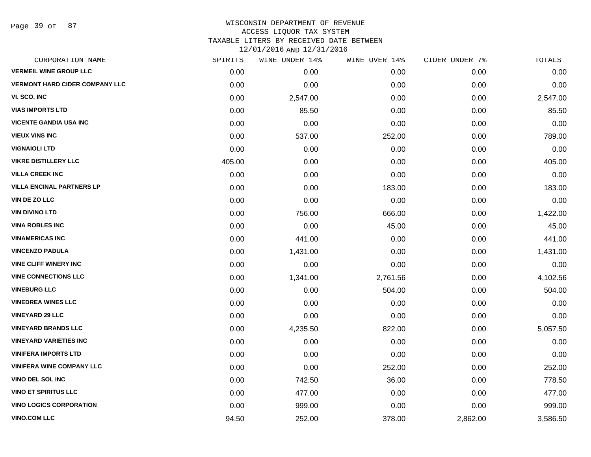Page 39 of 87

# WISCONSIN DEPARTMENT OF REVENUE ACCESS LIQUOR TAX SYSTEM TAXABLE LITERS BY RECEIVED DATE BETWEEN

| CORPORATION NAME                      | SPIRITS | WINE UNDER 14% | WINE OVER 14% | CIDER UNDER 7% | TOTALS   |
|---------------------------------------|---------|----------------|---------------|----------------|----------|
| <b>VERMEIL WINE GROUP LLC</b>         | 0.00    | 0.00           | 0.00          | 0.00           | 0.00     |
| <b>VERMONT HARD CIDER COMPANY LLC</b> | 0.00    | 0.00           | 0.00          | 0.00           | 0.00     |
| VI. SCO. INC                          | 0.00    | 2,547.00       | 0.00          | 0.00           | 2,547.00 |
| <b>VIAS IMPORTS LTD</b>               | 0.00    | 85.50          | 0.00          | 0.00           | 85.50    |
| <b>VICENTE GANDIA USA INC</b>         | 0.00    | 0.00           | 0.00          | 0.00           | 0.00     |
| <b>VIEUX VINS INC</b>                 | 0.00    | 537.00         | 252.00        | 0.00           | 789.00   |
| <b>VIGNAIOLI LTD</b>                  | 0.00    | 0.00           | 0.00          | 0.00           | 0.00     |
| <b>VIKRE DISTILLERY LLC</b>           | 405.00  | 0.00           | 0.00          | 0.00           | 405.00   |
| <b>VILLA CREEK INC</b>                | 0.00    | 0.00           | 0.00          | 0.00           | 0.00     |
| <b>VILLA ENCINAL PARTNERS LP</b>      | 0.00    | 0.00           | 183.00        | 0.00           | 183.00   |
| VIN DE ZO LLC                         | 0.00    | 0.00           | 0.00          | 0.00           | 0.00     |
| <b>VIN DIVINO LTD</b>                 | 0.00    | 756.00         | 666.00        | 0.00           | 1,422.00 |
| <b>VINA ROBLES INC</b>                | 0.00    | 0.00           | 45.00         | 0.00           | 45.00    |
| <b>VINAMERICAS INC</b>                | 0.00    | 441.00         | 0.00          | 0.00           | 441.00   |
| <b>VINCENZO PADULA</b>                | 0.00    | 1,431.00       | 0.00          | 0.00           | 1,431.00 |
| <b>VINE CLIFF WINERY INC</b>          | 0.00    | 0.00           | 0.00          | 0.00           | 0.00     |
| <b>VINE CONNECTIONS LLC</b>           | 0.00    | 1,341.00       | 2,761.56      | 0.00           | 4,102.56 |
| <b>VINEBURG LLC</b>                   | 0.00    | 0.00           | 504.00        | 0.00           | 504.00   |
| <b>VINEDREA WINES LLC</b>             | 0.00    | 0.00           | 0.00          | 0.00           | 0.00     |
| <b>VINEYARD 29 LLC</b>                | 0.00    | 0.00           | 0.00          | 0.00           | 0.00     |
| <b>VINEYARD BRANDS LLC</b>            | 0.00    | 4,235.50       | 822.00        | 0.00           | 5,057.50 |
| <b>VINEYARD VARIETIES INC</b>         | 0.00    | 0.00           | 0.00          | 0.00           | 0.00     |
| <b>VINIFERA IMPORTS LTD</b>           | 0.00    | 0.00           | 0.00          | 0.00           | 0.00     |
| <b>VINIFERA WINE COMPANY LLC</b>      | 0.00    | 0.00           | 252.00        | 0.00           | 252.00   |
| <b>VINO DEL SOL INC</b>               | 0.00    | 742.50         | 36.00         | 0.00           | 778.50   |
| <b>VINO ET SPIRITUS LLC</b>           | 0.00    | 477.00         | 0.00          | 0.00           | 477.00   |
| <b>VINO LOGICS CORPORATION</b>        | 0.00    | 999.00         | 0.00          | 0.00           | 999.00   |
| <b>VINO.COM LLC</b>                   | 94.50   | 252.00         | 378.00        | 2,862.00       | 3,586.50 |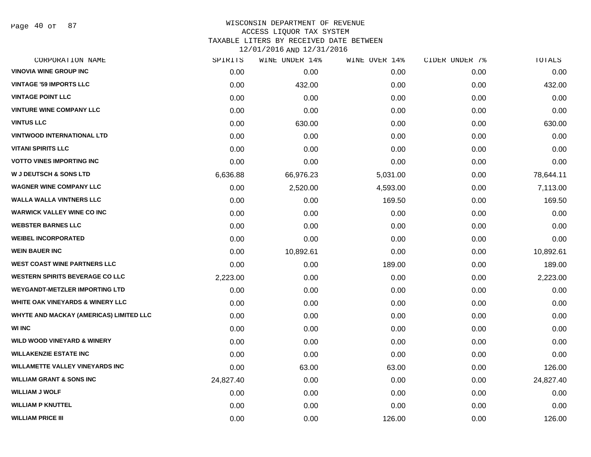Page 40 of 87

## WISCONSIN DEPARTMENT OF REVENUE ACCESS LIQUOR TAX SYSTEM TAXABLE LITERS BY RECEIVED DATE BETWEEN

| CORPORATION NAME                               | SPIRITS   | WINE UNDER 14% | WINE OVER 14% | CIDER UNDER 7% | TOTALS    |
|------------------------------------------------|-----------|----------------|---------------|----------------|-----------|
| <b>VINOVIA WINE GROUP INC</b>                  | 0.00      | 0.00           | 0.00          | 0.00           | 0.00      |
| <b>VINTAGE '59 IMPORTS LLC</b>                 | 0.00      | 432.00         | 0.00          | 0.00           | 432.00    |
| <b>VINTAGE POINT LLC</b>                       | 0.00      | 0.00           | 0.00          | 0.00           | 0.00      |
| <b>VINTURE WINE COMPANY LLC</b>                | 0.00      | 0.00           | 0.00          | 0.00           | 0.00      |
| <b>VINTUS LLC</b>                              | 0.00      | 630.00         | 0.00          | 0.00           | 630.00    |
| <b>VINTWOOD INTERNATIONAL LTD</b>              | 0.00      | 0.00           | 0.00          | 0.00           | 0.00      |
| <b>VITANI SPIRITS LLC</b>                      | 0.00      | 0.00           | 0.00          | 0.00           | 0.00      |
| <b>VOTTO VINES IMPORTING INC</b>               | 0.00      | 0.00           | 0.00          | 0.00           | 0.00      |
| <b>W J DEUTSCH &amp; SONS LTD</b>              | 6,636.88  | 66,976.23      | 5,031.00      | 0.00           | 78,644.11 |
| <b>WAGNER WINE COMPANY LLC</b>                 | 0.00      | 2,520.00       | 4,593.00      | 0.00           | 7,113.00  |
| <b>WALLA WALLA VINTNERS LLC</b>                | 0.00      | 0.00           | 169.50        | 0.00           | 169.50    |
| <b>WARWICK VALLEY WINE CO INC</b>              | 0.00      | 0.00           | 0.00          | 0.00           | 0.00      |
| <b>WEBSTER BARNES LLC</b>                      | 0.00      | 0.00           | 0.00          | 0.00           | 0.00      |
| <b>WEIBEL INCORPORATED</b>                     | 0.00      | 0.00           | 0.00          | 0.00           | 0.00      |
| <b>WEIN BAUER INC</b>                          | 0.00      | 10,892.61      | 0.00          | 0.00           | 10,892.61 |
| <b>WEST COAST WINE PARTNERS LLC</b>            | 0.00      | 0.00           | 189.00        | 0.00           | 189.00    |
| <b>WESTERN SPIRITS BEVERAGE CO LLC</b>         | 2,223.00  | 0.00           | 0.00          | 0.00           | 2,223.00  |
| <b>WEYGANDT-METZLER IMPORTING LTD</b>          | 0.00      | 0.00           | 0.00          | 0.00           | 0.00      |
| <b>WHITE OAK VINEYARDS &amp; WINERY LLC</b>    | 0.00      | 0.00           | 0.00          | 0.00           | 0.00      |
| <b>WHYTE AND MACKAY (AMERICAS) LIMITED LLC</b> | 0.00      | 0.00           | 0.00          | 0.00           | 0.00      |
| <b>WI INC</b>                                  | 0.00      | 0.00           | 0.00          | 0.00           | 0.00      |
| <b>WILD WOOD VINEYARD &amp; WINERY</b>         | 0.00      | 0.00           | 0.00          | 0.00           | 0.00      |
| <b>WILLAKENZIE ESTATE INC</b>                  | 0.00      | 0.00           | 0.00          | 0.00           | 0.00      |
| <b>WILLAMETTE VALLEY VINEYARDS INC</b>         | 0.00      | 63.00          | 63.00         | 0.00           | 126.00    |
| <b>WILLIAM GRANT &amp; SONS INC</b>            | 24,827.40 | 0.00           | 0.00          | 0.00           | 24,827.40 |
| <b>WILLIAM J WOLF</b>                          | 0.00      | 0.00           | 0.00          | 0.00           | 0.00      |
| <b>WILLIAM P KNUTTEL</b>                       | 0.00      | 0.00           | 0.00          | 0.00           | 0.00      |
| <b>WILLIAM PRICE III</b>                       | 0.00      | 0.00           | 126.00        | 0.00           | 126.00    |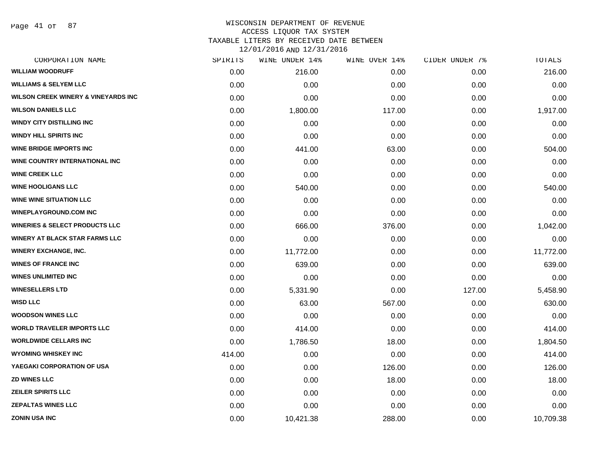Page 41 of 87

## WISCONSIN DEPARTMENT OF REVENUE ACCESS LIQUOR TAX SYSTEM TAXABLE LITERS BY RECEIVED DATE BETWEEN

| CORPORATION NAME                               | SPIRITS | WINE UNDER 14% | WINE OVER 14% | CIDER UNDER 7% | TOTALS    |
|------------------------------------------------|---------|----------------|---------------|----------------|-----------|
| <b>WILLIAM WOODRUFF</b>                        | 0.00    | 216.00         | 0.00          | 0.00           | 216.00    |
| <b>WILLIAMS &amp; SELYEM LLC</b>               | 0.00    | 0.00           | 0.00          | 0.00           | 0.00      |
| <b>WILSON CREEK WINERY &amp; VINEYARDS INC</b> | 0.00    | 0.00           | 0.00          | 0.00           | 0.00      |
| <b>WILSON DANIELS LLC</b>                      | 0.00    | 1,800.00       | 117.00        | 0.00           | 1,917.00  |
| <b>WINDY CITY DISTILLING INC</b>               | 0.00    | 0.00           | 0.00          | 0.00           | 0.00      |
| <b>WINDY HILL SPIRITS INC</b>                  | 0.00    | 0.00           | 0.00          | 0.00           | 0.00      |
| <b>WINE BRIDGE IMPORTS INC</b>                 | 0.00    | 441.00         | 63.00         | 0.00           | 504.00    |
| WINE COUNTRY INTERNATIONAL INC                 | 0.00    | 0.00           | 0.00          | 0.00           | 0.00      |
| <b>WINE CREEK LLC</b>                          | 0.00    | 0.00           | 0.00          | 0.00           | 0.00      |
| <b>WINE HOOLIGANS LLC</b>                      | 0.00    | 540.00         | 0.00          | 0.00           | 540.00    |
| <b>WINE WINE SITUATION LLC</b>                 | 0.00    | 0.00           | 0.00          | 0.00           | 0.00      |
| <b>WINEPLAYGROUND.COM INC</b>                  | 0.00    | 0.00           | 0.00          | 0.00           | 0.00      |
| <b>WINERIES &amp; SELECT PRODUCTS LLC</b>      | 0.00    | 666.00         | 376.00        | 0.00           | 1,042.00  |
| WINERY AT BLACK STAR FARMS LLC                 | 0.00    | 0.00           | 0.00          | 0.00           | 0.00      |
| <b>WINERY EXCHANGE, INC.</b>                   | 0.00    | 11,772.00      | 0.00          | 0.00           | 11,772.00 |
| <b>WINES OF FRANCE INC</b>                     | 0.00    | 639.00         | 0.00          | 0.00           | 639.00    |
| <b>WINES UNLIMITED INC</b>                     | 0.00    | 0.00           | 0.00          | 0.00           | 0.00      |
| <b>WINESELLERS LTD</b>                         | 0.00    | 5,331.90       | 0.00          | 127.00         | 5,458.90  |
| <b>WISD LLC</b>                                | 0.00    | 63.00          | 567.00        | 0.00           | 630.00    |
| <b>WOODSON WINES LLC</b>                       | 0.00    | 0.00           | 0.00          | 0.00           | 0.00      |
| <b>WORLD TRAVELER IMPORTS LLC</b>              | 0.00    | 414.00         | 0.00          | 0.00           | 414.00    |
| <b>WORLDWIDE CELLARS INC</b>                   | 0.00    | 1,786.50       | 18.00         | 0.00           | 1,804.50  |
| <b>WYOMING WHISKEY INC</b>                     | 414.00  | 0.00           | 0.00          | 0.00           | 414.00    |
| YAEGAKI CORPORATION OF USA                     | 0.00    | 0.00           | 126.00        | 0.00           | 126.00    |
| <b>ZD WINES LLC</b>                            | 0.00    | 0.00           | 18.00         | 0.00           | 18.00     |
| <b>ZEILER SPIRITS LLC</b>                      | 0.00    | 0.00           | 0.00          | 0.00           | 0.00      |
| <b>ZEPALTAS WINES LLC</b>                      | 0.00    | 0.00           | 0.00          | 0.00           | 0.00      |
| <b>ZONIN USA INC</b>                           | 0.00    | 10,421.38      | 288.00        | 0.00           | 10,709.38 |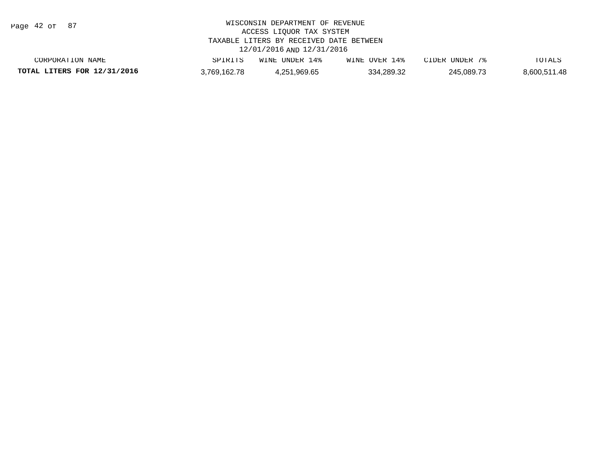Page 42 of 87

| CORPORATION NAME            | SPIRITS    | WINE UNDER  | WINE OVER 14% | CIDER UNDER | TOTALS       |
|-----------------------------|------------|-------------|---------------|-------------|--------------|
| TOTAL LITERS FOR 12/31/2016 | 769.162.78 | .251.969.65 | 334.289.32    | 245.089.73  | 8,600,511.48 |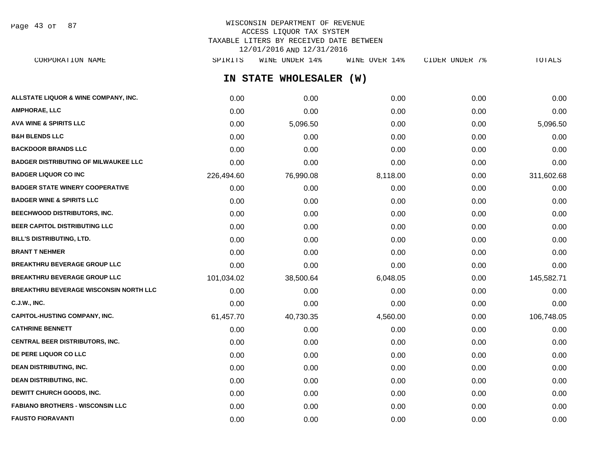Page 43 of 87

## WISCONSIN DEPARTMENT OF REVENUE ACCESS LIQUOR TAX SYSTEM TAXABLE LITERS BY RECEIVED DATE BETWEEN 12/01/2016 AND 12/31/2016

**IN STATE WHOLESALER (W) ALLSTATE LIQUOR & WINE COMPANY, INC.**  $0.00$   $0.00$   $0.00$   $0.00$   $0.00$   $0.00$   $0.00$   $0.00$   $0.00$   $0.00$   $0.00$   $0.00$ **AMPHORAE, LLC** 0.00 0.00 0.00 0.00 0.00 **AVA WINE & SPIRITS LLC** 0.00 5,096.50 0.00 0.00 5,096.50 **B&H BLENDS LLC** 0.00 0.00 0.00 0.00 0.00 **BACKDOOR BRANDS LLC** 0.00 0.00 0.00 0.00 0.00 **BADGER DISTRIBUTING OF MILWAUKEE LLC** 0.00 0.00 0.00 0.00 0.00 **BADGER LIQUOR CO INC** 226,494.60 76,990.08 8,118.00 0.00 311,602.68 **BADGER STATE WINERY COOPERATIVE** 0.00 0.00 0.00 0.00 0.00 **BADGER WINE & SPIRITS LLC**  $\begin{array}{ccc} 0.00 & 0.00 & 0.00 \\ 0.00 & 0.00 & 0.00 \end{array}$ **BEECHWOOD DISTRIBUTORS, INC.** 0.00 0.00 0.00 0.00 0.00 **BEER CAPITOL DISTRIBUTING LLC** 0.00 0.00 0.00 0.00 0.00 **BILL'S DISTRIBUTING, LTD.** 0.00 0.00 0.00 0.00 0.00 **BRANT T NEHMER** 0.00 0.00 0.00 0.00 0.00 **BREAKTHRU BEVERAGE GROUP LLC** 0.00 0.00 0.00 0.00 0.00 **BREAKTHRU BEVERAGE GROUP LLC** 101,034.02 38,500.64 6,048.05 0.00 145,582.71 **BREAKTHRU BEVERAGE WISCONSIN NORTH LLC** 0.00 0.00 0.00 0.00 0.00 **C.J.W., INC.** 0.00 0.00 0.00 0.00 0.00 **CAPITOL-HUSTING COMPANY, INC.** 61,457.70 40,730.35 4,560.00 0.00 106,748.05 **CATHRINE BENNETT** 0.00 0.00 0.00 0.00 0.00 **CENTRAL BEER DISTRIBUTORS, INC.** 0.00 0.00 0.00 0.00 0.00 **DE PERE LIQUOR CO LLC** 0.00 0.00 0.00 0.00 0.00 **DEAN DISTRIBUTING, INC.** 0.00 0.00 0.00 0.00 0.00 **DEAN DISTRIBUTING, INC.** 0.00 0.00 0.00 0.00 0.00 **DEWITT CHURCH GOODS, INC.** 0.00 0.00 0.00 0.00 0.00 **FABIANO BROTHERS - WISCONSIN LLC** 0.00 0.00 0.00 0.00 0.00 CORPORATION NAME SPIRITS WINE UNDER 14% WINE OVER 14% CIDER UNDER 7% TOTALS

**FAUSTO FIORAVANTI** 0.00 0.00 0.00 0.00 0.00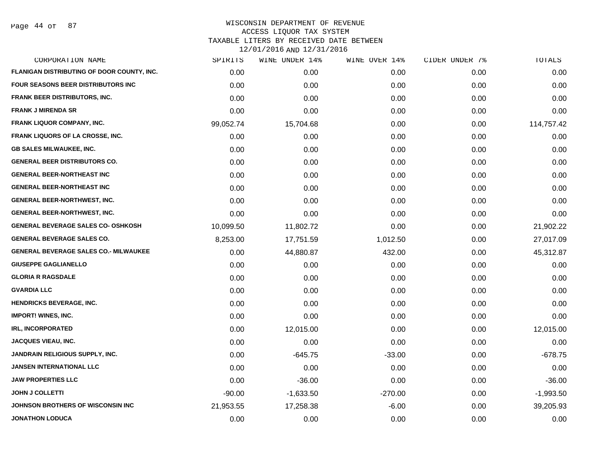Page 44 of 87

| CORPORATION NAME                             | SPIRITS   | WINE UNDER 14% | WINE OVER 14% | CIDER UNDER 7% | TOTALS      |
|----------------------------------------------|-----------|----------------|---------------|----------------|-------------|
| FLANIGAN DISTRIBUTING OF DOOR COUNTY, INC.   | 0.00      | 0.00           | 0.00          | 0.00           | 0.00        |
| <b>FOUR SEASONS BEER DISTRIBUTORS INC</b>    | 0.00      | 0.00           | 0.00          | 0.00           | 0.00        |
| <b>FRANK BEER DISTRIBUTORS, INC.</b>         | 0.00      | 0.00           | 0.00          | 0.00           | 0.00        |
| <b>FRANK J MIRENDA SR</b>                    | 0.00      | 0.00           | 0.00          | 0.00           | 0.00        |
| FRANK LIQUOR COMPANY, INC.                   | 99,052.74 | 15,704.68      | 0.00          | 0.00           | 114,757.42  |
| FRANK LIQUORS OF LA CROSSE, INC.             | 0.00      | 0.00           | 0.00          | 0.00           | 0.00        |
| <b>GB SALES MILWAUKEE, INC.</b>              | 0.00      | 0.00           | 0.00          | 0.00           | 0.00        |
| <b>GENERAL BEER DISTRIBUTORS CO.</b>         | 0.00      | 0.00           | 0.00          | 0.00           | 0.00        |
| <b>GENERAL BEER-NORTHEAST INC</b>            | 0.00      | 0.00           | 0.00          | 0.00           | 0.00        |
| <b>GENERAL BEER-NORTHEAST INC</b>            | 0.00      | 0.00           | 0.00          | 0.00           | 0.00        |
| <b>GENERAL BEER-NORTHWEST, INC.</b>          | 0.00      | 0.00           | 0.00          | 0.00           | 0.00        |
| <b>GENERAL BEER-NORTHWEST, INC.</b>          | 0.00      | 0.00           | 0.00          | 0.00           | 0.00        |
| <b>GENERAL BEVERAGE SALES CO- OSHKOSH</b>    | 10,099.50 | 11,802.72      | 0.00          | 0.00           | 21,902.22   |
| GENERAL BEVERAGE SALES CO.                   | 8,253.00  | 17,751.59      | 1,012.50      | 0.00           | 27,017.09   |
| <b>GENERAL BEVERAGE SALES CO.- MILWAUKEE</b> | 0.00      | 44,880.87      | 432.00        | 0.00           | 45,312.87   |
| <b>GIUSEPPE GAGLIANELLO</b>                  | 0.00      | 0.00           | 0.00          | 0.00           | 0.00        |
| <b>GLORIA R RAGSDALE</b>                     | 0.00      | 0.00           | 0.00          | 0.00           | 0.00        |
| <b>GVARDIA LLC</b>                           | 0.00      | 0.00           | 0.00          | 0.00           | 0.00        |
| <b>HENDRICKS BEVERAGE, INC.</b>              | 0.00      | 0.00           | 0.00          | 0.00           | 0.00        |
| <b>IMPORT! WINES, INC.</b>                   | 0.00      | 0.00           | 0.00          | 0.00           | 0.00        |
| <b>IRL, INCORPORATED</b>                     | 0.00      | 12,015.00      | 0.00          | 0.00           | 12,015.00   |
| JACQUES VIEAU, INC.                          | 0.00      | 0.00           | 0.00          | 0.00           | 0.00        |
| JANDRAIN RELIGIOUS SUPPLY, INC.              | 0.00      | $-645.75$      | $-33.00$      | 0.00           | $-678.75$   |
| <b>JANSEN INTERNATIONAL LLC</b>              | 0.00      | 0.00           | 0.00          | 0.00           | 0.00        |
| <b>JAW PROPERTIES LLC</b>                    | 0.00      | $-36.00$       | 0.00          | 0.00           | $-36.00$    |
| <b>JOHN J COLLETTI</b>                       | $-90.00$  | $-1,633.50$    | $-270.00$     | 0.00           | $-1,993.50$ |
| JOHNSON BROTHERS OF WISCONSIN INC            | 21,953.55 | 17,258.38      | $-6.00$       | 0.00           | 39,205.93   |
| <b>JONATHON LODUCA</b>                       | 0.00      | 0.00           | 0.00          | 0.00           | 0.00        |
|                                              |           |                |               |                |             |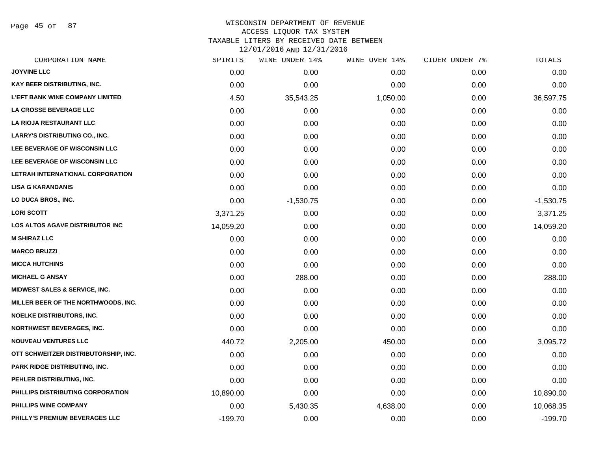Page 45 of 87

### WISCONSIN DEPARTMENT OF REVENUE ACCESS LIQUOR TAX SYSTEM TAXABLE LITERS BY RECEIVED DATE BETWEEN

| CORPORATION NAME                         | SPIRITS   | WINE UNDER 14% | WINE OVER 14% | CIDER UNDER 7% | TOTALS      |
|------------------------------------------|-----------|----------------|---------------|----------------|-------------|
| <b>JOYVINE LLC</b>                       | 0.00      | 0.00           | 0.00          | 0.00           | 0.00        |
| KAY BEER DISTRIBUTING, INC.              | 0.00      | 0.00           | 0.00          | 0.00           | 0.00        |
| <b>L'EFT BANK WINE COMPANY LIMITED</b>   | 4.50      | 35,543.25      | 1,050.00      | 0.00           | 36,597.75   |
| <b>LA CROSSE BEVERAGE LLC</b>            | 0.00      | 0.00           | 0.00          | 0.00           | 0.00        |
| LA RIOJA RESTAURANT LLC                  | 0.00      | 0.00           | 0.00          | 0.00           | 0.00        |
| <b>LARRY'S DISTRIBUTING CO., INC.</b>    | 0.00      | 0.00           | 0.00          | 0.00           | 0.00        |
| LEE BEVERAGE OF WISCONSIN LLC            | 0.00      | 0.00           | 0.00          | 0.00           | 0.00        |
| LEE BEVERAGE OF WISCONSIN LLC            | 0.00      | 0.00           | 0.00          | 0.00           | 0.00        |
| LETRAH INTERNATIONAL CORPORATION         | 0.00      | 0.00           | 0.00          | 0.00           | 0.00        |
| <b>LISA G KARANDANIS</b>                 | 0.00      | 0.00           | 0.00          | 0.00           | 0.00        |
| LO DUCA BROS., INC.                      | 0.00      | $-1,530.75$    | 0.00          | 0.00           | $-1,530.75$ |
| <b>LORI SCOTT</b>                        | 3,371.25  | 0.00           | 0.00          | 0.00           | 3,371.25    |
| LOS ALTOS AGAVE DISTRIBUTOR INC          | 14,059.20 | 0.00           | 0.00          | 0.00           | 14,059.20   |
| <b>M SHIRAZ LLC</b>                      | 0.00      | 0.00           | 0.00          | 0.00           | 0.00        |
| <b>MARCO BRUZZI</b>                      | 0.00      | 0.00           | 0.00          | 0.00           | 0.00        |
| <b>MICCA HUTCHINS</b>                    | 0.00      | 0.00           | 0.00          | 0.00           | 0.00        |
| <b>MICHAEL G ANSAY</b>                   | 0.00      | 288.00         | 0.00          | 0.00           | 288.00      |
| <b>MIDWEST SALES &amp; SERVICE, INC.</b> | 0.00      | 0.00           | 0.00          | 0.00           | 0.00        |
| MILLER BEER OF THE NORTHWOODS, INC.      | 0.00      | 0.00           | 0.00          | 0.00           | 0.00        |
| <b>NOELKE DISTRIBUTORS, INC.</b>         | 0.00      | 0.00           | 0.00          | 0.00           | 0.00        |
| <b>NORTHWEST BEVERAGES, INC.</b>         | 0.00      | 0.00           | 0.00          | 0.00           | 0.00        |
| <b>NOUVEAU VENTURES LLC</b>              | 440.72    | 2,205.00       | 450.00        | 0.00           | 3,095.72    |
| OTT SCHWEITZER DISTRIBUTORSHIP, INC.     | 0.00      | 0.00           | 0.00          | 0.00           | 0.00        |
| PARK RIDGE DISTRIBUTING, INC.            | 0.00      | 0.00           | 0.00          | 0.00           | 0.00        |
| PEHLER DISTRIBUTING, INC.                | 0.00      | 0.00           | 0.00          | 0.00           | 0.00        |
| PHILLIPS DISTRIBUTING CORPORATION        | 10,890.00 | 0.00           | 0.00          | 0.00           | 10,890.00   |
| PHILLIPS WINE COMPANY                    | 0.00      | 5,430.35       | 4,638.00      | 0.00           | 10,068.35   |
| PHILLY'S PREMIUM BEVERAGES LLC           | $-199.70$ | 0.00           | 0.00          | 0.00           | $-199.70$   |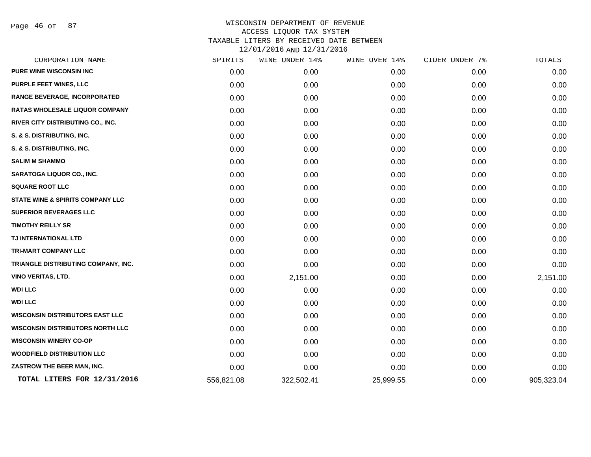Page 46 of 87

|            | WINE UNDER 14% | WINE OVER 14% | CIDER UNDER 7% | TOTALS     |
|------------|----------------|---------------|----------------|------------|
| 0.00       | 0.00           | 0.00          | 0.00           | 0.00       |
| 0.00       | 0.00           | 0.00          | 0.00           | 0.00       |
| 0.00       | 0.00           | 0.00          | 0.00           | 0.00       |
| 0.00       | 0.00           | 0.00          | 0.00           | 0.00       |
| 0.00       | 0.00           | 0.00          | 0.00           | 0.00       |
| 0.00       | 0.00           | 0.00          | 0.00           | 0.00       |
| 0.00       | 0.00           | 0.00          | 0.00           | 0.00       |
| 0.00       | 0.00           | 0.00          | 0.00           | 0.00       |
| 0.00       | 0.00           | 0.00          | 0.00           | 0.00       |
| 0.00       | 0.00           | 0.00          | 0.00           | 0.00       |
| 0.00       | 0.00           | 0.00          | 0.00           | 0.00       |
| 0.00       | 0.00           | 0.00          | 0.00           | 0.00       |
| 0.00       | 0.00           | 0.00          | 0.00           | 0.00       |
| 0.00       | 0.00           | 0.00          | 0.00           | 0.00       |
| 0.00       | 0.00           | 0.00          | 0.00           | 0.00       |
| 0.00       | 0.00           | 0.00          | 0.00           | 0.00       |
| 0.00       | 2,151.00       | 0.00          | 0.00           | 2,151.00   |
| 0.00       | 0.00           | 0.00          | 0.00           | 0.00       |
| 0.00       | 0.00           | 0.00          | 0.00           | 0.00       |
| 0.00       | 0.00           | 0.00          | 0.00           | 0.00       |
| 0.00       | 0.00           | 0.00          | 0.00           | 0.00       |
| 0.00       | 0.00           | 0.00          | 0.00           | 0.00       |
| 0.00       | 0.00           | 0.00          | 0.00           | 0.00       |
| 0.00       | 0.00           | 0.00          | 0.00           | 0.00       |
| 556,821.08 | 322,502.41     | 25,999.55     | 0.00           | 905,323.04 |
|            | SPIRITS        |               |                |            |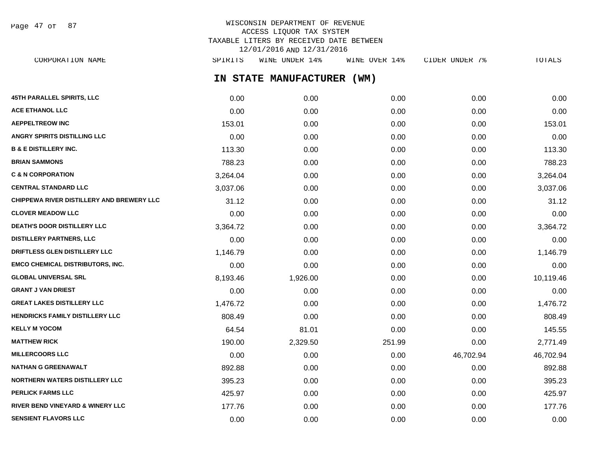Page 47 of 87

## WISCONSIN DEPARTMENT OF REVENUE ACCESS LIQUOR TAX SYSTEM TAXABLE LITERS BY RECEIVED DATE BETWEEN 12/01/2016 AND 12/31/2016

**IN STATE MANUFACTURER (WM) 45TH PARALLEL SPIRITS, LLC** 0.00 0.00 0.00 0.00 0.00 **ACE ETHANOL LLC** 0.00 0.00 0.00 0.00 0.00 **AEPPELTREOW INC** 153.01 0.00 0.00 0.00 153.01 **ANGRY SPIRITS DISTILLING LLC** 0.00 0.00 0.00 0.00 0.00 **B & E DISTILLERY INC.** 113.30 0.00 0.00 0.00 113.30 **BRIAN SAMMONS** 788.23 0.00 0.00 0.00 788.23 **C & N CORPORATION** 3,264.04 0.00 0.00 0.00 3,264.04 **CENTRAL STANDARD LLC** 3,037.06 0.00 0.00 0.00 3,037.06 **CHIPPEWA RIVER DISTILLERY AND BREWERY LLC**  $31.12$  0.00 0.00 0.00 0.00 0.00 0.00 31.12 **CLOVER MEADOW LLC** 0.00 0.00 0.00 0.00 0.00 **DEATH'S DOOR DISTILLERY LLC**  $3.364.72$   $0.00$   $0.00$   $0.00$   $0.00$   $0.00$   $3.364.72$ **DISTILLERY PARTNERS, LLC** 0.00 0.00 0.00 0.00 0.00 **DRIFTLESS GLEN DISTILLERY LLC** 1,146.79 0.00 0.00 0.00 1,146.79 **EMCO CHEMICAL DISTRIBUTORS, INC.** 0.00 0.00 0.00 0.00 0.00 **GLOBAL UNIVERSAL SRL** 8,193.46 1,926.00 0.00 0.00 10,119.46 **GRANT J VAN DRIEST** 0.00 0.00 0.00 0.00 0.00 **GREAT LAKES DISTILLERY LLC** 1,476.72 0.00 0.00 0.00 1,476.72 **HENDRICKS FAMILY DISTILLERY LLC** 808.49 808.49 0.00 0.00 0.00 0.00 0.00 0.00 0.00 808.49 **KELLY M YOCOM** 64.54 81.01 0.00 0.00 0.00 145.55 **MATTHEW RICK** 190.00 2,329.50 251.99 0.00 2,771.49 **MILLERCOORS LLC** 0.00 0.00 0.00 46,702.94 46,702.94 **NATHAN G GREENAWALT** 892.88 0.00 0.00 0.00 892.88 **NORTHERN WATERS DISTILLERY LLC**  $395.23$  0.00 0.00 0.00 0.00 0.00 0.00 395.23 **PERLICK FARMS LLC** 425.97 0.00 0.00 0.00 425.97 **RIVER BEND VINEYARD & WINERY LLC** 177.76 0.00 0.00 0.00 177.76 CORPORATION NAME SPIRITS WINE UNDER 14% WINE OVER 14% CIDER UNDER 7% TOTALS

**SENSIENT FLAVORS LLC** 0.00 0.00 0.00 0.00 0.00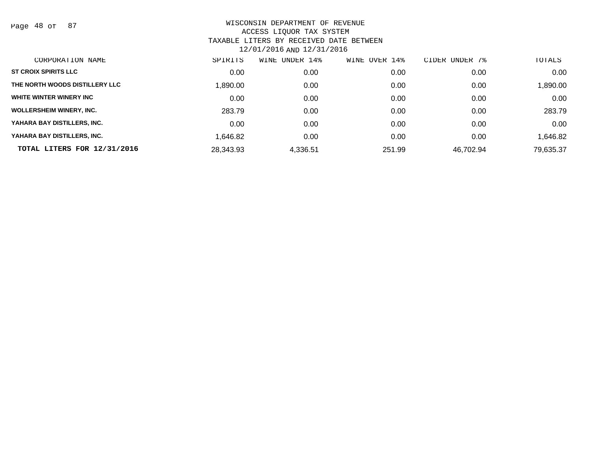Page 48 of 87

| CORPORATION NAME                | SPIRITS   | UNDER 14%<br>WINE | OVER 14%<br>WINE | CIDER UNDER 7% | TOTALS    |
|---------------------------------|-----------|-------------------|------------------|----------------|-----------|
| <b>ST CROIX SPIRITS LLC</b>     | 0.00      | 0.00              | 0.00             | 0.00           | 0.00      |
| THE NORTH WOODS DISTILLERY LLC  | 1,890.00  | 0.00              | 0.00             | 0.00           | 1,890.00  |
| WHITE WINTER WINERY INC         | 0.00      | 0.00              | 0.00             | 0.00           | 0.00      |
| <b>WOLLERSHEIM WINERY, INC.</b> | 283.79    | 0.00              | 0.00             | 0.00           | 283.79    |
| YAHARA BAY DISTILLERS, INC.     | 0.00      | 0.00              | 0.00             | 0.00           | 0.00      |
| YAHARA BAY DISTILLERS, INC.     | 1.646.82  | 0.00              | 0.00             | 0.00           | 1,646.82  |
| TOTAL LITERS FOR 12/31/2016     | 28,343.93 | 4,336.51          | 251.99           | 46,702.94      | 79,635.37 |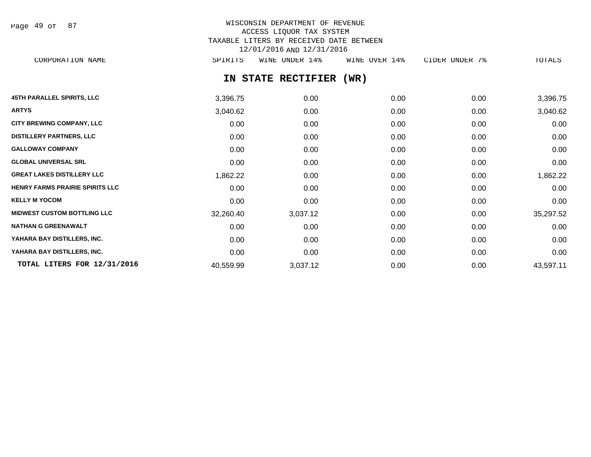Page 49 of 87

# WISCONSIN DEPARTMENT OF REVENUE ACCESS LIQUOR TAX SYSTEM TAXABLE LITERS BY RECEIVED DATE BETWEEN 12/01/2016 AND 12/31/2016

CORPORATION NAME SPIRITS WINE UNDER 14% WINE OVER 14% CIDER UNDER 7% TOTALS

# **IN STATE RECTIFIER (WR)**

| <b>45TH PARALLEL SPIRITS, LLC</b>      | 3,396.75  | 0.00     | 0.00 | 0.00 | 3,396.75  |
|----------------------------------------|-----------|----------|------|------|-----------|
| <b>ARTYS</b>                           | 3,040.62  | 0.00     | 0.00 | 0.00 | 3,040.62  |
| <b>CITY BREWING COMPANY, LLC</b>       | 0.00      | 0.00     | 0.00 | 0.00 | 0.00      |
| <b>DISTILLERY PARTNERS, LLC</b>        | 0.00      | 0.00     | 0.00 | 0.00 | 0.00      |
| <b>GALLOWAY COMPANY</b>                | 0.00      | 0.00     | 0.00 | 0.00 | 0.00      |
| <b>GLOBAL UNIVERSAL SRL</b>            | 0.00      | 0.00     | 0.00 | 0.00 | 0.00      |
| <b>GREAT LAKES DISTILLERY LLC</b>      | 1,862.22  | 0.00     | 0.00 | 0.00 | 1,862.22  |
| <b>HENRY FARMS PRAIRIE SPIRITS LLC</b> | 0.00      | 0.00     | 0.00 | 0.00 | 0.00      |
| <b>KELLY M YOCOM</b>                   | 0.00      | 0.00     | 0.00 | 0.00 | 0.00      |
| <b>MIDWEST CUSTOM BOTTLING LLC</b>     | 32,260.40 | 3,037.12 | 0.00 | 0.00 | 35,297.52 |
| <b>NATHAN G GREENAWALT</b>             | 0.00      | 0.00     | 0.00 | 0.00 | 0.00      |
| YAHARA BAY DISTILLERS, INC.            | 0.00      | 0.00     | 0.00 | 0.00 | 0.00      |
| YAHARA BAY DISTILLERS, INC.            | 0.00      | 0.00     | 0.00 | 0.00 | 0.00      |
| TOTAL LITERS FOR 12/31/2016            | 40,559.99 | 3,037.12 | 0.00 | 0.00 | 43,597.11 |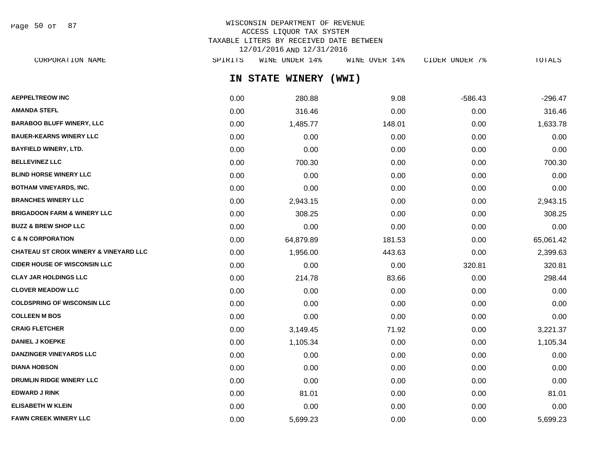Page 50 of 87

# WISCONSIN DEPARTMENT OF REVENUE ACCESS LIQUOR TAX SYSTEM TAXABLE LITERS BY RECEIVED DATE BETWEEN 12/01/2016 AND 12/31/2016

**IN STATE WINERY (WWI) AEPPELTREOW INC** 280.88 9.08 -586.43 -296.47 CORPORATION NAME SPIRITS WINE UNDER 14% WINE OVER 14% CIDER UNDER 7% TOTALS

| <b>AMANDA STEFL</b>                               | 0.00 | 316.46    | 0.00   | 0.00   | 316.46    |
|---------------------------------------------------|------|-----------|--------|--------|-----------|
| <b>BARABOO BLUFF WINERY, LLC</b>                  | 0.00 | 1,485.77  | 148.01 | 0.00   | 1,633.78  |
| <b>BAUER-KEARNS WINERY LLC</b>                    | 0.00 | 0.00      | 0.00   | 0.00   | 0.00      |
| <b>BAYFIELD WINERY, LTD.</b>                      | 0.00 | 0.00      | 0.00   | 0.00   | 0.00      |
| <b>BELLEVINEZ LLC</b>                             | 0.00 | 700.30    | 0.00   | 0.00   | 700.30    |
| <b>BLIND HORSE WINERY LLC</b>                     | 0.00 | 0.00      | 0.00   | 0.00   | 0.00      |
| <b>BOTHAM VINEYARDS, INC.</b>                     | 0.00 | 0.00      | 0.00   | 0.00   | 0.00      |
| <b>BRANCHES WINERY LLC</b>                        | 0.00 | 2,943.15  | 0.00   | 0.00   | 2,943.15  |
| <b>BRIGADOON FARM &amp; WINERY LLC</b>            | 0.00 | 308.25    | 0.00   | 0.00   | 308.25    |
| <b>BUZZ &amp; BREW SHOP LLC</b>                   | 0.00 | 0.00      | 0.00   | 0.00   | 0.00      |
| <b>C &amp; N CORPORATION</b>                      | 0.00 | 64,879.89 | 181.53 | 0.00   | 65,061.42 |
| <b>CHATEAU ST CROIX WINERY &amp; VINEYARD LLC</b> | 0.00 | 1,956.00  | 443.63 | 0.00   | 2,399.63  |
| <b>CIDER HOUSE OF WISCONSIN LLC</b>               | 0.00 | 0.00      | 0.00   | 320.81 | 320.81    |
| <b>CLAY JAR HOLDINGS LLC</b>                      | 0.00 | 214.78    | 83.66  | 0.00   | 298.44    |
| <b>CLOVER MEADOW LLC</b>                          | 0.00 | 0.00      | 0.00   | 0.00   | 0.00      |
| <b>COLDSPRING OF WISCONSIN LLC</b>                | 0.00 | 0.00      | 0.00   | 0.00   | 0.00      |
| <b>COLLEEN M BOS</b>                              | 0.00 | 0.00      | 0.00   | 0.00   | 0.00      |
| <b>CRAIG FLETCHER</b>                             | 0.00 | 3,149.45  | 71.92  | 0.00   | 3,221.37  |
| <b>DANIEL J KOEPKE</b>                            | 0.00 | 1,105.34  | 0.00   | 0.00   | 1,105.34  |
| <b>DANZINGER VINEYARDS LLC</b>                    | 0.00 | 0.00      | 0.00   | 0.00   | 0.00      |
| <b>DIANA HOBSON</b>                               | 0.00 | 0.00      | 0.00   | 0.00   | 0.00      |
| DRUMLIN RIDGE WINERY LLC                          | 0.00 | 0.00      | 0.00   | 0.00   | 0.00      |
| <b>EDWARD J RINK</b>                              | 0.00 | 81.01     | 0.00   | 0.00   | 81.01     |
| <b>ELISABETH W KLEIN</b>                          | 0.00 | 0.00      | 0.00   | 0.00   | 0.00      |
| <b>FAWN CREEK WINERY LLC</b>                      | 0.00 | 5,699.23  | 0.00   | 0.00   | 5,699.23  |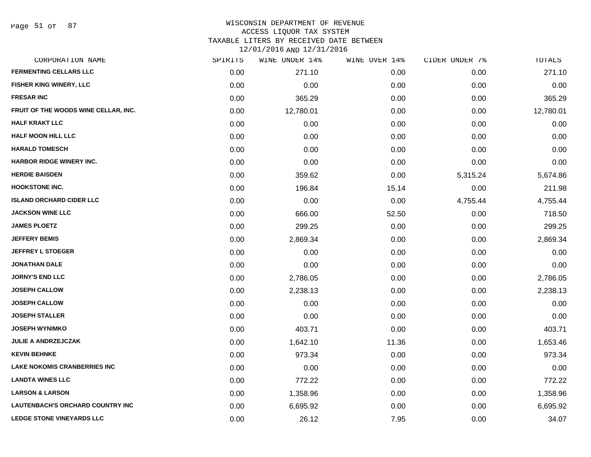Page 51 of 87

#### WISCONSIN DEPARTMENT OF REVENUE ACCESS LIQUOR TAX SYSTEM

TAXABLE LITERS BY RECEIVED DATE BETWEEN

| CORPORATION NAME                        | SPIRITS | WINE UNDER 14% | WINE OVER 14% | CIDER UNDER 7% | TOTALS    |
|-----------------------------------------|---------|----------------|---------------|----------------|-----------|
| <b>FERMENTING CELLARS LLC</b>           | 0.00    | 271.10         | 0.00          | 0.00           | 271.10    |
| FISHER KING WINERY, LLC                 | 0.00    | 0.00           | 0.00          | 0.00           | 0.00      |
| <b>FRESAR INC</b>                       | 0.00    | 365.29         | 0.00          | 0.00           | 365.29    |
| FRUIT OF THE WOODS WINE CELLAR, INC.    | 0.00    | 12,780.01      | 0.00          | 0.00           | 12,780.01 |
| <b>HALF KRAKT LLC</b>                   | 0.00    | 0.00           | 0.00          | 0.00           | 0.00      |
| <b>HALF MOON HILL LLC</b>               | 0.00    | 0.00           | 0.00          | 0.00           | 0.00      |
| <b>HARALD TOMESCH</b>                   | 0.00    | 0.00           | 0.00          | 0.00           | 0.00      |
| HARBOR RIDGE WINERY INC.                | 0.00    | 0.00           | 0.00          | 0.00           | 0.00      |
| <b>HERDIE BAISDEN</b>                   | 0.00    | 359.62         | 0.00          | 5,315.24       | 5,674.86  |
| <b>HOOKSTONE INC.</b>                   | 0.00    | 196.84         | 15.14         | 0.00           | 211.98    |
| <b>ISLAND ORCHARD CIDER LLC</b>         | 0.00    | 0.00           | 0.00          | 4,755.44       | 4,755.44  |
| <b>JACKSON WINE LLC</b>                 | 0.00    | 666.00         | 52.50         | 0.00           | 718.50    |
| <b>JAMES PLOETZ</b>                     | 0.00    | 299.25         | 0.00          | 0.00           | 299.25    |
| <b>JEFFERY BEMIS</b>                    | 0.00    | 2,869.34       | 0.00          | 0.00           | 2,869.34  |
| <b>JEFFREY L STOEGER</b>                | 0.00    | 0.00           | 0.00          | 0.00           | 0.00      |
| <b>JONATHAN DALE</b>                    | 0.00    | 0.00           | 0.00          | 0.00           | 0.00      |
| <b>JORNY'S END LLC</b>                  | 0.00    | 2,786.05       | 0.00          | 0.00           | 2,786.05  |
| <b>JOSEPH CALLOW</b>                    | 0.00    | 2,238.13       | 0.00          | 0.00           | 2,238.13  |
| <b>JOSEPH CALLOW</b>                    | 0.00    | 0.00           | 0.00          | 0.00           | 0.00      |
| <b>JOSEPH STALLER</b>                   | 0.00    | 0.00           | 0.00          | 0.00           | 0.00      |
| <b>JOSEPH WYNIMKO</b>                   | 0.00    | 403.71         | 0.00          | 0.00           | 403.71    |
| <b>JULIE A ANDRZEJCZAK</b>              | 0.00    | 1,642.10       | 11.36         | 0.00           | 1,653.46  |
| <b>KEVIN BEHNKE</b>                     | 0.00    | 973.34         | 0.00          | 0.00           | 973.34    |
| <b>LAKE NOKOMIS CRANBERRIES INC</b>     | 0.00    | 0.00           | 0.00          | 0.00           | 0.00      |
| <b>LANDTA WINES LLC</b>                 | 0.00    | 772.22         | 0.00          | 0.00           | 772.22    |
| <b>LARSON &amp; LARSON</b>              | 0.00    | 1,358.96       | 0.00          | 0.00           | 1,358.96  |
| <b>LAUTENBACH'S ORCHARD COUNTRY INC</b> | 0.00    | 6,695.92       | 0.00          | 0.00           | 6,695.92  |
| <b>LEDGE STONE VINEYARDS LLC</b>        | 0.00    | 26.12          | 7.95          | 0.00           | 34.07     |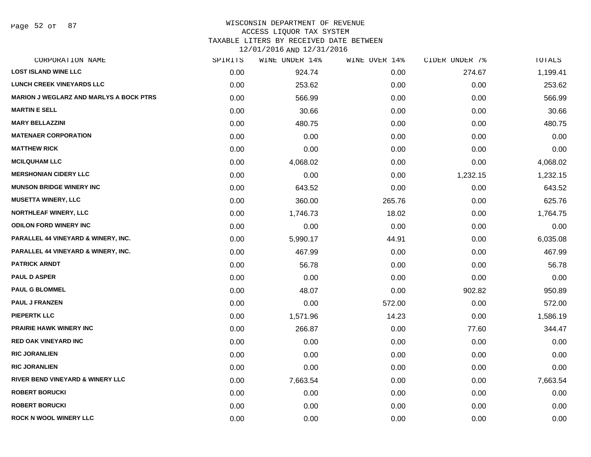Page 52 of 87

#### WISCONSIN DEPARTMENT OF REVENUE ACCESS LIQUOR TAX SYSTEM

TAXABLE LITERS BY RECEIVED DATE BETWEEN

| CORPORATION NAME                               | SPIRITS | WINE UNDER 14% | WINE OVER 14% | CIDER UNDER 7% | TOTALS   |
|------------------------------------------------|---------|----------------|---------------|----------------|----------|
| <b>LOST ISLAND WINE LLC</b>                    | 0.00    | 924.74         | 0.00          | 274.67         | 1,199.41 |
| <b>LUNCH CREEK VINEYARDS LLC</b>               | 0.00    | 253.62         | 0.00          | 0.00           | 253.62   |
| <b>MARION J WEGLARZ AND MARLYS A BOCK PTRS</b> | 0.00    | 566.99         | 0.00          | 0.00           | 566.99   |
| <b>MARTIN E SELL</b>                           | 0.00    | 30.66          | 0.00          | 0.00           | 30.66    |
| <b>MARY BELLAZZINI</b>                         | 0.00    | 480.75         | 0.00          | 0.00           | 480.75   |
| <b>MATENAER CORPORATION</b>                    | 0.00    | 0.00           | 0.00          | 0.00           | 0.00     |
| <b>MATTHEW RICK</b>                            | 0.00    | 0.00           | 0.00          | 0.00           | 0.00     |
| <b>MCILQUHAM LLC</b>                           | 0.00    | 4,068.02       | 0.00          | 0.00           | 4,068.02 |
| <b>MERSHONIAN CIDERY LLC</b>                   | 0.00    | 0.00           | 0.00          | 1,232.15       | 1,232.15 |
| <b>MUNSON BRIDGE WINERY INC</b>                | 0.00    | 643.52         | 0.00          | 0.00           | 643.52   |
| <b>MUSETTA WINERY, LLC</b>                     | 0.00    | 360.00         | 265.76        | 0.00           | 625.76   |
| <b>NORTHLEAF WINERY, LLC</b>                   | 0.00    | 1,746.73       | 18.02         | 0.00           | 1,764.75 |
| <b>ODILON FORD WINERY INC</b>                  | 0.00    | 0.00           | 0.00          | 0.00           | 0.00     |
| PARALLEL 44 VINEYARD & WINERY, INC.            | 0.00    | 5,990.17       | 44.91         | 0.00           | 6,035.08 |
| PARALLEL 44 VINEYARD & WINERY, INC.            | 0.00    | 467.99         | 0.00          | 0.00           | 467.99   |
| <b>PATRICK ARNDT</b>                           | 0.00    | 56.78          | 0.00          | 0.00           | 56.78    |
| <b>PAUL D ASPER</b>                            | 0.00    | 0.00           | 0.00          | 0.00           | 0.00     |
| <b>PAUL G BLOMMEL</b>                          | 0.00    | 48.07          | 0.00          | 902.82         | 950.89   |
| <b>PAUL J FRANZEN</b>                          | 0.00    | 0.00           | 572.00        | 0.00           | 572.00   |
| <b>PIEPERTK LLC</b>                            | 0.00    | 1,571.96       | 14.23         | 0.00           | 1,586.19 |
| <b>PRAIRIE HAWK WINERY INC.</b>                | 0.00    | 266.87         | 0.00          | 77.60          | 344.47   |
| <b>RED OAK VINEYARD INC</b>                    | 0.00    | 0.00           | 0.00          | 0.00           | 0.00     |
| <b>RIC JORANLIEN</b>                           | 0.00    | 0.00           | 0.00          | 0.00           | 0.00     |
| <b>RIC JORANLIEN</b>                           | 0.00    | 0.00           | 0.00          | 0.00           | 0.00     |
| RIVER BEND VINEYARD & WINERY LLC               | 0.00    | 7,663.54       | 0.00          | 0.00           | 7,663.54 |
| <b>ROBERT BORUCKI</b>                          | 0.00    | 0.00           | 0.00          | 0.00           | 0.00     |
| <b>ROBERT BORUCKI</b>                          | 0.00    | 0.00           | 0.00          | 0.00           | 0.00     |
| <b>ROCK N WOOL WINERY LLC</b>                  | 0.00    | 0.00           | 0.00          | 0.00           | 0.00     |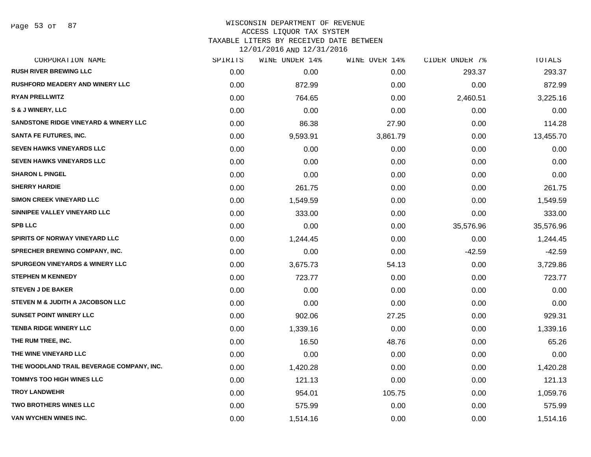#### WISCONSIN DEPARTMENT OF REVENUE ACCESS LIQUOR TAX SYSTEM

TAXABLE LITERS BY RECEIVED DATE BETWEEN

| CORPORATION NAME                           | SPIRITS | WINE UNDER 14% | WINE OVER 14% | CIDER UNDER 7% | TOTALS    |
|--------------------------------------------|---------|----------------|---------------|----------------|-----------|
| <b>RUSH RIVER BREWING LLC</b>              | 0.00    | 0.00           | 0.00          | 293.37         | 293.37    |
| <b>RUSHFORD MEADERY AND WINERY LLC</b>     | 0.00    | 872.99         | 0.00          | 0.00           | 872.99    |
| <b>RYAN PRELLWITZ</b>                      | 0.00    | 764.65         | 0.00          | 2,460.51       | 3,225.16  |
| S & J WINERY, LLC                          | 0.00    | 0.00           | 0.00          | 0.00           | 0.00      |
| SANDSTONE RIDGE VINEYARD & WINERY LLC      | 0.00    | 86.38          | 27.90         | 0.00           | 114.28    |
| <b>SANTA FE FUTURES, INC.</b>              | 0.00    | 9,593.91       | 3,861.79      | 0.00           | 13,455.70 |
| SEVEN HAWKS VINEYARDS LLC                  | 0.00    | 0.00           | 0.00          | 0.00           | 0.00      |
| <b>SEVEN HAWKS VINEYARDS LLC</b>           | 0.00    | 0.00           | 0.00          | 0.00           | 0.00      |
| <b>SHARON L PINGEL</b>                     | 0.00    | 0.00           | 0.00          | 0.00           | 0.00      |
| <b>SHERRY HARDIE</b>                       | 0.00    | 261.75         | 0.00          | 0.00           | 261.75    |
| <b>SIMON CREEK VINEYARD LLC</b>            | 0.00    | 1,549.59       | 0.00          | 0.00           | 1,549.59  |
| SINNIPEE VALLEY VINEYARD LLC               | 0.00    | 333.00         | 0.00          | 0.00           | 333.00    |
| <b>SPB LLC</b>                             | 0.00    | 0.00           | 0.00          | 35,576.96      | 35,576.96 |
| SPIRITS OF NORWAY VINEYARD LLC             | 0.00    | 1,244.45       | 0.00          | 0.00           | 1,244.45  |
| SPRECHER BREWING COMPANY, INC.             | 0.00    | 0.00           | 0.00          | $-42.59$       | $-42.59$  |
| <b>SPURGEON VINEYARDS &amp; WINERY LLC</b> | 0.00    | 3,675.73       | 54.13         | 0.00           | 3,729.86  |
| <b>STEPHEN M KENNEDY</b>                   | 0.00    | 723.77         | 0.00          | 0.00           | 723.77    |
| <b>STEVEN J DE BAKER</b>                   | 0.00    | 0.00           | 0.00          | 0.00           | 0.00      |
| STEVEN M & JUDITH A JACOBSON LLC           | 0.00    | 0.00           | 0.00          | 0.00           | 0.00      |
| <b>SUNSET POINT WINERY LLC</b>             | 0.00    | 902.06         | 27.25         | 0.00           | 929.31    |
| <b>TENBA RIDGE WINERY LLC</b>              | 0.00    | 1,339.16       | 0.00          | 0.00           | 1,339.16  |
| THE RUM TREE, INC.                         | 0.00    | 16.50          | 48.76         | 0.00           | 65.26     |
| THE WINE VINEYARD LLC                      | 0.00    | 0.00           | 0.00          | 0.00           | 0.00      |
| THE WOODLAND TRAIL BEVERAGE COMPANY, INC.  | 0.00    | 1,420.28       | 0.00          | 0.00           | 1,420.28  |
| <b>TOMMYS TOO HIGH WINES LLC</b>           | 0.00    | 121.13         | 0.00          | 0.00           | 121.13    |
| <b>TROY LANDWEHR</b>                       | 0.00    | 954.01         | 105.75        | 0.00           | 1,059.76  |
| <b>TWO BROTHERS WINES LLC</b>              | 0.00    | 575.99         | 0.00          | 0.00           | 575.99    |
| <b>VAN WYCHEN WINES INC.</b>               | 0.00    | 1,514.16       | 0.00          | 0.00           | 1,514.16  |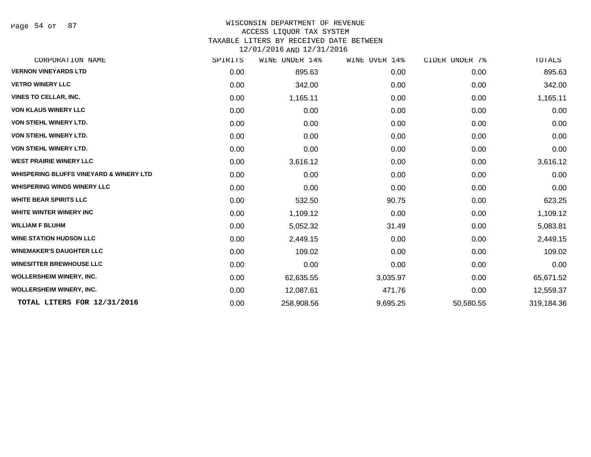Page 54 of 87

#### WISCONSIN DEPARTMENT OF REVENUE

#### ACCESS LIQUOR TAX SYSTEM

TAXABLE LITERS BY RECEIVED DATE BETWEEN

| SPIRITS | WINE UNDER 14% | WINE OVER 14% | CIDER UNDER 7% | TOTALS     |
|---------|----------------|---------------|----------------|------------|
| 0.00    | 895.63         | 0.00          | 0.00           | 895.63     |
| 0.00    | 342.00         | 0.00          | 0.00           | 342.00     |
| 0.00    | 1,165.11       | 0.00          | 0.00           | 1,165.11   |
| 0.00    | 0.00           | 0.00          | 0.00           | 0.00       |
| 0.00    | 0.00           | 0.00          | 0.00           | 0.00       |
| 0.00    | 0.00           | 0.00          | 0.00           | 0.00       |
| 0.00    | 0.00           | 0.00          | 0.00           | 0.00       |
| 0.00    | 3,616.12       | 0.00          | 0.00           | 3,616.12   |
| 0.00    | 0.00           | 0.00          | 0.00           | 0.00       |
| 0.00    | 0.00           | 0.00          | 0.00           | 0.00       |
| 0.00    | 532.50         | 90.75         | 0.00           | 623.25     |
| 0.00    | 1,109.12       | 0.00          | 0.00           | 1,109.12   |
| 0.00    | 5,052.32       | 31.49         | 0.00           | 5,083.81   |
| 0.00    | 2,449.15       | 0.00          | 0.00           | 2,449.15   |
| 0.00    | 109.02         | 0.00          | 0.00           | 109.02     |
| 0.00    | 0.00           | 0.00          | 0.00           | 0.00       |
| 0.00    | 62,635.55      | 3,035.97      | 0.00           | 65,671.52  |
| 0.00    | 12,087.61      | 471.76        | 0.00           | 12,559.37  |
| 0.00    | 258,908.56     | 9,695.25      | 50,580.55      | 319,184.36 |
|         |                |               |                |            |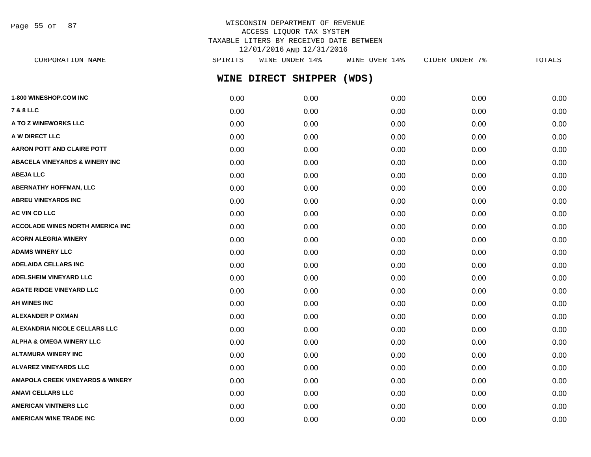Page 55 of 87

## WISCONSIN DEPARTMENT OF REVENUE ACCESS LIQUOR TAX SYSTEM TAXABLE LITERS BY RECEIVED DATE BETWEEN 12/01/2016 AND 12/31/2016

| SPIRITS | WINE UNDER 14% | WINE OVER 14%       | CIDER UNDER 7% | TOTALS |
|---------|----------------|---------------------|----------------|--------|
|         |                | (WDS)               |                |        |
| 0.00    | 0.00           | 0.00                | 0.00           | 0.00   |
| 0.00    | 0.00           | 0.00                | 0.00           | 0.00   |
| 0.00    | 0.00           | 0.00                | 0.00           | 0.00   |
| 0.00    | 0.00           | 0.00                | 0.00           | 0.00   |
| 0.00    | 0.00           | 0.00                | 0.00           | 0.00   |
| 0.00    | 0.00           | 0.00                | 0.00           | 0.00   |
| 0.00    | 0.00           | 0.00                | 0.00           | 0.00   |
| 0.00    | 0.00           | 0.00                | 0.00           | 0.00   |
| 0.00    | 0.00           | 0.00                | 0.00           | 0.00   |
| 0.00    | 0.00           | 0.00                | 0.00           | 0.00   |
| 0.00    | 0.00           | 0.00                | 0.00           | 0.00   |
| 0.00    | 0.00           | 0.00                | 0.00           | 0.00   |
| 0.00    | 0.00           | 0.00                | 0.00           | 0.00   |
| 0.00    | 0.00           | 0.00                | 0.00           | 0.00   |
| 0.00    | 0.00           | 0.00                | 0.00           | 0.00   |
| 0.00    | 0.00           | 0.00                | 0.00           | 0.00   |
| 0.00    | 0.00           | 0.00                | 0.00           | 0.00   |
| 0.00    | 0.00           | 0.00                | 0.00           | 0.00   |
| 0.00    | 0.00           | 0.00                | 0.00           | 0.00   |
| 0.00    | 0.00           | 0.00                | 0.00           | 0.00   |
| 0.00    | 0.00           | 0.00                | 0.00           | 0.00   |
| 0.00    | 0.00           | 0.00                | 0.00           | 0.00   |
| 0.00    | 0.00           | 0.00                | 0.00           | 0.00   |
| 0.00    | 0.00           | 0.00                | 0.00           | 0.00   |
| 0.00    | 0.00           | 0.00                | 0.00           | 0.00   |
|         |                | WINE DIRECT SHIPPER |                |        |

**AMERICAN WINE TRADE INC** 0.00 0.00 0.00 0.00 0.00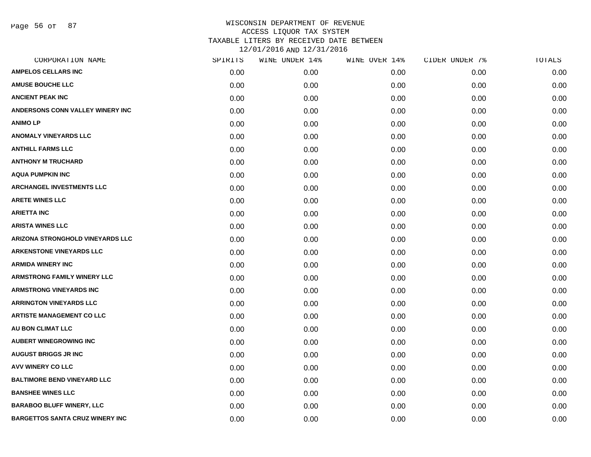Page 56 of 87

| CORPORATION NAME                       | SPIRITS | WINE UNDER 14% | WINE OVER 14% | CIDER UNDER 7% | TOTALS |
|----------------------------------------|---------|----------------|---------------|----------------|--------|
| <b>AMPELOS CELLARS INC</b>             | 0.00    | 0.00           | 0.00          | 0.00           | 0.00   |
| <b>AMUSE BOUCHE LLC</b>                | 0.00    | 0.00           | 0.00          | 0.00           | 0.00   |
| <b>ANCIENT PEAK INC</b>                | 0.00    | 0.00           | 0.00          | 0.00           | 0.00   |
| ANDERSONS CONN VALLEY WINERY INC       | 0.00    | 0.00           | 0.00          | 0.00           | 0.00   |
| <b>ANIMOLP</b>                         | 0.00    | 0.00           | 0.00          | 0.00           | 0.00   |
| <b>ANOMALY VINEYARDS LLC</b>           | 0.00    | 0.00           | 0.00          | 0.00           | 0.00   |
| <b>ANTHILL FARMS LLC</b>               | 0.00    | 0.00           | 0.00          | 0.00           | 0.00   |
| <b>ANTHONY M TRUCHARD</b>              | 0.00    | 0.00           | 0.00          | 0.00           | 0.00   |
| <b>AQUA PUMPKIN INC</b>                | 0.00    | 0.00           | 0.00          | 0.00           | 0.00   |
| <b>ARCHANGEL INVESTMENTS LLC</b>       | 0.00    | 0.00           | 0.00          | 0.00           | 0.00   |
| <b>ARETE WINES LLC</b>                 | 0.00    | 0.00           | 0.00          | 0.00           | 0.00   |
| <b>ARIETTA INC</b>                     | 0.00    | 0.00           | 0.00          | 0.00           | 0.00   |
| <b>ARISTA WINES LLC</b>                | 0.00    | 0.00           | 0.00          | 0.00           | 0.00   |
| ARIZONA STRONGHOLD VINEYARDS LLC       | 0.00    | 0.00           | 0.00          | 0.00           | 0.00   |
| <b>ARKENSTONE VINEYARDS LLC</b>        | 0.00    | 0.00           | 0.00          | 0.00           | 0.00   |
| <b>ARMIDA WINERY INC</b>               | 0.00    | 0.00           | 0.00          | 0.00           | 0.00   |
| <b>ARMSTRONG FAMILY WINERY LLC</b>     | 0.00    | 0.00           | 0.00          | 0.00           | 0.00   |
| <b>ARMSTRONG VINEYARDS INC</b>         | 0.00    | 0.00           | 0.00          | 0.00           | 0.00   |
| <b>ARRINGTON VINEYARDS LLC</b>         | 0.00    | 0.00           | 0.00          | 0.00           | 0.00   |
| <b>ARTISTE MANAGEMENT CO LLC</b>       | 0.00    | 0.00           | 0.00          | 0.00           | 0.00   |
| <b>AU BON CLIMAT LLC</b>               | 0.00    | 0.00           | 0.00          | 0.00           | 0.00   |
| <b>AUBERT WINEGROWING INC</b>          | 0.00    | 0.00           | 0.00          | 0.00           | 0.00   |
| <b>AUGUST BRIGGS JR INC</b>            | 0.00    | 0.00           | 0.00          | 0.00           | 0.00   |
| <b>AVV WINERY CO LLC</b>               | 0.00    | 0.00           | 0.00          | 0.00           | 0.00   |
| <b>BALTIMORE BEND VINEYARD LLC</b>     | 0.00    | 0.00           | 0.00          | 0.00           | 0.00   |
| <b>BANSHEE WINES LLC</b>               | 0.00    | 0.00           | 0.00          | 0.00           | 0.00   |
| <b>BARABOO BLUFF WINERY, LLC</b>       | 0.00    | 0.00           | 0.00          | 0.00           | 0.00   |
| <b>BARGETTOS SANTA CRUZ WINERY INC</b> | 0.00    | 0.00           | 0.00          | 0.00           | 0.00   |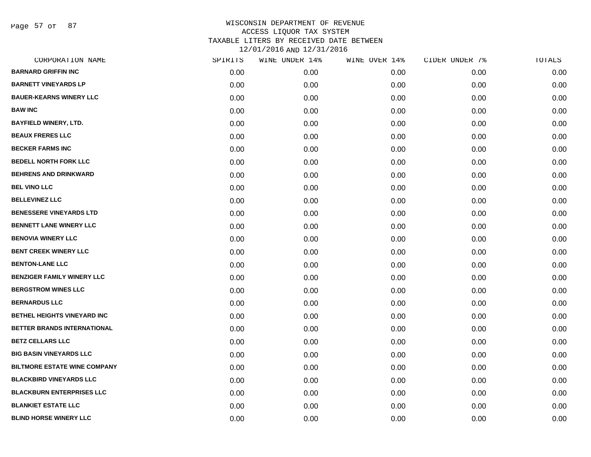Page 57 of 87

| CORPORATION NAME                    | SPIRITS | WINE UNDER 14% | WINE OVER 14% | CIDER UNDER 7% | TOTALS |
|-------------------------------------|---------|----------------|---------------|----------------|--------|
| <b>BARNARD GRIFFIN INC</b>          | 0.00    | 0.00           | 0.00          | 0.00           | 0.00   |
| <b>BARNETT VINEYARDS LP</b>         | 0.00    | 0.00           | 0.00          | 0.00           | 0.00   |
| <b>BAUER-KEARNS WINERY LLC</b>      | 0.00    | 0.00           | 0.00          | 0.00           | 0.00   |
| <b>BAW INC</b>                      | 0.00    | 0.00           | 0.00          | 0.00           | 0.00   |
| <b>BAYFIELD WINERY, LTD.</b>        | 0.00    | 0.00           | 0.00          | 0.00           | 0.00   |
| <b>BEAUX FRERES LLC</b>             | 0.00    | 0.00           | 0.00          | 0.00           | 0.00   |
| <b>BECKER FARMS INC</b>             | 0.00    | 0.00           | 0.00          | 0.00           | 0.00   |
| <b>BEDELL NORTH FORK LLC</b>        | 0.00    | 0.00           | 0.00          | 0.00           | 0.00   |
| <b>BEHRENS AND DRINKWARD</b>        | 0.00    | 0.00           | 0.00          | 0.00           | 0.00   |
| <b>BEL VINO LLC</b>                 | 0.00    | 0.00           | 0.00          | 0.00           | 0.00   |
| <b>BELLEVINEZ LLC</b>               | 0.00    | 0.00           | 0.00          | 0.00           | 0.00   |
| <b>BENESSERE VINEYARDS LTD</b>      | 0.00    | 0.00           | 0.00          | 0.00           | 0.00   |
| <b>BENNETT LANE WINERY LLC</b>      | 0.00    | 0.00           | 0.00          | 0.00           | 0.00   |
| <b>BENOVIA WINERY LLC</b>           | 0.00    | 0.00           | 0.00          | 0.00           | 0.00   |
| <b>BENT CREEK WINERY LLC</b>        | 0.00    | 0.00           | 0.00          | 0.00           | 0.00   |
| <b>BENTON-LANE LLC</b>              | 0.00    | 0.00           | 0.00          | 0.00           | 0.00   |
| <b>BENZIGER FAMILY WINERY LLC</b>   | 0.00    | 0.00           | 0.00          | 0.00           | 0.00   |
| <b>BERGSTROM WINES LLC</b>          | 0.00    | 0.00           | 0.00          | 0.00           | 0.00   |
| <b>BERNARDUS LLC</b>                | 0.00    | 0.00           | 0.00          | 0.00           | 0.00   |
| BETHEL HEIGHTS VINEYARD INC         | 0.00    | 0.00           | 0.00          | 0.00           | 0.00   |
| <b>BETTER BRANDS INTERNATIONAL</b>  | 0.00    | 0.00           | 0.00          | 0.00           | 0.00   |
| <b>BETZ CELLARS LLC</b>             | 0.00    | 0.00           | 0.00          | 0.00           | 0.00   |
| <b>BIG BASIN VINEYARDS LLC</b>      | 0.00    | 0.00           | 0.00          | 0.00           | 0.00   |
| <b>BILTMORE ESTATE WINE COMPANY</b> | 0.00    | 0.00           | 0.00          | 0.00           | 0.00   |
| <b>BLACKBIRD VINEYARDS LLC</b>      | 0.00    | 0.00           | 0.00          | 0.00           | 0.00   |
| <b>BLACKBURN ENTERPRISES LLC</b>    | 0.00    | 0.00           | 0.00          | 0.00           | 0.00   |
| <b>BLANKIET ESTATE LLC</b>          | 0.00    | 0.00           | 0.00          | 0.00           | 0.00   |
| <b>BLIND HORSE WINERY LLC</b>       | 0.00    | 0.00           | 0.00          | 0.00           | 0.00   |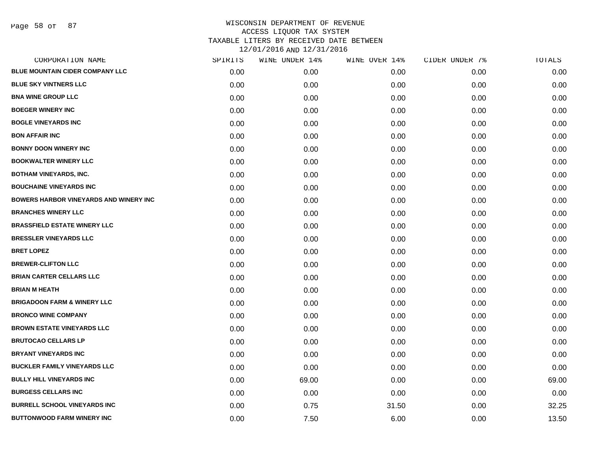Page 58 of 87

| CORPORATION NAME                               | SPIRITS | WINE UNDER 14% | WINE OVER 14% | CIDER UNDER 7% | TOTALS |
|------------------------------------------------|---------|----------------|---------------|----------------|--------|
| <b>BLUE MOUNTAIN CIDER COMPANY LLC</b>         | 0.00    | 0.00           | 0.00          | 0.00           | 0.00   |
| <b>BLUE SKY VINTNERS LLC</b>                   | 0.00    | 0.00           | 0.00          | 0.00           | 0.00   |
| <b>BNA WINE GROUP LLC</b>                      | 0.00    | 0.00           | 0.00          | 0.00           | 0.00   |
| <b>BOEGER WINERY INC</b>                       | 0.00    | 0.00           | 0.00          | 0.00           | 0.00   |
| <b>BOGLE VINEYARDS INC</b>                     | 0.00    | 0.00           | 0.00          | 0.00           | 0.00   |
| <b>BON AFFAIR INC</b>                          | 0.00    | 0.00           | 0.00          | 0.00           | 0.00   |
| <b>BONNY DOON WINERY INC</b>                   | 0.00    | 0.00           | 0.00          | 0.00           | 0.00   |
| <b>BOOKWALTER WINERY LLC</b>                   | 0.00    | 0.00           | 0.00          | 0.00           | 0.00   |
| <b>BOTHAM VINEYARDS, INC.</b>                  | 0.00    | 0.00           | 0.00          | 0.00           | 0.00   |
| <b>BOUCHAINE VINEYARDS INC</b>                 | 0.00    | 0.00           | 0.00          | 0.00           | 0.00   |
| <b>BOWERS HARBOR VINEYARDS AND WINERY INC.</b> | 0.00    | 0.00           | 0.00          | 0.00           | 0.00   |
| <b>BRANCHES WINERY LLC</b>                     | 0.00    | 0.00           | 0.00          | 0.00           | 0.00   |
| <b>BRASSFIELD ESTATE WINERY LLC</b>            | 0.00    | 0.00           | 0.00          | 0.00           | 0.00   |
| <b>BRESSLER VINEYARDS LLC</b>                  | 0.00    | 0.00           | 0.00          | 0.00           | 0.00   |
| <b>BRET LOPEZ</b>                              | 0.00    | 0.00           | 0.00          | 0.00           | 0.00   |
| <b>BREWER-CLIFTON LLC</b>                      | 0.00    | 0.00           | 0.00          | 0.00           | 0.00   |
| <b>BRIAN CARTER CELLARS LLC</b>                | 0.00    | 0.00           | 0.00          | 0.00           | 0.00   |
| <b>BRIAN M HEATH</b>                           | 0.00    | 0.00           | 0.00          | 0.00           | 0.00   |
| <b>BRIGADOON FARM &amp; WINERY LLC</b>         | 0.00    | 0.00           | 0.00          | 0.00           | 0.00   |
| <b>BRONCO WINE COMPANY</b>                     | 0.00    | 0.00           | 0.00          | 0.00           | 0.00   |
| <b>BROWN ESTATE VINEYARDS LLC</b>              | 0.00    | 0.00           | 0.00          | 0.00           | 0.00   |
| <b>BRUTOCAO CELLARS LP</b>                     | 0.00    | 0.00           | 0.00          | 0.00           | 0.00   |
| <b>BRYANT VINEYARDS INC</b>                    | 0.00    | 0.00           | 0.00          | 0.00           | 0.00   |
| <b>BUCKLER FAMILY VINEYARDS LLC</b>            | 0.00    | 0.00           | 0.00          | 0.00           | 0.00   |
| <b>BULLY HILL VINEYARDS INC</b>                | 0.00    | 69.00          | 0.00          | 0.00           | 69.00  |
| <b>BURGESS CELLARS INC</b>                     | 0.00    | 0.00           | 0.00          | 0.00           | 0.00   |
| <b>BURRELL SCHOOL VINEYARDS INC</b>            | 0.00    | 0.75           | 31.50         | 0.00           | 32.25  |
| <b>BUTTONWOOD FARM WINERY INC</b>              | 0.00    | 7.50           | 6.00          | 0.00           | 13.50  |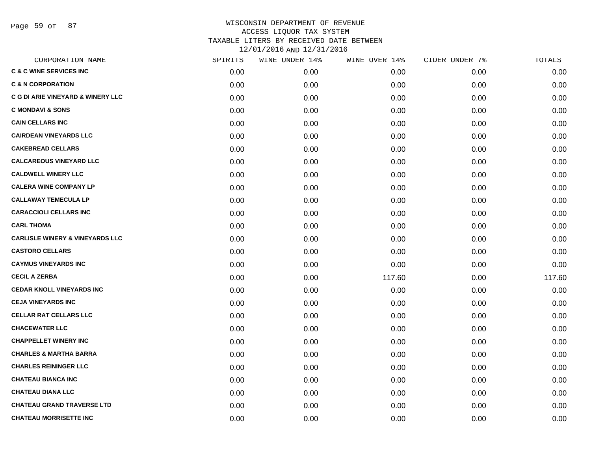Page 59 of 87

| CORPORATION NAME                             | SPIRITS | WINE UNDER 14% | WINE OVER 14% | CIDER UNDER 7% | TOTALS |
|----------------------------------------------|---------|----------------|---------------|----------------|--------|
| <b>C &amp; C WINE SERVICES INC</b>           | 0.00    | 0.00           | 0.00          | 0.00           | 0.00   |
| <b>C &amp; N CORPORATION</b>                 | 0.00    | 0.00           | 0.00          | 0.00           | 0.00   |
| <b>C G DI ARIE VINEYARD &amp; WINERY LLC</b> | 0.00    | 0.00           | 0.00          | 0.00           | 0.00   |
| <b>C MONDAVI &amp; SONS</b>                  | 0.00    | 0.00           | 0.00          | 0.00           | 0.00   |
| <b>CAIN CELLARS INC</b>                      | 0.00    | 0.00           | 0.00          | 0.00           | 0.00   |
| <b>CAIRDEAN VINEYARDS LLC</b>                | 0.00    | 0.00           | 0.00          | 0.00           | 0.00   |
| <b>CAKEBREAD CELLARS</b>                     | 0.00    | 0.00           | 0.00          | 0.00           | 0.00   |
| <b>CALCAREOUS VINEYARD LLC</b>               | 0.00    | 0.00           | 0.00          | 0.00           | 0.00   |
| <b>CALDWELL WINERY LLC</b>                   | 0.00    | 0.00           | 0.00          | 0.00           | 0.00   |
| <b>CALERA WINE COMPANY LP</b>                | 0.00    | 0.00           | 0.00          | 0.00           | 0.00   |
| <b>CALLAWAY TEMECULA LP</b>                  | 0.00    | 0.00           | 0.00          | 0.00           | 0.00   |
| <b>CARACCIOLI CELLARS INC</b>                | 0.00    | 0.00           | 0.00          | 0.00           | 0.00   |
| <b>CARL THOMA</b>                            | 0.00    | 0.00           | 0.00          | 0.00           | 0.00   |
| <b>CARLISLE WINERY &amp; VINEYARDS LLC</b>   | 0.00    | 0.00           | 0.00          | 0.00           | 0.00   |
| <b>CASTORO CELLARS</b>                       | 0.00    | 0.00           | 0.00          | 0.00           | 0.00   |
| <b>CAYMUS VINEYARDS INC</b>                  | 0.00    | 0.00           | 0.00          | 0.00           | 0.00   |
| <b>CECIL A ZERBA</b>                         | 0.00    | 0.00           | 117.60        | 0.00           | 117.60 |
| <b>CEDAR KNOLL VINEYARDS INC</b>             | 0.00    | 0.00           | 0.00          | 0.00           | 0.00   |
| <b>CEJA VINEYARDS INC</b>                    | 0.00    | 0.00           | 0.00          | 0.00           | 0.00   |
| <b>CELLAR RAT CELLARS LLC</b>                | 0.00    | 0.00           | 0.00          | 0.00           | 0.00   |
| <b>CHACEWATER LLC</b>                        | 0.00    | 0.00           | 0.00          | 0.00           | 0.00   |
| <b>CHAPPELLET WINERY INC</b>                 | 0.00    | 0.00           | 0.00          | 0.00           | 0.00   |
| <b>CHARLES &amp; MARTHA BARRA</b>            | 0.00    | 0.00           | 0.00          | 0.00           | 0.00   |
| <b>CHARLES REININGER LLC</b>                 | 0.00    | 0.00           | 0.00          | 0.00           | 0.00   |
| <b>CHATEAU BIANCA INC</b>                    | 0.00    | 0.00           | 0.00          | 0.00           | 0.00   |
| <b>CHATEAU DIANA LLC</b>                     | 0.00    | 0.00           | 0.00          | 0.00           | 0.00   |
| <b>CHATEAU GRAND TRAVERSE LTD</b>            | 0.00    | 0.00           | 0.00          | 0.00           | 0.00   |
| <b>CHATEAU MORRISETTE INC</b>                | 0.00    | 0.00           | 0.00          | 0.00           | 0.00   |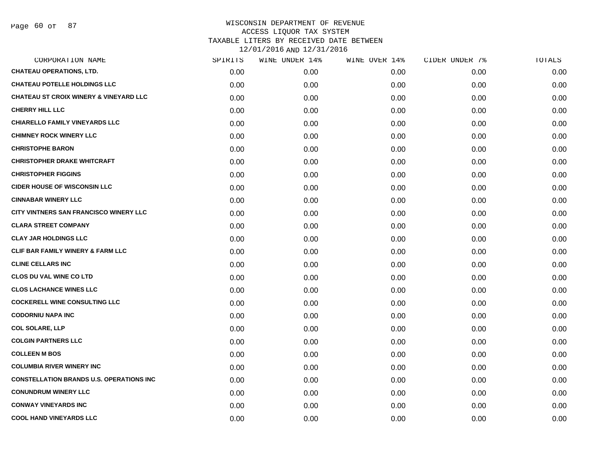| CORPORATION NAME                                  | SPIRITS | WINE UNDER 14% | WINE OVER 14% | CIDER UNDER 7% | TOTALS |
|---------------------------------------------------|---------|----------------|---------------|----------------|--------|
| <b>CHATEAU OPERATIONS, LTD.</b>                   | 0.00    | 0.00           | 0.00          | 0.00           | 0.00   |
| <b>CHATEAU POTELLE HOLDINGS LLC</b>               | 0.00    | 0.00           | 0.00          | 0.00           | 0.00   |
| <b>CHATEAU ST CROIX WINERY &amp; VINEYARD LLC</b> | 0.00    | 0.00           | 0.00          | 0.00           | 0.00   |
| <b>CHERRY HILL LLC</b>                            | 0.00    | 0.00           | 0.00          | 0.00           | 0.00   |
| <b>CHIARELLO FAMILY VINEYARDS LLC</b>             | 0.00    | 0.00           | 0.00          | 0.00           | 0.00   |
| <b>CHIMNEY ROCK WINERY LLC</b>                    | 0.00    | 0.00           | 0.00          | 0.00           | 0.00   |
| <b>CHRISTOPHE BARON</b>                           | 0.00    | 0.00           | 0.00          | 0.00           | 0.00   |
| <b>CHRISTOPHER DRAKE WHITCRAFT</b>                | 0.00    | 0.00           | 0.00          | 0.00           | 0.00   |
| <b>CHRISTOPHER FIGGINS</b>                        | 0.00    | 0.00           | 0.00          | 0.00           | 0.00   |
| <b>CIDER HOUSE OF WISCONSIN LLC</b>               | 0.00    | 0.00           | 0.00          | 0.00           | 0.00   |
| <b>CINNABAR WINERY LLC</b>                        | 0.00    | 0.00           | 0.00          | 0.00           | 0.00   |
| CITY VINTNERS SAN FRANCISCO WINERY LLC            | 0.00    | 0.00           | 0.00          | 0.00           | 0.00   |
| <b>CLARA STREET COMPANY</b>                       | 0.00    | 0.00           | 0.00          | 0.00           | 0.00   |
| <b>CLAY JAR HOLDINGS LLC</b>                      | 0.00    | 0.00           | 0.00          | 0.00           | 0.00   |
| <b>CLIF BAR FAMILY WINERY &amp; FARM LLC</b>      | 0.00    | 0.00           | 0.00          | 0.00           | 0.00   |
| <b>CLINE CELLARS INC</b>                          | 0.00    | 0.00           | 0.00          | 0.00           | 0.00   |
| <b>CLOS DU VAL WINE CO LTD</b>                    | 0.00    | 0.00           | 0.00          | 0.00           | 0.00   |
| <b>CLOS LACHANCE WINES LLC</b>                    | 0.00    | 0.00           | 0.00          | 0.00           | 0.00   |
| <b>COCKERELL WINE CONSULTING LLC</b>              | 0.00    | 0.00           | 0.00          | 0.00           | 0.00   |
| <b>CODORNIU NAPA INC</b>                          | 0.00    | 0.00           | 0.00          | 0.00           | 0.00   |
| <b>COL SOLARE, LLP</b>                            | 0.00    | 0.00           | 0.00          | 0.00           | 0.00   |
| <b>COLGIN PARTNERS LLC</b>                        | 0.00    | 0.00           | 0.00          | 0.00           | 0.00   |
| <b>COLLEEN M BOS</b>                              | 0.00    | 0.00           | 0.00          | 0.00           | 0.00   |
| <b>COLUMBIA RIVER WINERY INC</b>                  | 0.00    | 0.00           | 0.00          | 0.00           | 0.00   |
| <b>CONSTELLATION BRANDS U.S. OPERATIONS INC.</b>  | 0.00    | 0.00           | 0.00          | 0.00           | 0.00   |
| <b>CONUNDRUM WINERY LLC</b>                       | 0.00    | 0.00           | 0.00          | 0.00           | 0.00   |
| <b>CONWAY VINEYARDS INC</b>                       | 0.00    | 0.00           | 0.00          | 0.00           | 0.00   |
| <b>COOL HAND VINEYARDS LLC</b>                    | 0.00    | 0.00           | 0.00          | 0.00           | 0.00   |
|                                                   |         |                |               |                |        |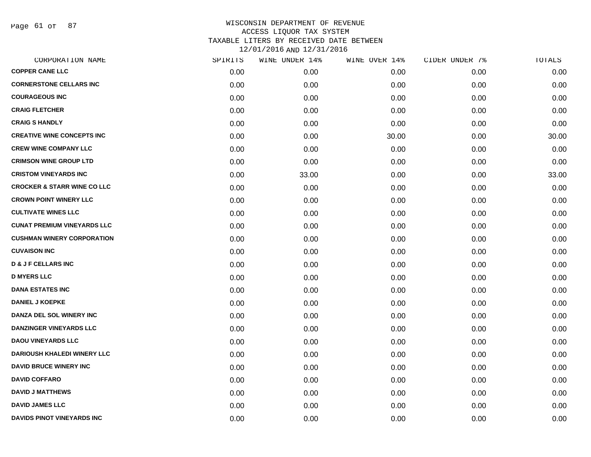Page 61 of 87

| CORPORATION NAME                       | SPIRITS | WINE UNDER 14% | WINE OVER 14% | CIDER UNDER 7% | TOTALS |
|----------------------------------------|---------|----------------|---------------|----------------|--------|
| <b>COPPER CANE LLC</b>                 | 0.00    | 0.00           | 0.00          | 0.00           | 0.00   |
| <b>CORNERSTONE CELLARS INC</b>         | 0.00    | 0.00           | 0.00          | 0.00           | 0.00   |
| <b>COURAGEOUS INC</b>                  | 0.00    | 0.00           | 0.00          | 0.00           | 0.00   |
| <b>CRAIG FLETCHER</b>                  | 0.00    | 0.00           | 0.00          | 0.00           | 0.00   |
| <b>CRAIG S HANDLY</b>                  | 0.00    | 0.00           | 0.00          | 0.00           | 0.00   |
| <b>CREATIVE WINE CONCEPTS INC</b>      | 0.00    | 0.00           | 30.00         | 0.00           | 30.00  |
| <b>CREW WINE COMPANY LLC</b>           | 0.00    | 0.00           | 0.00          | 0.00           | 0.00   |
| <b>CRIMSON WINE GROUP LTD</b>          | 0.00    | 0.00           | 0.00          | 0.00           | 0.00   |
| <b>CRISTOM VINEYARDS INC</b>           | 0.00    | 33.00          | 0.00          | 0.00           | 33.00  |
| <b>CROCKER &amp; STARR WINE CO LLC</b> | 0.00    | 0.00           | 0.00          | 0.00           | 0.00   |
| <b>CROWN POINT WINERY LLC</b>          | 0.00    | 0.00           | 0.00          | 0.00           | 0.00   |
| <b>CULTIVATE WINES LLC</b>             | 0.00    | 0.00           | 0.00          | 0.00           | 0.00   |
| <b>CUNAT PREMIUM VINEYARDS LLC</b>     | 0.00    | 0.00           | 0.00          | 0.00           | 0.00   |
| <b>CUSHMAN WINERY CORPORATION</b>      | 0.00    | 0.00           | 0.00          | 0.00           | 0.00   |
| <b>CUVAISON INC</b>                    | 0.00    | 0.00           | 0.00          | 0.00           | 0.00   |
| <b>D &amp; J F CELLARS INC</b>         | 0.00    | 0.00           | 0.00          | 0.00           | 0.00   |
| <b>D MYERS LLC</b>                     | 0.00    | 0.00           | 0.00          | 0.00           | 0.00   |
| <b>DANA ESTATES INC</b>                | 0.00    | 0.00           | 0.00          | 0.00           | 0.00   |
| <b>DANIEL J KOEPKE</b>                 | 0.00    | 0.00           | 0.00          | 0.00           | 0.00   |
| DANZA DEL SOL WINERY INC               | 0.00    | 0.00           | 0.00          | 0.00           | 0.00   |
| <b>DANZINGER VINEYARDS LLC</b>         | 0.00    | 0.00           | 0.00          | 0.00           | 0.00   |
| <b>DAOU VINEYARDS LLC</b>              | 0.00    | 0.00           | 0.00          | 0.00           | 0.00   |
| <b>DARIOUSH KHALEDI WINERY LLC</b>     | 0.00    | 0.00           | 0.00          | 0.00           | 0.00   |
| <b>DAVID BRUCE WINERY INC</b>          | 0.00    | 0.00           | 0.00          | 0.00           | 0.00   |
| <b>DAVID COFFARO</b>                   | 0.00    | 0.00           | 0.00          | 0.00           | 0.00   |
| <b>DAVID J MATTHEWS</b>                | 0.00    | 0.00           | 0.00          | 0.00           | 0.00   |
| <b>DAVID JAMES LLC</b>                 | 0.00    | 0.00           | 0.00          | 0.00           | 0.00   |
| DAVIDS PINOT VINEYARDS INC             | 0.00    | 0.00           | 0.00          | 0.00           | 0.00   |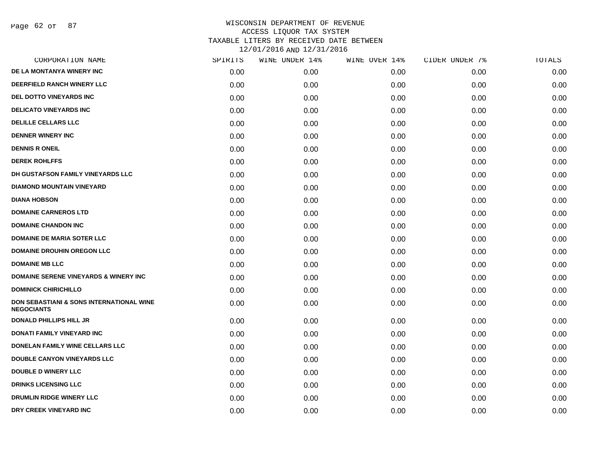Page 62 of 87

| CORPORATION NAME                                              | SPIRITS | WINE UNDER 14% | WINE OVER 14% | CIDER UNDER 7% | TOTALS |
|---------------------------------------------------------------|---------|----------------|---------------|----------------|--------|
| DE LA MONTANYA WINERY INC                                     | 0.00    | 0.00           | 0.00          | 0.00           | 0.00   |
| DEERFIELD RANCH WINERY LLC                                    | 0.00    | 0.00           | 0.00          | 0.00           | 0.00   |
| DEL DOTTO VINEYARDS INC                                       | 0.00    | 0.00           | 0.00          | 0.00           | 0.00   |
| <b>DELICATO VINEYARDS INC</b>                                 | 0.00    | 0.00           | 0.00          | 0.00           | 0.00   |
| <b>DELILLE CELLARS LLC</b>                                    | 0.00    | 0.00           | 0.00          | 0.00           | 0.00   |
| <b>DENNER WINERY INC</b>                                      | 0.00    | 0.00           | 0.00          | 0.00           | 0.00   |
| <b>DENNIS R ONEIL</b>                                         | 0.00    | 0.00           | 0.00          | 0.00           | 0.00   |
| <b>DEREK ROHLFFS</b>                                          | 0.00    | 0.00           | 0.00          | 0.00           | 0.00   |
| DH GUSTAFSON FAMILY VINEYARDS LLC                             | 0.00    | 0.00           | 0.00          | 0.00           | 0.00   |
| <b>DIAMOND MOUNTAIN VINEYARD</b>                              | 0.00    | 0.00           | 0.00          | 0.00           | 0.00   |
| <b>DIANA HOBSON</b>                                           | 0.00    | 0.00           | 0.00          | 0.00           | 0.00   |
| <b>DOMAINE CARNEROS LTD</b>                                   | 0.00    | 0.00           | 0.00          | 0.00           | 0.00   |
| <b>DOMAINE CHANDON INC</b>                                    | 0.00    | 0.00           | 0.00          | 0.00           | 0.00   |
| <b>DOMAINE DE MARIA SOTER LLC</b>                             | 0.00    | 0.00           | 0.00          | 0.00           | 0.00   |
| <b>DOMAINE DROUHIN OREGON LLC</b>                             | 0.00    | 0.00           | 0.00          | 0.00           | 0.00   |
| <b>DOMAINE MB LLC</b>                                         | 0.00    | 0.00           | 0.00          | 0.00           | 0.00   |
| <b>DOMAINE SERENE VINEYARDS &amp; WINERY INC</b>              | 0.00    | 0.00           | 0.00          | 0.00           | 0.00   |
| <b>DOMINICK CHIRICHILLO</b>                                   | 0.00    | 0.00           | 0.00          | 0.00           | 0.00   |
| DON SEBASTIANI & SONS INTERNATIONAL WINE<br><b>NEGOCIANTS</b> | 0.00    | 0.00           | 0.00          | 0.00           | 0.00   |
| <b>DONALD PHILLIPS HILL JR</b>                                | 0.00    | 0.00           | 0.00          | 0.00           | 0.00   |
| DONATI FAMILY VINEYARD INC                                    | 0.00    | 0.00           | 0.00          | 0.00           | 0.00   |
| DONELAN FAMILY WINE CELLARS LLC                               | 0.00    | 0.00           | 0.00          | 0.00           | 0.00   |
| <b>DOUBLE CANYON VINEYARDS LLC</b>                            | 0.00    | 0.00           | 0.00          | 0.00           | 0.00   |
| <b>DOUBLE D WINERY LLC</b>                                    | 0.00    | 0.00           | 0.00          | 0.00           | 0.00   |
| <b>DRINKS LICENSING LLC</b>                                   | 0.00    | 0.00           | 0.00          | 0.00           | 0.00   |
| <b>DRUMLIN RIDGE WINERY LLC</b>                               | 0.00    | 0.00           | 0.00          | 0.00           | 0.00   |
| DRY CREEK VINEYARD INC                                        | 0.00    | 0.00           | 0.00          | 0.00           | 0.00   |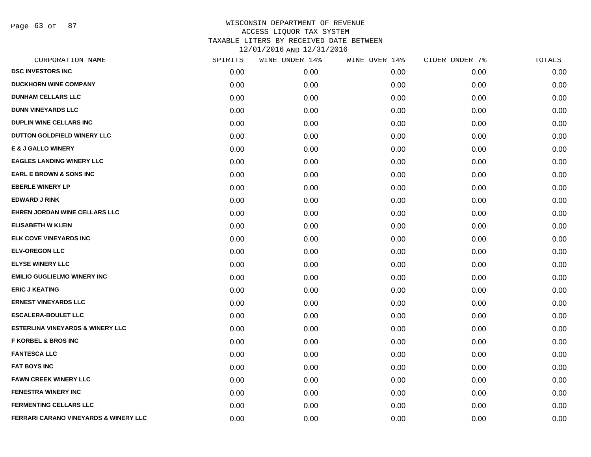Page 63 of 87

| CORPORATION NAME                                 | SPIRITS | WINE UNDER 14% | WINE OVER 14% | CIDER UNDER 7% | TOTALS |
|--------------------------------------------------|---------|----------------|---------------|----------------|--------|
| <b>DSC INVESTORS INC</b>                         | 0.00    | 0.00           | 0.00          | 0.00           | 0.00   |
| <b>DUCKHORN WINE COMPANY</b>                     | 0.00    | 0.00           | 0.00          | 0.00           | 0.00   |
| <b>DUNHAM CELLARS LLC</b>                        | 0.00    | 0.00           | 0.00          | 0.00           | 0.00   |
| <b>DUNN VINEYARDS LLC</b>                        | 0.00    | 0.00           | 0.00          | 0.00           | 0.00   |
| <b>DUPLIN WINE CELLARS INC</b>                   | 0.00    | 0.00           | 0.00          | 0.00           | 0.00   |
| DUTTON GOLDFIELD WINERY LLC                      | 0.00    | 0.00           | 0.00          | 0.00           | 0.00   |
| <b>E &amp; J GALLO WINERY</b>                    | 0.00    | 0.00           | 0.00          | 0.00           | 0.00   |
| <b>EAGLES LANDING WINERY LLC</b>                 | 0.00    | 0.00           | 0.00          | 0.00           | 0.00   |
| <b>EARL E BROWN &amp; SONS INC</b>               | 0.00    | 0.00           | 0.00          | 0.00           | 0.00   |
| <b>EBERLE WINERY LP</b>                          | 0.00    | 0.00           | 0.00          | 0.00           | 0.00   |
| <b>EDWARD J RINK</b>                             | 0.00    | 0.00           | 0.00          | 0.00           | 0.00   |
| EHREN JORDAN WINE CELLARS LLC                    | 0.00    | 0.00           | 0.00          | 0.00           | 0.00   |
| <b>ELISABETH W KLEIN</b>                         | 0.00    | 0.00           | 0.00          | 0.00           | 0.00   |
| ELK COVE VINEYARDS INC                           | 0.00    | 0.00           | 0.00          | 0.00           | 0.00   |
| <b>ELV-OREGON LLC</b>                            | 0.00    | 0.00           | 0.00          | 0.00           | 0.00   |
| <b>ELYSE WINERY LLC</b>                          | 0.00    | 0.00           | 0.00          | 0.00           | 0.00   |
| <b>EMILIO GUGLIELMO WINERY INC</b>               | 0.00    | 0.00           | 0.00          | 0.00           | 0.00   |
| <b>ERIC J KEATING</b>                            | 0.00    | 0.00           | 0.00          | 0.00           | 0.00   |
| <b>ERNEST VINEYARDS LLC</b>                      | 0.00    | 0.00           | 0.00          | 0.00           | 0.00   |
| <b>ESCALERA-BOULET LLC</b>                       | 0.00    | 0.00           | 0.00          | 0.00           | 0.00   |
| <b>ESTERLINA VINEYARDS &amp; WINERY LLC</b>      | 0.00    | 0.00           | 0.00          | 0.00           | 0.00   |
| <b>F KORBEL &amp; BROS INC</b>                   | 0.00    | 0.00           | 0.00          | 0.00           | 0.00   |
| <b>FANTESCA LLC</b>                              | 0.00    | 0.00           | 0.00          | 0.00           | 0.00   |
| <b>FAT BOYS INC</b>                              | 0.00    | 0.00           | 0.00          | 0.00           | 0.00   |
| <b>FAWN CREEK WINERY LLC</b>                     | 0.00    | 0.00           | 0.00          | 0.00           | 0.00   |
| <b>FENESTRA WINERY INC</b>                       | 0.00    | 0.00           | 0.00          | 0.00           | 0.00   |
| <b>FERMENTING CELLARS LLC</b>                    | 0.00    | 0.00           | 0.00          | 0.00           | 0.00   |
| <b>FERRARI CARANO VINEYARDS &amp; WINERY LLC</b> | 0.00    | 0.00           | 0.00          | 0.00           | 0.00   |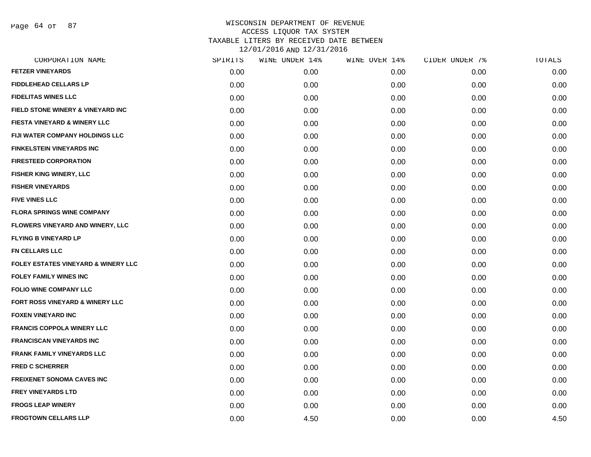Page 64 of 87

| CORPORATION NAME                               | SPIRITS | WINE UNDER 14% | WINE OVER 14% | CIDER UNDER 7% | TOTALS |
|------------------------------------------------|---------|----------------|---------------|----------------|--------|
| <b>FETZER VINEYARDS</b>                        | 0.00    | 0.00           | 0.00          | 0.00           | 0.00   |
| <b>FIDDLEHEAD CELLARS LP</b>                   | 0.00    | 0.00           | 0.00          | 0.00           | 0.00   |
| <b>FIDELITAS WINES LLC</b>                     | 0.00    | 0.00           | 0.00          | 0.00           | 0.00   |
| FIELD STONE WINERY & VINEYARD INC              | 0.00    | 0.00           | 0.00          | 0.00           | 0.00   |
| <b>FIESTA VINEYARD &amp; WINERY LLC</b>        | 0.00    | 0.00           | 0.00          | 0.00           | 0.00   |
| FIJI WATER COMPANY HOLDINGS LLC                | 0.00    | 0.00           | 0.00          | 0.00           | 0.00   |
| <b>FINKELSTEIN VINEYARDS INC</b>               | 0.00    | 0.00           | 0.00          | 0.00           | 0.00   |
| <b>FIRESTEED CORPORATION</b>                   | 0.00    | 0.00           | 0.00          | 0.00           | 0.00   |
| FISHER KING WINERY, LLC                        | 0.00    | 0.00           | 0.00          | 0.00           | 0.00   |
| <b>FISHER VINEYARDS</b>                        | 0.00    | 0.00           | 0.00          | 0.00           | 0.00   |
| <b>FIVE VINES LLC</b>                          | 0.00    | 0.00           | 0.00          | 0.00           | 0.00   |
| <b>FLORA SPRINGS WINE COMPANY</b>              | 0.00    | 0.00           | 0.00          | 0.00           | 0.00   |
| <b>FLOWERS VINEYARD AND WINERY, LLC</b>        | 0.00    | 0.00           | 0.00          | 0.00           | 0.00   |
| <b>FLYING B VINEYARD LP</b>                    | 0.00    | 0.00           | 0.00          | 0.00           | 0.00   |
| <b>FN CELLARS LLC</b>                          | 0.00    | 0.00           | 0.00          | 0.00           | 0.00   |
| <b>FOLEY ESTATES VINEYARD &amp; WINERY LLC</b> | 0.00    | 0.00           | 0.00          | 0.00           | 0.00   |
| <b>FOLEY FAMILY WINES INC</b>                  | 0.00    | 0.00           | 0.00          | 0.00           | 0.00   |
| <b>FOLIO WINE COMPANY LLC</b>                  | 0.00    | 0.00           | 0.00          | 0.00           | 0.00   |
| <b>FORT ROSS VINEYARD &amp; WINERY LLC</b>     | 0.00    | 0.00           | 0.00          | 0.00           | 0.00   |
| <b>FOXEN VINEYARD INC</b>                      | 0.00    | 0.00           | 0.00          | 0.00           | 0.00   |
| <b>FRANCIS COPPOLA WINERY LLC</b>              | 0.00    | 0.00           | 0.00          | 0.00           | 0.00   |
| <b>FRANCISCAN VINEYARDS INC</b>                | 0.00    | 0.00           | 0.00          | 0.00           | 0.00   |
| <b>FRANK FAMILY VINEYARDS LLC</b>              | 0.00    | 0.00           | 0.00          | 0.00           | 0.00   |
| <b>FRED C SCHERRER</b>                         | 0.00    | 0.00           | 0.00          | 0.00           | 0.00   |
| <b>FREIXENET SONOMA CAVES INC</b>              | 0.00    | 0.00           | 0.00          | 0.00           | 0.00   |
| <b>FREY VINEYARDS LTD</b>                      | 0.00    | 0.00           | 0.00          | 0.00           | 0.00   |
| <b>FROGS LEAP WINERY</b>                       | 0.00    | 0.00           | 0.00          | 0.00           | 0.00   |
| <b>FROGTOWN CELLARS LLP</b>                    | 0.00    | 4.50           | 0.00          | 0.00           | 4.50   |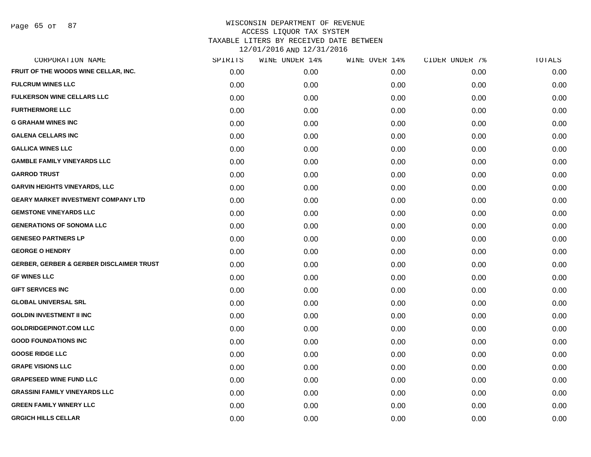Page 65 of 87

| CORPORATION NAME                                    | SPIRITS | WINE UNDER 14% | WINE OVER 14% | CIDER UNDER 7% | TOTALS |
|-----------------------------------------------------|---------|----------------|---------------|----------------|--------|
| FRUIT OF THE WOODS WINE CELLAR, INC.                | 0.00    | 0.00           | 0.00          | 0.00           | 0.00   |
| <b>FULCRUM WINES LLC</b>                            | 0.00    | 0.00           | 0.00          | 0.00           | 0.00   |
| <b>FULKERSON WINE CELLARS LLC</b>                   | 0.00    | 0.00           | 0.00          | 0.00           | 0.00   |
| <b>FURTHERMORE LLC</b>                              | 0.00    | 0.00           | 0.00          | 0.00           | 0.00   |
| <b>G GRAHAM WINES INC</b>                           | 0.00    | 0.00           | 0.00          | 0.00           | 0.00   |
| <b>GALENA CELLARS INC</b>                           | 0.00    | 0.00           | 0.00          | 0.00           | 0.00   |
| <b>GALLICA WINES LLC</b>                            | 0.00    | 0.00           | 0.00          | 0.00           | 0.00   |
| <b>GAMBLE FAMILY VINEYARDS LLC</b>                  | 0.00    | 0.00           | 0.00          | 0.00           | 0.00   |
| <b>GARROD TRUST</b>                                 | 0.00    | 0.00           | 0.00          | 0.00           | 0.00   |
| <b>GARVIN HEIGHTS VINEYARDS, LLC</b>                | 0.00    | 0.00           | 0.00          | 0.00           | 0.00   |
| <b>GEARY MARKET INVESTMENT COMPANY LTD</b>          | 0.00    | 0.00           | 0.00          | 0.00           | 0.00   |
| <b>GEMSTONE VINEYARDS LLC</b>                       | 0.00    | 0.00           | 0.00          | 0.00           | 0.00   |
| <b>GENERATIONS OF SONOMA LLC</b>                    | 0.00    | 0.00           | 0.00          | 0.00           | 0.00   |
| <b>GENESEO PARTNERS LP</b>                          | 0.00    | 0.00           | 0.00          | 0.00           | 0.00   |
| <b>GEORGE O HENDRY</b>                              | 0.00    | 0.00           | 0.00          | 0.00           | 0.00   |
| <b>GERBER, GERBER &amp; GERBER DISCLAIMER TRUST</b> | 0.00    | 0.00           | 0.00          | 0.00           | 0.00   |
| <b>GF WINES LLC</b>                                 | 0.00    | 0.00           | 0.00          | 0.00           | 0.00   |
| <b>GIFT SERVICES INC</b>                            | 0.00    | 0.00           | 0.00          | 0.00           | 0.00   |
| <b>GLOBAL UNIVERSAL SRL</b>                         | 0.00    | 0.00           | 0.00          | 0.00           | 0.00   |
| <b>GOLDIN INVESTMENT II INC</b>                     | 0.00    | 0.00           | 0.00          | 0.00           | 0.00   |
| <b>GOLDRIDGEPINOT.COM LLC</b>                       | 0.00    | 0.00           | 0.00          | 0.00           | 0.00   |
| <b>GOOD FOUNDATIONS INC</b>                         | 0.00    | 0.00           | 0.00          | 0.00           | 0.00   |
| <b>GOOSE RIDGE LLC</b>                              | 0.00    | 0.00           | 0.00          | 0.00           | 0.00   |
| <b>GRAPE VISIONS LLC</b>                            | 0.00    | 0.00           | 0.00          | 0.00           | 0.00   |
| <b>GRAPESEED WINE FUND LLC</b>                      | 0.00    | 0.00           | 0.00          | 0.00           | 0.00   |
| <b>GRASSINI FAMILY VINEYARDS LLC</b>                | 0.00    | 0.00           | 0.00          | 0.00           | 0.00   |
| <b>GREEN FAMILY WINERY LLC</b>                      | 0.00    | 0.00           | 0.00          | 0.00           | 0.00   |
| <b>GRGICH HILLS CELLAR</b>                          | 0.00    | 0.00           | 0.00          | 0.00           | 0.00   |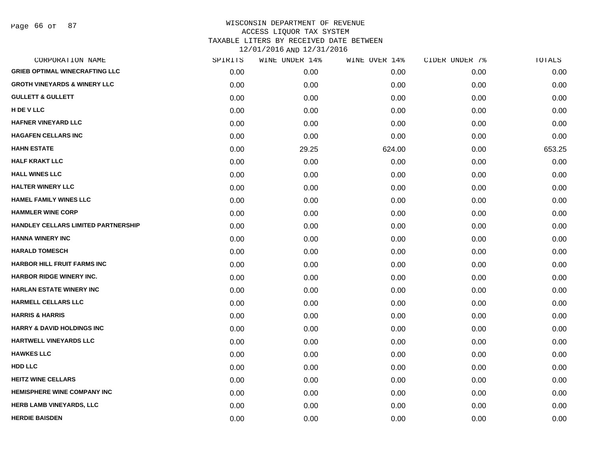Page 66 of 87

| CORPORATION NAME                        | SPIRITS | WINE UNDER 14% | WINE OVER 14% | CIDER UNDER 7% | TOTALS |
|-----------------------------------------|---------|----------------|---------------|----------------|--------|
| <b>GRIEB OPTIMAL WINECRAFTING LLC</b>   | 0.00    | 0.00           | 0.00          | 0.00           | 0.00   |
| <b>GROTH VINEYARDS &amp; WINERY LLC</b> | 0.00    | 0.00           | 0.00          | 0.00           | 0.00   |
| <b>GULLETT &amp; GULLETT</b>            | 0.00    | 0.00           | 0.00          | 0.00           | 0.00   |
| H DE V LLC                              | 0.00    | 0.00           | 0.00          | 0.00           | 0.00   |
| HAFNER VINEYARD LLC                     | 0.00    | 0.00           | 0.00          | 0.00           | 0.00   |
| <b>HAGAFEN CELLARS INC</b>              | 0.00    | 0.00           | 0.00          | 0.00           | 0.00   |
| <b>HAHN ESTATE</b>                      | 0.00    | 29.25          | 624.00        | 0.00           | 653.25 |
| <b>HALF KRAKT LLC</b>                   | 0.00    | 0.00           | 0.00          | 0.00           | 0.00   |
| <b>HALL WINES LLC</b>                   | 0.00    | 0.00           | 0.00          | 0.00           | 0.00   |
| <b>HALTER WINERY LLC</b>                | 0.00    | 0.00           | 0.00          | 0.00           | 0.00   |
| <b>HAMEL FAMILY WINES LLC</b>           | 0.00    | 0.00           | 0.00          | 0.00           | 0.00   |
| <b>HAMMLER WINE CORP</b>                | 0.00    | 0.00           | 0.00          | 0.00           | 0.00   |
| HANDLEY CELLARS LIMITED PARTNERSHIP     | 0.00    | 0.00           | 0.00          | 0.00           | 0.00   |
| <b>HANNA WINERY INC</b>                 | 0.00    | 0.00           | 0.00          | 0.00           | 0.00   |
| <b>HARALD TOMESCH</b>                   | 0.00    | 0.00           | 0.00          | 0.00           | 0.00   |
| <b>HARBOR HILL FRUIT FARMS INC</b>      | 0.00    | 0.00           | 0.00          | 0.00           | 0.00   |
| <b>HARBOR RIDGE WINERY INC.</b>         | 0.00    | 0.00           | 0.00          | 0.00           | 0.00   |
| <b>HARLAN ESTATE WINERY INC</b>         | 0.00    | 0.00           | 0.00          | 0.00           | 0.00   |
| <b>HARMELL CELLARS LLC</b>              | 0.00    | 0.00           | 0.00          | 0.00           | 0.00   |
| <b>HARRIS &amp; HARRIS</b>              | 0.00    | 0.00           | 0.00          | 0.00           | 0.00   |
| <b>HARRY &amp; DAVID HOLDINGS INC</b>   | 0.00    | 0.00           | 0.00          | 0.00           | 0.00   |
| HARTWELL VINEYARDS LLC                  | 0.00    | 0.00           | 0.00          | 0.00           | 0.00   |
| <b>HAWKES LLC</b>                       | 0.00    | 0.00           | 0.00          | 0.00           | 0.00   |
| HDD LLC                                 | 0.00    | 0.00           | 0.00          | 0.00           | 0.00   |
| <b>HEITZ WINE CELLARS</b>               | 0.00    | 0.00           | 0.00          | 0.00           | 0.00   |
| HEMISPHERE WINE COMPANY INC             | 0.00    | 0.00           | 0.00          | 0.00           | 0.00   |
| <b>HERB LAMB VINEYARDS, LLC</b>         | 0.00    | 0.00           | 0.00          | 0.00           | 0.00   |
| <b>HERDIE BAISDEN</b>                   | 0.00    | 0.00           | 0.00          | 0.00           | 0.00   |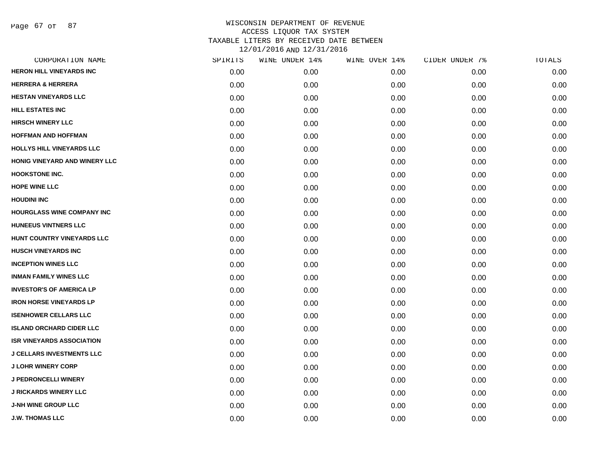Page 67 of 87

| CORPORATION NAME                  | SPIRITS | WINE UNDER 14% | WINE OVER 14% | CIDER UNDER 7% | TOTALS |
|-----------------------------------|---------|----------------|---------------|----------------|--------|
| <b>HERON HILL VINEYARDS INC</b>   | 0.00    | 0.00           | 0.00          | 0.00           | 0.00   |
| <b>HERRERA &amp; HERRERA</b>      | 0.00    | 0.00           | 0.00          | 0.00           | 0.00   |
| <b>HESTAN VINEYARDS LLC</b>       | 0.00    | 0.00           | 0.00          | 0.00           | 0.00   |
| <b>HILL ESTATES INC</b>           | 0.00    | 0.00           | 0.00          | 0.00           | 0.00   |
| <b>HIRSCH WINERY LLC</b>          | 0.00    | 0.00           | 0.00          | 0.00           | 0.00   |
| <b>HOFFMAN AND HOFFMAN</b>        | 0.00    | 0.00           | 0.00          | 0.00           | 0.00   |
| HOLLYS HILL VINEYARDS LLC         | 0.00    | 0.00           | 0.00          | 0.00           | 0.00   |
| HONIG VINEYARD AND WINERY LLC     | 0.00    | 0.00           | 0.00          | 0.00           | 0.00   |
| <b>HOOKSTONE INC.</b>             | 0.00    | 0.00           | 0.00          | 0.00           | 0.00   |
| <b>HOPE WINE LLC</b>              | 0.00    | 0.00           | 0.00          | 0.00           | 0.00   |
| <b>HOUDINI INC</b>                | 0.00    | 0.00           | 0.00          | 0.00           | 0.00   |
| <b>HOURGLASS WINE COMPANY INC</b> | 0.00    | 0.00           | 0.00          | 0.00           | 0.00   |
| <b>HUNEEUS VINTNERS LLC</b>       | 0.00    | 0.00           | 0.00          | 0.00           | 0.00   |
| HUNT COUNTRY VINEYARDS LLC        | 0.00    | 0.00           | 0.00          | 0.00           | 0.00   |
| <b>HUSCH VINEYARDS INC</b>        | 0.00    | 0.00           | 0.00          | 0.00           | 0.00   |
| <b>INCEPTION WINES LLC</b>        | 0.00    | 0.00           | 0.00          | 0.00           | 0.00   |
| <b>INMAN FAMILY WINES LLC</b>     | 0.00    | 0.00           | 0.00          | 0.00           | 0.00   |
| <b>INVESTOR'S OF AMERICA LP</b>   | 0.00    | 0.00           | 0.00          | 0.00           | 0.00   |
| <b>IRON HORSE VINEYARDS LP</b>    | 0.00    | 0.00           | 0.00          | 0.00           | 0.00   |
| <b>ISENHOWER CELLARS LLC</b>      | 0.00    | 0.00           | 0.00          | 0.00           | 0.00   |
| <b>ISLAND ORCHARD CIDER LLC</b>   | 0.00    | 0.00           | 0.00          | 0.00           | 0.00   |
| <b>ISR VINEYARDS ASSOCIATION</b>  | 0.00    | 0.00           | 0.00          | 0.00           | 0.00   |
| <b>J CELLARS INVESTMENTS LLC</b>  | 0.00    | 0.00           | 0.00          | 0.00           | 0.00   |
| <b>J LOHR WINERY CORP</b>         | 0.00    | 0.00           | 0.00          | 0.00           | 0.00   |
| J PEDRONCELLI WINERY              | 0.00    | 0.00           | 0.00          | 0.00           | 0.00   |
| <b>J RICKARDS WINERY LLC</b>      | 0.00    | 0.00           | 0.00          | 0.00           | 0.00   |
| <b>J-NH WINE GROUP LLC</b>        | 0.00    | 0.00           | 0.00          | 0.00           | 0.00   |
| <b>J.W. THOMAS LLC</b>            | 0.00    | 0.00           | 0.00          | 0.00           | 0.00   |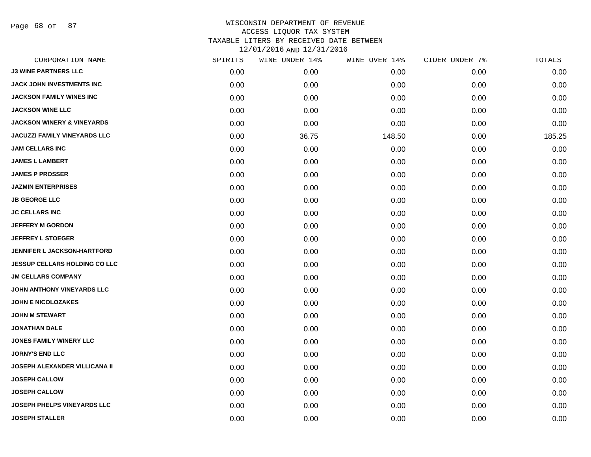Page 68 of 87

| CORPORATION NAME                      | SPIRITS | WINE UNDER 14% | WINE OVER 14% | CIDER UNDER 7% | TOTALS |
|---------------------------------------|---------|----------------|---------------|----------------|--------|
| <b>J3 WINE PARTNERS LLC</b>           | 0.00    | 0.00           | 0.00          | 0.00           | 0.00   |
| JACK JOHN INVESTMENTS INC             | 0.00    | 0.00           | 0.00          | 0.00           | 0.00   |
| <b>JACKSON FAMILY WINES INC</b>       | 0.00    | 0.00           | 0.00          | 0.00           | 0.00   |
| <b>JACKSON WINE LLC</b>               | 0.00    | 0.00           | 0.00          | 0.00           | 0.00   |
| <b>JACKSON WINERY &amp; VINEYARDS</b> | 0.00    | 0.00           | 0.00          | 0.00           | 0.00   |
| <b>JACUZZI FAMILY VINEYARDS LLC</b>   | 0.00    | 36.75          | 148.50        | 0.00           | 185.25 |
| <b>JAM CELLARS INC</b>                | 0.00    | 0.00           | 0.00          | 0.00           | 0.00   |
| <b>JAMES L LAMBERT</b>                | 0.00    | 0.00           | 0.00          | 0.00           | 0.00   |
| <b>JAMES P PROSSER</b>                | 0.00    | 0.00           | 0.00          | 0.00           | 0.00   |
| <b>JAZMIN ENTERPRISES</b>             | 0.00    | 0.00           | 0.00          | 0.00           | 0.00   |
| <b>JB GEORGE LLC</b>                  | 0.00    | 0.00           | 0.00          | 0.00           | 0.00   |
| <b>JC CELLARS INC</b>                 | 0.00    | 0.00           | 0.00          | 0.00           | 0.00   |
| <b>JEFFERY M GORDON</b>               | 0.00    | 0.00           | 0.00          | 0.00           | 0.00   |
| <b>JEFFREY L STOEGER</b>              | 0.00    | 0.00           | 0.00          | 0.00           | 0.00   |
| <b>JENNIFER L JACKSON-HARTFORD</b>    | 0.00    | 0.00           | 0.00          | 0.00           | 0.00   |
| <b>JESSUP CELLARS HOLDING CO LLC</b>  | 0.00    | 0.00           | 0.00          | 0.00           | 0.00   |
| <b>JM CELLARS COMPANY</b>             | 0.00    | 0.00           | 0.00          | 0.00           | 0.00   |
| JOHN ANTHONY VINEYARDS LLC            | 0.00    | 0.00           | 0.00          | 0.00           | 0.00   |
| <b>JOHN E NICOLOZAKES</b>             | 0.00    | 0.00           | 0.00          | 0.00           | 0.00   |
| <b>JOHN M STEWART</b>                 | 0.00    | 0.00           | 0.00          | 0.00           | 0.00   |
| <b>JONATHAN DALE</b>                  | 0.00    | 0.00           | 0.00          | 0.00           | 0.00   |
| <b>JONES FAMILY WINERY LLC</b>        | 0.00    | 0.00           | 0.00          | 0.00           | 0.00   |
| <b>JORNY'S END LLC</b>                | 0.00    | 0.00           | 0.00          | 0.00           | 0.00   |
| <b>JOSEPH ALEXANDER VILLICANA II</b>  | 0.00    | 0.00           | 0.00          | 0.00           | 0.00   |
| <b>JOSEPH CALLOW</b>                  | 0.00    | 0.00           | 0.00          | 0.00           | 0.00   |
| <b>JOSEPH CALLOW</b>                  | 0.00    | 0.00           | 0.00          | 0.00           | 0.00   |
| JOSEPH PHELPS VINEYARDS LLC           | 0.00    | 0.00           | 0.00          | 0.00           | 0.00   |
| <b>JOSEPH STALLER</b>                 | 0.00    | 0.00           | 0.00          | 0.00           | 0.00   |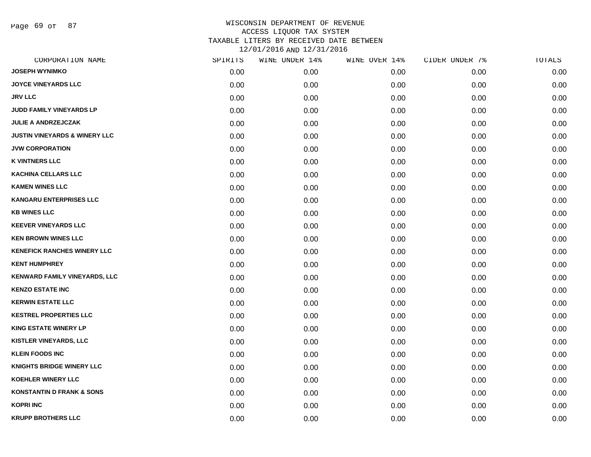Page 69 of 87

| CORPORATION NAME                         | SPIRITS | WINE UNDER 14% | WINE OVER 14% | CIDER UNDER 7% | TOTALS |
|------------------------------------------|---------|----------------|---------------|----------------|--------|
| <b>JOSEPH WYNIMKO</b>                    | 0.00    | 0.00           | 0.00          | 0.00           | 0.00   |
| <b>JOYCE VINEYARDS LLC</b>               | 0.00    | 0.00           | 0.00          | 0.00           | 0.00   |
| <b>JRV LLC</b>                           | 0.00    | 0.00           | 0.00          | 0.00           | 0.00   |
| JUDD FAMILY VINEYARDS LP                 | 0.00    | 0.00           | 0.00          | 0.00           | 0.00   |
| <b>JULIE A ANDRZEJCZAK</b>               | 0.00    | 0.00           | 0.00          | 0.00           | 0.00   |
| <b>JUSTIN VINEYARDS &amp; WINERY LLC</b> | 0.00    | 0.00           | 0.00          | 0.00           | 0.00   |
| <b>JVW CORPORATION</b>                   | 0.00    | 0.00           | 0.00          | 0.00           | 0.00   |
| <b>K VINTNERS LLC</b>                    | 0.00    | 0.00           | 0.00          | 0.00           | 0.00   |
| <b>KACHINA CELLARS LLC</b>               | 0.00    | 0.00           | 0.00          | 0.00           | 0.00   |
| <b>KAMEN WINES LLC</b>                   | 0.00    | 0.00           | 0.00          | 0.00           | 0.00   |
| <b>KANGARU ENTERPRISES LLC</b>           | 0.00    | 0.00           | 0.00          | 0.00           | 0.00   |
| <b>KB WINES LLC</b>                      | 0.00    | 0.00           | 0.00          | 0.00           | 0.00   |
| <b>KEEVER VINEYARDS LLC</b>              | 0.00    | 0.00           | 0.00          | 0.00           | 0.00   |
| <b>KEN BROWN WINES LLC</b>               | 0.00    | 0.00           | 0.00          | 0.00           | 0.00   |
| <b>KENEFICK RANCHES WINERY LLC</b>       | 0.00    | 0.00           | 0.00          | 0.00           | 0.00   |
| <b>KENT HUMPHREY</b>                     | 0.00    | 0.00           | 0.00          | 0.00           | 0.00   |
| KENWARD FAMILY VINEYARDS, LLC            | 0.00    | 0.00           | 0.00          | 0.00           | 0.00   |
| <b>KENZO ESTATE INC</b>                  | 0.00    | 0.00           | 0.00          | 0.00           | 0.00   |
| <b>KERWIN ESTATE LLC</b>                 | 0.00    | 0.00           | 0.00          | 0.00           | 0.00   |
| <b>KESTREL PROPERTIES LLC</b>            | 0.00    | 0.00           | 0.00          | 0.00           | 0.00   |
| <b>KING ESTATE WINERY LP</b>             | 0.00    | 0.00           | 0.00          | 0.00           | 0.00   |
| <b>KISTLER VINEYARDS, LLC</b>            | 0.00    | 0.00           | 0.00          | 0.00           | 0.00   |
| <b>KLEIN FOODS INC</b>                   | 0.00    | 0.00           | 0.00          | 0.00           | 0.00   |
| <b>KNIGHTS BRIDGE WINERY LLC</b>         | 0.00    | 0.00           | 0.00          | 0.00           | 0.00   |
| <b>KOEHLER WINERY LLC</b>                | 0.00    | 0.00           | 0.00          | 0.00           | 0.00   |
| <b>KONSTANTIN D FRANK &amp; SONS</b>     | 0.00    | 0.00           | 0.00          | 0.00           | 0.00   |
| <b>KOPRI INC</b>                         | 0.00    | 0.00           | 0.00          | 0.00           | 0.00   |
| <b>KRUPP BROTHERS LLC</b>                | 0.00    | 0.00           | 0.00          | 0.00           | 0.00   |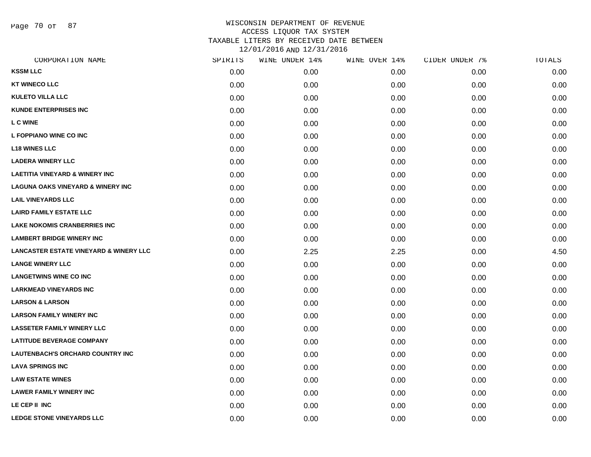Page 70 of 87

| CORPORATION NAME                                  | SPIRITS | WINE UNDER 14% | WINE OVER 14% | CIDER UNDER 7% | TOTALS |
|---------------------------------------------------|---------|----------------|---------------|----------------|--------|
| <b>KSSM LLC</b>                                   | 0.00    | 0.00           | 0.00          | 0.00           | 0.00   |
| <b>KT WINECO LLC</b>                              | 0.00    | 0.00           | 0.00          | 0.00           | 0.00   |
| <b>KULETO VILLA LLC</b>                           | 0.00    | 0.00           | 0.00          | 0.00           | 0.00   |
| <b>KUNDE ENTERPRISES INC</b>                      | 0.00    | 0.00           | 0.00          | 0.00           | 0.00   |
| <b>L C WINE</b>                                   | 0.00    | 0.00           | 0.00          | 0.00           | 0.00   |
| L FOPPIANO WINE CO INC                            | 0.00    | 0.00           | 0.00          | 0.00           | 0.00   |
| <b>L18 WINES LLC</b>                              | 0.00    | 0.00           | 0.00          | 0.00           | 0.00   |
| <b>LADERA WINERY LLC</b>                          | 0.00    | 0.00           | 0.00          | 0.00           | 0.00   |
| <b>LAETITIA VINEYARD &amp; WINERY INC</b>         | 0.00    | 0.00           | 0.00          | 0.00           | 0.00   |
| <b>LAGUNA OAKS VINEYARD &amp; WINERY INC.</b>     | 0.00    | 0.00           | 0.00          | 0.00           | 0.00   |
| <b>LAIL VINEYARDS LLC</b>                         | 0.00    | 0.00           | 0.00          | 0.00           | 0.00   |
| <b>LAIRD FAMILY ESTATE LLC</b>                    | 0.00    | 0.00           | 0.00          | 0.00           | 0.00   |
| <b>LAKE NOKOMIS CRANBERRIES INC</b>               | 0.00    | 0.00           | 0.00          | 0.00           | 0.00   |
| <b>LAMBERT BRIDGE WINERY INC</b>                  | 0.00    | 0.00           | 0.00          | 0.00           | 0.00   |
| <b>LANCASTER ESTATE VINEYARD &amp; WINERY LLC</b> | 0.00    | 2.25           | 2.25          | 0.00           | 4.50   |
| <b>LANGE WINERY LLC</b>                           | 0.00    | 0.00           | 0.00          | 0.00           | 0.00   |
| <b>LANGETWINS WINE CO INC</b>                     | 0.00    | 0.00           | 0.00          | 0.00           | 0.00   |
| <b>LARKMEAD VINEYARDS INC</b>                     | 0.00    | 0.00           | 0.00          | 0.00           | 0.00   |
| <b>LARSON &amp; LARSON</b>                        | 0.00    | 0.00           | 0.00          | 0.00           | 0.00   |
| <b>LARSON FAMILY WINERY INC</b>                   | 0.00    | 0.00           | 0.00          | 0.00           | 0.00   |
| <b>LASSETER FAMILY WINERY LLC</b>                 | 0.00    | 0.00           | 0.00          | 0.00           | 0.00   |
| <b>LATITUDE BEVERAGE COMPANY</b>                  | 0.00    | 0.00           | 0.00          | 0.00           | 0.00   |
| LAUTENBACH'S ORCHARD COUNTRY INC                  | 0.00    | 0.00           | 0.00          | 0.00           | 0.00   |
| <b>LAVA SPRINGS INC</b>                           | 0.00    | 0.00           | 0.00          | 0.00           | 0.00   |
| <b>LAW ESTATE WINES</b>                           | 0.00    | 0.00           | 0.00          | 0.00           | 0.00   |
| <b>LAWER FAMILY WINERY INC</b>                    | 0.00    | 0.00           | 0.00          | 0.00           | 0.00   |
| LE CEP II INC                                     | 0.00    | 0.00           | 0.00          | 0.00           | 0.00   |
| <b>LEDGE STONE VINEYARDS LLC</b>                  | 0.00    | 0.00           | 0.00          | 0.00           | 0.00   |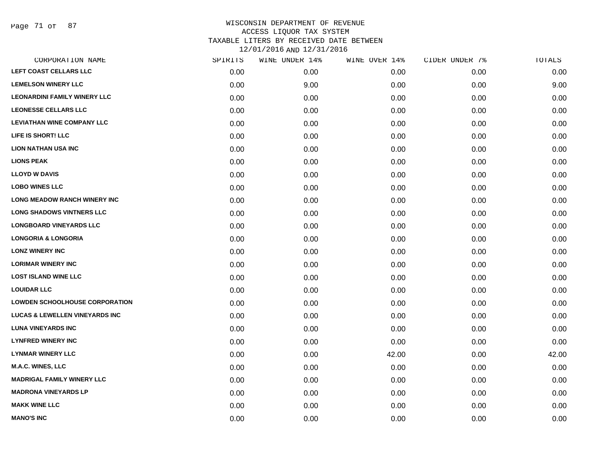Page 71 of 87

| SPIRITS |      | WINE OVER 14%  | CIDER UNDER 7% | TOTALS |
|---------|------|----------------|----------------|--------|
| 0.00    | 0.00 | 0.00           | 0.00           | 0.00   |
| 0.00    | 9.00 | 0.00           | 0.00           | 9.00   |
| 0.00    | 0.00 | 0.00           | 0.00           | 0.00   |
| 0.00    | 0.00 | 0.00           | 0.00           | 0.00   |
| 0.00    | 0.00 | 0.00           | 0.00           | 0.00   |
| 0.00    | 0.00 | 0.00           | 0.00           | 0.00   |
| 0.00    | 0.00 | 0.00           | 0.00           | 0.00   |
| 0.00    | 0.00 | 0.00           | 0.00           | 0.00   |
| 0.00    | 0.00 | 0.00           | 0.00           | 0.00   |
| 0.00    | 0.00 | 0.00           | 0.00           | 0.00   |
| 0.00    | 0.00 | 0.00           | 0.00           | 0.00   |
| 0.00    | 0.00 | 0.00           | 0.00           | 0.00   |
| 0.00    | 0.00 | 0.00           | 0.00           | 0.00   |
| 0.00    | 0.00 | 0.00           | 0.00           | 0.00   |
| 0.00    | 0.00 | 0.00           | 0.00           | 0.00   |
| 0.00    | 0.00 | 0.00           | 0.00           | 0.00   |
| 0.00    | 0.00 | 0.00           | 0.00           | 0.00   |
| 0.00    | 0.00 | 0.00           | 0.00           | 0.00   |
| 0.00    | 0.00 | 0.00           | 0.00           | 0.00   |
| 0.00    | 0.00 | 0.00           | 0.00           | 0.00   |
| 0.00    | 0.00 | 0.00           | 0.00           | 0.00   |
| 0.00    | 0.00 | 0.00           | 0.00           | 0.00   |
| 0.00    | 0.00 | 42.00          | 0.00           | 42.00  |
| 0.00    | 0.00 | 0.00           | 0.00           | 0.00   |
| 0.00    | 0.00 | 0.00           | 0.00           | 0.00   |
| 0.00    | 0.00 | 0.00           | 0.00           | 0.00   |
| 0.00    | 0.00 | 0.00           | 0.00           | 0.00   |
| 0.00    | 0.00 | 0.00           | 0.00           | 0.00   |
|         |      | WINE UNDER 14% |                |        |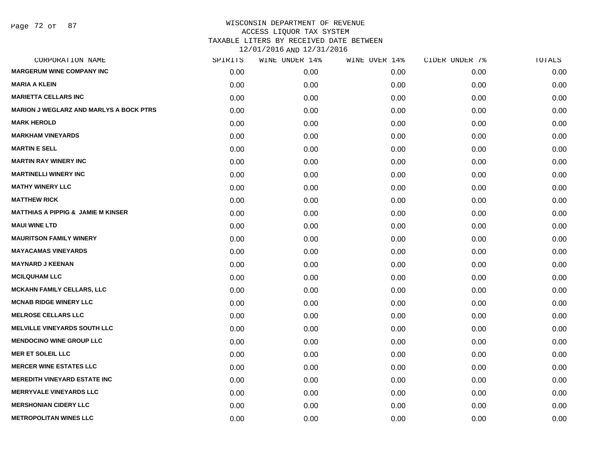| CORPORATION NAME                               | SPIRITS | WINE UNDER 14% | WINE OVER 14% | CIDER UNDER 7% | TOTALS |
|------------------------------------------------|---------|----------------|---------------|----------------|--------|
| <b>MARGERUM WINE COMPANY INC</b>               | 0.00    | 0.00           | 0.00          | 0.00           | 0.00   |
| <b>MARIA A KLEIN</b>                           | 0.00    | 0.00           | 0.00          | 0.00           | 0.00   |
| <b>MARIETTA CELLARS INC</b>                    | 0.00    | 0.00           | 0.00          | 0.00           | 0.00   |
| <b>MARION J WEGLARZ AND MARLYS A BOCK PTRS</b> | 0.00    | 0.00           | 0.00          | 0.00           | 0.00   |
| <b>MARK HEROLD</b>                             | 0.00    | 0.00           | 0.00          | 0.00           | 0.00   |
| <b>MARKHAM VINEYARDS</b>                       | 0.00    | 0.00           | 0.00          | 0.00           | 0.00   |
| <b>MARTIN E SELL</b>                           | 0.00    | 0.00           | 0.00          | 0.00           | 0.00   |
| <b>MARTIN RAY WINERY INC</b>                   | 0.00    | 0.00           | 0.00          | 0.00           | 0.00   |
| <b>MARTINELLI WINERY INC</b>                   | 0.00    | 0.00           | 0.00          | 0.00           | 0.00   |
| <b>MATHY WINERY LLC</b>                        | 0.00    | 0.00           | 0.00          | 0.00           | 0.00   |
| <b>MATTHEW RICK</b>                            | 0.00    | 0.00           | 0.00          | 0.00           | 0.00   |
| <b>MATTHIAS A PIPPIG &amp; JAMIE M KINSER</b>  | 0.00    | 0.00           | 0.00          | 0.00           | 0.00   |
| <b>MAUI WINE LTD</b>                           | 0.00    | 0.00           | 0.00          | 0.00           | 0.00   |
| <b>MAURITSON FAMILY WINERY</b>                 | 0.00    | 0.00           | 0.00          | 0.00           | 0.00   |
| <b>MAYACAMAS VINEYARDS</b>                     | 0.00    | 0.00           | 0.00          | 0.00           | 0.00   |
| <b>MAYNARD J KEENAN</b>                        | 0.00    | 0.00           | 0.00          | 0.00           | 0.00   |
| <b>MCILQUHAM LLC</b>                           | 0.00    | 0.00           | 0.00          | 0.00           | 0.00   |
| <b>MCKAHN FAMILY CELLARS, LLC</b>              | 0.00    | 0.00           | 0.00          | 0.00           | 0.00   |
| <b>MCNAB RIDGE WINERY LLC</b>                  | 0.00    | 0.00           | 0.00          | 0.00           | 0.00   |
| <b>MELROSE CELLARS LLC</b>                     | 0.00    | 0.00           | 0.00          | 0.00           | 0.00   |
| <b>MELVILLE VINEYARDS SOUTH LLC</b>            | 0.00    | 0.00           | 0.00          | 0.00           | 0.00   |
| <b>MENDOCINO WINE GROUP LLC</b>                | 0.00    | 0.00           | 0.00          | 0.00           | 0.00   |
| <b>MER ET SOLEIL LLC</b>                       | 0.00    | 0.00           | 0.00          | 0.00           | 0.00   |
| <b>MERCER WINE ESTATES LLC</b>                 | 0.00    | 0.00           | 0.00          | 0.00           | 0.00   |
| <b>MEREDITH VINEYARD ESTATE INC</b>            | 0.00    | 0.00           | 0.00          | 0.00           | 0.00   |
| <b>MERRYVALE VINEYARDS LLC</b>                 | 0.00    | 0.00           | 0.00          | 0.00           | 0.00   |
| <b>MERSHONIAN CIDERY LLC</b>                   | 0.00    | 0.00           | 0.00          | 0.00           | 0.00   |
| <b>METROPOLITAN WINES LLC</b>                  | 0.00    | 0.00           | 0.00          | 0.00           | 0.00   |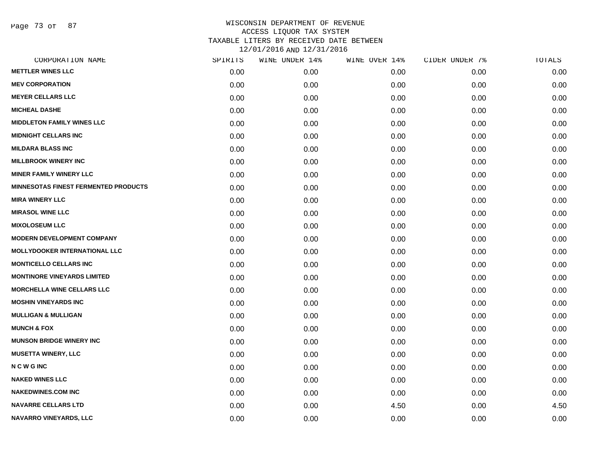Page 73 of 87

|      | WINE UNDER 14% |      |               | TOTALS         |
|------|----------------|------|---------------|----------------|
| 0.00 | 0.00           | 0.00 | 0.00          | 0.00           |
| 0.00 | 0.00           | 0.00 | 0.00          | 0.00           |
| 0.00 | 0.00           | 0.00 | 0.00          | 0.00           |
| 0.00 | 0.00           | 0.00 | 0.00          | 0.00           |
| 0.00 | 0.00           | 0.00 | 0.00          | 0.00           |
| 0.00 | 0.00           | 0.00 | 0.00          | 0.00           |
| 0.00 | 0.00           | 0.00 | 0.00          | 0.00           |
| 0.00 | 0.00           | 0.00 | 0.00          | 0.00           |
| 0.00 | 0.00           | 0.00 | 0.00          | 0.00           |
| 0.00 | 0.00           | 0.00 | 0.00          | 0.00           |
| 0.00 | 0.00           | 0.00 | 0.00          | 0.00           |
| 0.00 | 0.00           | 0.00 | 0.00          | 0.00           |
| 0.00 | 0.00           | 0.00 | 0.00          | 0.00           |
| 0.00 | 0.00           | 0.00 | 0.00          | 0.00           |
| 0.00 | 0.00           | 0.00 | 0.00          | 0.00           |
| 0.00 | 0.00           | 0.00 | 0.00          | 0.00           |
| 0.00 | 0.00           | 0.00 | 0.00          | 0.00           |
| 0.00 | 0.00           | 0.00 | 0.00          | 0.00           |
| 0.00 | 0.00           | 0.00 | 0.00          | 0.00           |
| 0.00 | 0.00           | 0.00 | 0.00          | 0.00           |
| 0.00 | 0.00           | 0.00 | 0.00          | 0.00           |
| 0.00 | 0.00           | 0.00 | 0.00          | 0.00           |
| 0.00 | 0.00           | 0.00 | 0.00          | 0.00           |
| 0.00 | 0.00           | 0.00 | 0.00          | 0.00           |
| 0.00 | 0.00           | 0.00 | 0.00          | 0.00           |
| 0.00 | 0.00           | 0.00 | 0.00          | 0.00           |
| 0.00 | 0.00           | 4.50 | 0.00          | 4.50           |
| 0.00 | 0.00           | 0.00 | 0.00          | 0.00           |
|      | SPIRITS        |      | WINE OVER 14% | CIDER UNDER 7% |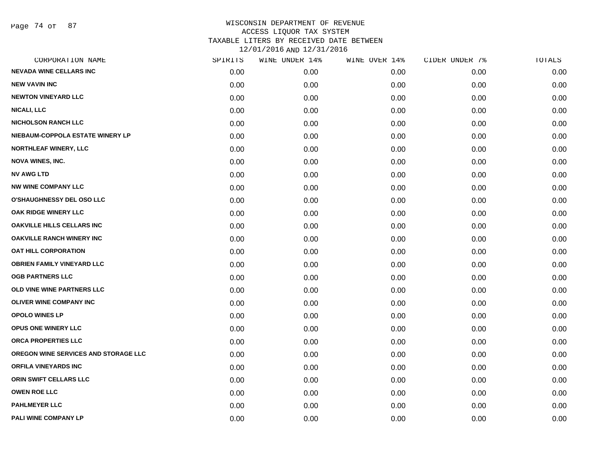Page 74 of 87

| CORPORATION NAME                     | SPIRITS | WINE UNDER 14% | WINE OVER 14% | CIDER UNDER 7% | TOTALS |
|--------------------------------------|---------|----------------|---------------|----------------|--------|
| <b>NEVADA WINE CELLARS INC</b>       | 0.00    | 0.00           | 0.00          | 0.00           | 0.00   |
| <b>NEW VAVIN INC</b>                 | 0.00    | 0.00           | 0.00          | 0.00           | 0.00   |
| <b>NEWTON VINEYARD LLC</b>           | 0.00    | 0.00           | 0.00          | 0.00           | 0.00   |
| <b>NICALI, LLC</b>                   | 0.00    | 0.00           | 0.00          | 0.00           | 0.00   |
| <b>NICHOLSON RANCH LLC</b>           | 0.00    | 0.00           | 0.00          | 0.00           | 0.00   |
| NIEBAUM-COPPOLA ESTATE WINERY LP     | 0.00    | 0.00           | 0.00          | 0.00           | 0.00   |
| <b>NORTHLEAF WINERY, LLC</b>         | 0.00    | 0.00           | 0.00          | 0.00           | 0.00   |
| <b>NOVA WINES, INC.</b>              | 0.00    | 0.00           | 0.00          | 0.00           | 0.00   |
| <b>NV AWG LTD</b>                    | 0.00    | 0.00           | 0.00          | 0.00           | 0.00   |
| <b>NW WINE COMPANY LLC</b>           | 0.00    | 0.00           | 0.00          | 0.00           | 0.00   |
| O'SHAUGHNESSY DEL OSO LLC            | 0.00    | 0.00           | 0.00          | 0.00           | 0.00   |
| OAK RIDGE WINERY LLC                 | 0.00    | 0.00           | 0.00          | 0.00           | 0.00   |
| <b>OAKVILLE HILLS CELLARS INC</b>    | 0.00    | 0.00           | 0.00          | 0.00           | 0.00   |
| <b>OAKVILLE RANCH WINERY INC</b>     | 0.00    | 0.00           | 0.00          | 0.00           | 0.00   |
| OAT HILL CORPORATION                 | 0.00    | 0.00           | 0.00          | 0.00           | 0.00   |
| <b>OBRIEN FAMILY VINEYARD LLC</b>    | 0.00    | 0.00           | 0.00          | 0.00           | 0.00   |
| <b>OGB PARTNERS LLC</b>              | 0.00    | 0.00           | 0.00          | 0.00           | 0.00   |
| OLD VINE WINE PARTNERS LLC           | 0.00    | 0.00           | 0.00          | 0.00           | 0.00   |
| <b>OLIVER WINE COMPANY INC</b>       | 0.00    | 0.00           | 0.00          | 0.00           | 0.00   |
| <b>OPOLO WINES LP</b>                | 0.00    | 0.00           | 0.00          | 0.00           | 0.00   |
| <b>OPUS ONE WINERY LLC</b>           | 0.00    | 0.00           | 0.00          | 0.00           | 0.00   |
| ORCA PROPERTIES LLC                  | 0.00    | 0.00           | 0.00          | 0.00           | 0.00   |
| OREGON WINE SERVICES AND STORAGE LLC | 0.00    | 0.00           | 0.00          | 0.00           | 0.00   |
| <b>ORFILA VINEYARDS INC</b>          | 0.00    | 0.00           | 0.00          | 0.00           | 0.00   |
| ORIN SWIFT CELLARS LLC               | 0.00    | 0.00           | 0.00          | 0.00           | 0.00   |
| <b>OWEN ROE LLC</b>                  | 0.00    | 0.00           | 0.00          | 0.00           | 0.00   |
| <b>PAHLMEYER LLC</b>                 | 0.00    | 0.00           | 0.00          | 0.00           | 0.00   |
| PALI WINE COMPANY LP                 | 0.00    | 0.00           | 0.00          | 0.00           | 0.00   |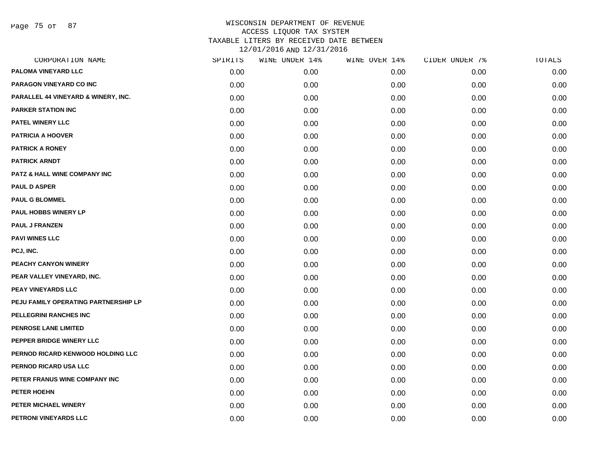Page 75 of 87

| CORPORATION NAME                     | SPIRITS | WINE UNDER 14% | WINE OVER 14% | CIDER UNDER 7% | TOTALS |
|--------------------------------------|---------|----------------|---------------|----------------|--------|
| PALOMA VINEYARD LLC                  | 0.00    | 0.00           | 0.00          | 0.00           | 0.00   |
| PARAGON VINEYARD CO INC              | 0.00    | 0.00           | 0.00          | 0.00           | 0.00   |
| PARALLEL 44 VINEYARD & WINERY, INC.  | 0.00    | 0.00           | 0.00          | 0.00           | 0.00   |
| <b>PARKER STATION INC</b>            | 0.00    | 0.00           | 0.00          | 0.00           | 0.00   |
| PATEL WINERY LLC                     | 0.00    | 0.00           | 0.00          | 0.00           | 0.00   |
| <b>PATRICIA A HOOVER</b>             | 0.00    | 0.00           | 0.00          | 0.00           | 0.00   |
| <b>PATRICK A RONEY</b>               | 0.00    | 0.00           | 0.00          | 0.00           | 0.00   |
| <b>PATRICK ARNDT</b>                 | 0.00    | 0.00           | 0.00          | 0.00           | 0.00   |
| PATZ & HALL WINE COMPANY INC         | 0.00    | 0.00           | 0.00          | 0.00           | 0.00   |
| <b>PAUL D ASPER</b>                  | 0.00    | 0.00           | 0.00          | 0.00           | 0.00   |
| <b>PAUL G BLOMMEL</b>                | 0.00    | 0.00           | 0.00          | 0.00           | 0.00   |
| PAUL HOBBS WINERY LP                 | 0.00    | 0.00           | 0.00          | 0.00           | 0.00   |
| <b>PAUL J FRANZEN</b>                | 0.00    | 0.00           | 0.00          | 0.00           | 0.00   |
| <b>PAVI WINES LLC</b>                | 0.00    | 0.00           | 0.00          | 0.00           | 0.00   |
| PCJ, INC.                            | 0.00    | 0.00           | 0.00          | 0.00           | 0.00   |
| PEACHY CANYON WINERY                 | 0.00    | 0.00           | 0.00          | 0.00           | 0.00   |
| PEAR VALLEY VINEYARD, INC.           | 0.00    | 0.00           | 0.00          | 0.00           | 0.00   |
| PEAY VINEYARDS LLC                   | 0.00    | 0.00           | 0.00          | 0.00           | 0.00   |
| PEJU FAMILY OPERATING PARTNERSHIP LP | 0.00    | 0.00           | 0.00          | 0.00           | 0.00   |
| PELLEGRINI RANCHES INC               | 0.00    | 0.00           | 0.00          | 0.00           | 0.00   |
| PENROSE LANE LIMITED                 | 0.00    | 0.00           | 0.00          | 0.00           | 0.00   |
| PEPPER BRIDGE WINERY LLC             | 0.00    | 0.00           | 0.00          | 0.00           | 0.00   |
| PERNOD RICARD KENWOOD HOLDING LLC    | 0.00    | 0.00           | 0.00          | 0.00           | 0.00   |
| PERNOD RICARD USA LLC                | 0.00    | 0.00           | 0.00          | 0.00           | 0.00   |
| PETER FRANUS WINE COMPANY INC        | 0.00    | 0.00           | 0.00          | 0.00           | 0.00   |
| <b>PETER HOEHN</b>                   | 0.00    | 0.00           | 0.00          | 0.00           | 0.00   |
| PETER MICHAEL WINERY                 | 0.00    | 0.00           | 0.00          | 0.00           | 0.00   |
| PETRONI VINEYARDS LLC                | 0.00    | 0.00           | 0.00          | 0.00           | 0.00   |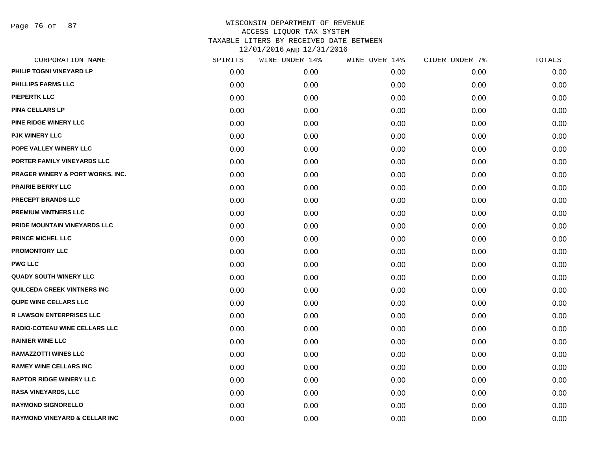Page 76 of 87

| CORPORATION NAME                         | SPIRITS | WINE UNDER 14% | WINE OVER 14% | CIDER UNDER 7% | TOTALS |
|------------------------------------------|---------|----------------|---------------|----------------|--------|
| PHILIP TOGNI VINEYARD LP                 | 0.00    | 0.00           | 0.00          | 0.00           | 0.00   |
| PHILLIPS FARMS LLC                       | 0.00    | 0.00           | 0.00          | 0.00           | 0.00   |
| <b>PIEPERTK LLC</b>                      | 0.00    | 0.00           | 0.00          | 0.00           | 0.00   |
| <b>PINA CELLARS LP</b>                   | 0.00    | 0.00           | 0.00          | 0.00           | 0.00   |
| PINE RIDGE WINERY LLC                    | 0.00    | 0.00           | 0.00          | 0.00           | 0.00   |
| <b>PJK WINERY LLC</b>                    | 0.00    | 0.00           | 0.00          | 0.00           | 0.00   |
| POPE VALLEY WINERY LLC                   | 0.00    | 0.00           | 0.00          | 0.00           | 0.00   |
| PORTER FAMILY VINEYARDS LLC              | 0.00    | 0.00           | 0.00          | 0.00           | 0.00   |
| PRAGER WINERY & PORT WORKS, INC.         | 0.00    | 0.00           | 0.00          | 0.00           | 0.00   |
| <b>PRAIRIE BERRY LLC</b>                 | 0.00    | 0.00           | 0.00          | 0.00           | 0.00   |
| <b>PRECEPT BRANDS LLC</b>                | 0.00    | 0.00           | 0.00          | 0.00           | 0.00   |
| PREMIUM VINTNERS LLC                     | 0.00    | 0.00           | 0.00          | 0.00           | 0.00   |
| PRIDE MOUNTAIN VINEYARDS LLC             | 0.00    | 0.00           | 0.00          | 0.00           | 0.00   |
| <b>PRINCE MICHEL LLC</b>                 | 0.00    | 0.00           | 0.00          | 0.00           | 0.00   |
| <b>PROMONTORY LLC</b>                    | 0.00    | 0.00           | 0.00          | 0.00           | 0.00   |
| <b>PWG LLC</b>                           | 0.00    | 0.00           | 0.00          | 0.00           | 0.00   |
| <b>QUADY SOUTH WINERY LLC</b>            | 0.00    | 0.00           | 0.00          | 0.00           | 0.00   |
| QUILCEDA CREEK VINTNERS INC              | 0.00    | 0.00           | 0.00          | 0.00           | 0.00   |
| <b>QUPE WINE CELLARS LLC</b>             | 0.00    | 0.00           | 0.00          | 0.00           | 0.00   |
| <b>R LAWSON ENTERPRISES LLC</b>          | 0.00    | 0.00           | 0.00          | 0.00           | 0.00   |
| RADIO-COTEAU WINE CELLARS LLC            | 0.00    | 0.00           | 0.00          | 0.00           | 0.00   |
| <b>RAINIER WINE LLC</b>                  | 0.00    | 0.00           | 0.00          | 0.00           | 0.00   |
| <b>RAMAZZOTTI WINES LLC</b>              | 0.00    | 0.00           | 0.00          | 0.00           | 0.00   |
| <b>RAMEY WINE CELLARS INC</b>            | 0.00    | 0.00           | 0.00          | 0.00           | 0.00   |
| <b>RAPTOR RIDGE WINERY LLC</b>           | 0.00    | 0.00           | 0.00          | 0.00           | 0.00   |
| RASA VINEYARDS, LLC                      | 0.00    | 0.00           | 0.00          | 0.00           | 0.00   |
| <b>RAYMOND SIGNORELLO</b>                | 0.00    | 0.00           | 0.00          | 0.00           | 0.00   |
| <b>RAYMOND VINEYARD &amp; CELLAR INC</b> | 0.00    | 0.00           | 0.00          | 0.00           | 0.00   |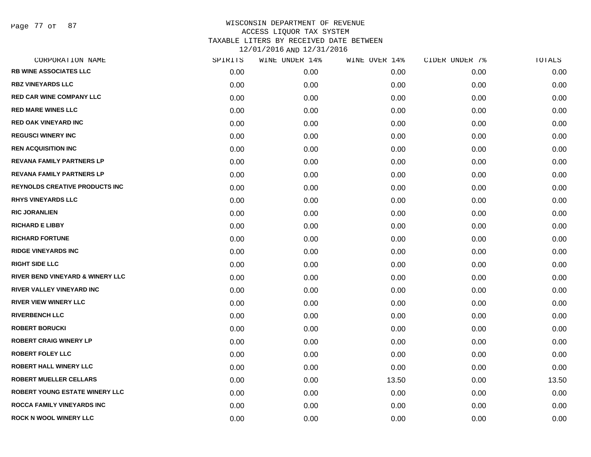Page 77 of 87

| CORPORATION NAME                       | SPIRITS | WINE UNDER 14% | WINE OVER 14% | CIDER UNDER 7% | TOTALS |
|----------------------------------------|---------|----------------|---------------|----------------|--------|
| <b>RB WINE ASSOCIATES LLC</b>          | 0.00    | 0.00           | 0.00          | 0.00           | 0.00   |
| <b>RBZ VINEYARDS LLC</b>               | 0.00    | 0.00           | 0.00          | 0.00           | 0.00   |
| <b>RED CAR WINE COMPANY LLC</b>        | 0.00    | 0.00           | 0.00          | 0.00           | 0.00   |
| <b>RED MARE WINES LLC</b>              | 0.00    | 0.00           | 0.00          | 0.00           | 0.00   |
| <b>RED OAK VINEYARD INC</b>            | 0.00    | 0.00           | 0.00          | 0.00           | 0.00   |
| <b>REGUSCI WINERY INC</b>              | 0.00    | 0.00           | 0.00          | 0.00           | 0.00   |
| <b>REN ACQUISITION INC</b>             | 0.00    | 0.00           | 0.00          | 0.00           | 0.00   |
| REVANA FAMILY PARTNERS LP              | 0.00    | 0.00           | 0.00          | 0.00           | 0.00   |
| REVANA FAMILY PARTNERS LP              | 0.00    | 0.00           | 0.00          | 0.00           | 0.00   |
| <b>REYNOLDS CREATIVE PRODUCTS INC.</b> | 0.00    | 0.00           | 0.00          | 0.00           | 0.00   |
| <b>RHYS VINEYARDS LLC</b>              | 0.00    | 0.00           | 0.00          | 0.00           | 0.00   |
| <b>RIC JORANLIEN</b>                   | 0.00    | 0.00           | 0.00          | 0.00           | 0.00   |
| <b>RICHARD E LIBBY</b>                 | 0.00    | 0.00           | 0.00          | 0.00           | 0.00   |
| <b>RICHARD FORTUNE</b>                 | 0.00    | 0.00           | 0.00          | 0.00           | 0.00   |
| <b>RIDGE VINEYARDS INC</b>             | 0.00    | 0.00           | 0.00          | 0.00           | 0.00   |
| <b>RIGHT SIDE LLC</b>                  | 0.00    | 0.00           | 0.00          | 0.00           | 0.00   |
| RIVER BEND VINEYARD & WINERY LLC       | 0.00    | 0.00           | 0.00          | 0.00           | 0.00   |
| RIVER VALLEY VINEYARD INC              | 0.00    | 0.00           | 0.00          | 0.00           | 0.00   |
| <b>RIVER VIEW WINERY LLC</b>           | 0.00    | 0.00           | 0.00          | 0.00           | 0.00   |
| <b>RIVERBENCH LLC</b>                  | 0.00    | 0.00           | 0.00          | 0.00           | 0.00   |
| <b>ROBERT BORUCKI</b>                  | 0.00    | 0.00           | 0.00          | 0.00           | 0.00   |
| <b>ROBERT CRAIG WINERY LP</b>          | 0.00    | 0.00           | 0.00          | 0.00           | 0.00   |
| <b>ROBERT FOLEY LLC</b>                | 0.00    | 0.00           | 0.00          | 0.00           | 0.00   |
| ROBERT HALL WINERY LLC                 | 0.00    | 0.00           | 0.00          | 0.00           | 0.00   |
| <b>ROBERT MUELLER CELLARS</b>          | 0.00    | 0.00           | 13.50         | 0.00           | 13.50  |
| ROBERT YOUNG ESTATE WINERY LLC         | 0.00    | 0.00           | 0.00          | 0.00           | 0.00   |
| ROCCA FAMILY VINEYARDS INC             | 0.00    | 0.00           | 0.00          | 0.00           | 0.00   |
| ROCK N WOOL WINERY LLC                 | 0.00    | 0.00           | 0.00          | 0.00           | 0.00   |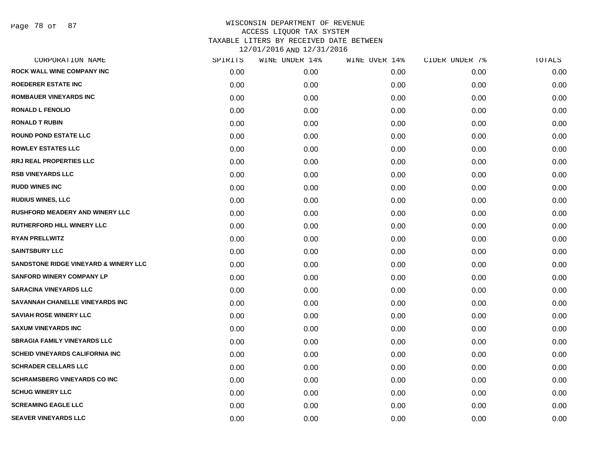Page 78 of 87

| CORPORATION NAME                       | SPIRITS | WINE UNDER 14% | WINE OVER 14% | CIDER UNDER 7% | TOTALS |
|----------------------------------------|---------|----------------|---------------|----------------|--------|
| <b>ROCK WALL WINE COMPANY INC</b>      | 0.00    | 0.00           | 0.00          | 0.00           | 0.00   |
| <b>ROEDERER ESTATE INC</b>             | 0.00    | 0.00           | 0.00          | 0.00           | 0.00   |
| <b>ROMBAUER VINEYARDS INC</b>          | 0.00    | 0.00           | 0.00          | 0.00           | 0.00   |
| <b>RONALD L FENOLIO</b>                | 0.00    | 0.00           | 0.00          | 0.00           | 0.00   |
| <b>RONALD T RUBIN</b>                  | 0.00    | 0.00           | 0.00          | 0.00           | 0.00   |
| <b>ROUND POND ESTATE LLC</b>           | 0.00    | 0.00           | 0.00          | 0.00           | 0.00   |
| <b>ROWLEY ESTATES LLC</b>              | 0.00    | 0.00           | 0.00          | 0.00           | 0.00   |
| <b>RRJ REAL PROPERTIES LLC</b>         | 0.00    | 0.00           | 0.00          | 0.00           | 0.00   |
| <b>RSB VINEYARDS LLC</b>               | 0.00    | 0.00           | 0.00          | 0.00           | 0.00   |
| <b>RUDD WINES INC</b>                  | 0.00    | 0.00           | 0.00          | 0.00           | 0.00   |
| <b>RUDIUS WINES, LLC</b>               | 0.00    | 0.00           | 0.00          | 0.00           | 0.00   |
| <b>RUSHFORD MEADERY AND WINERY LLC</b> | 0.00    | 0.00           | 0.00          | 0.00           | 0.00   |
| <b>RUTHERFORD HILL WINERY LLC</b>      | 0.00    | 0.00           | 0.00          | 0.00           | 0.00   |
| <b>RYAN PRELLWITZ</b>                  | 0.00    | 0.00           | 0.00          | 0.00           | 0.00   |
| <b>SAINTSBURY LLC</b>                  | 0.00    | 0.00           | 0.00          | 0.00           | 0.00   |
| SANDSTONE RIDGE VINEYARD & WINERY LLC  | 0.00    | 0.00           | 0.00          | 0.00           | 0.00   |
| <b>SANFORD WINERY COMPANY LP</b>       | 0.00    | 0.00           | 0.00          | 0.00           | 0.00   |
| <b>SARACINA VINEYARDS LLC</b>          | 0.00    | 0.00           | 0.00          | 0.00           | 0.00   |
| SAVANNAH CHANELLE VINEYARDS INC        | 0.00    | 0.00           | 0.00          | 0.00           | 0.00   |
| <b>SAVIAH ROSE WINERY LLC</b>          | 0.00    | 0.00           | 0.00          | 0.00           | 0.00   |
| <b>SAXUM VINEYARDS INC</b>             | 0.00    | 0.00           | 0.00          | 0.00           | 0.00   |
| <b>SBRAGIA FAMILY VINEYARDS LLC</b>    | 0.00    | 0.00           | 0.00          | 0.00           | 0.00   |
| <b>SCHEID VINEYARDS CALIFORNIA INC</b> | 0.00    | 0.00           | 0.00          | 0.00           | 0.00   |
| <b>SCHRADER CELLARS LLC</b>            | 0.00    | 0.00           | 0.00          | 0.00           | 0.00   |
| <b>SCHRAMSBERG VINEYARDS CO INC</b>    | 0.00    | 0.00           | 0.00          | 0.00           | 0.00   |
| <b>SCHUG WINERY LLC</b>                | 0.00    | 0.00           | 0.00          | 0.00           | 0.00   |
| <b>SCREAMING EAGLE LLC</b>             | 0.00    | 0.00           | 0.00          | 0.00           | 0.00   |
| <b>SEAVER VINEYARDS LLC</b>            | 0.00    | 0.00           | 0.00          | 0.00           | 0.00   |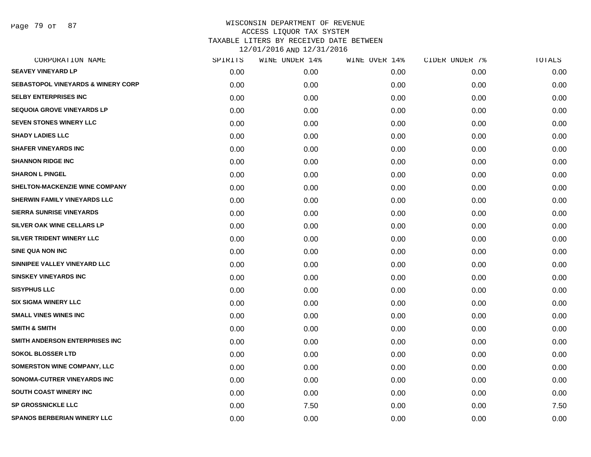Page 79 of 87

| SPIRITS | WINE UNDER 14% | WINE OVER 14% | CIDER UNDER 7% | TOTALS |
|---------|----------------|---------------|----------------|--------|
| 0.00    | 0.00           | 0.00          | 0.00           | 0.00   |
| 0.00    | 0.00           | 0.00          | 0.00           | 0.00   |
| 0.00    | 0.00           | 0.00          | 0.00           | 0.00   |
| 0.00    | 0.00           | 0.00          | 0.00           | 0.00   |
| 0.00    | 0.00           | 0.00          | 0.00           | 0.00   |
| 0.00    | 0.00           | 0.00          | 0.00           | 0.00   |
| 0.00    | 0.00           | 0.00          | 0.00           | 0.00   |
| 0.00    | 0.00           | 0.00          | 0.00           | 0.00   |
| 0.00    | 0.00           | 0.00          | 0.00           | 0.00   |
| 0.00    | 0.00           | 0.00          | 0.00           | 0.00   |
| 0.00    | 0.00           | 0.00          | 0.00           | 0.00   |
| 0.00    | 0.00           | 0.00          | 0.00           | 0.00   |
| 0.00    | 0.00           | 0.00          | 0.00           | 0.00   |
| 0.00    | 0.00           | 0.00          | 0.00           | 0.00   |
| 0.00    | 0.00           | 0.00          | 0.00           | 0.00   |
| 0.00    | 0.00           | 0.00          | 0.00           | 0.00   |
| 0.00    | 0.00           | 0.00          | 0.00           | 0.00   |
| 0.00    | 0.00           | 0.00          | 0.00           | 0.00   |
| 0.00    | 0.00           | 0.00          | 0.00           | 0.00   |
| 0.00    | 0.00           | 0.00          | 0.00           | 0.00   |
| 0.00    | 0.00           | 0.00          | 0.00           | 0.00   |
| 0.00    | 0.00           | 0.00          | 0.00           | 0.00   |
| 0.00    | 0.00           | 0.00          | 0.00           | 0.00   |
| 0.00    | 0.00           | 0.00          | 0.00           | 0.00   |
| 0.00    | 0.00           | 0.00          | 0.00           | 0.00   |
| 0.00    | 0.00           | 0.00          | 0.00           | 0.00   |
| 0.00    | 7.50           | 0.00          | 0.00           | 7.50   |
| 0.00    | 0.00           | 0.00          | 0.00           | 0.00   |
|         |                |               |                |        |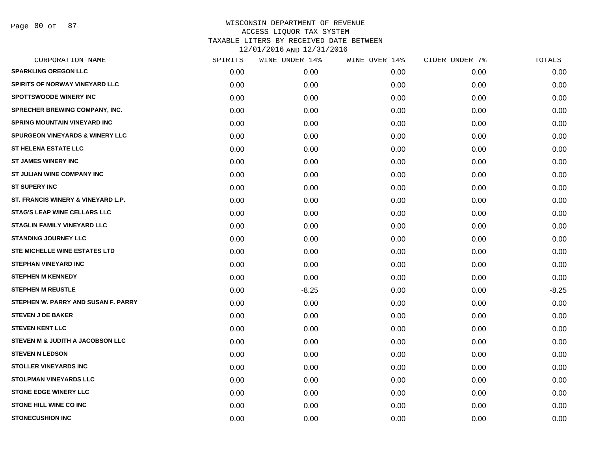Page 80 of 87

| CORPORATION NAME                           | SPIRITS           | WINE UNDER 14% | WINE OVER 14% | CIDER UNDER 7% | TOTALS  |
|--------------------------------------------|-------------------|----------------|---------------|----------------|---------|
| <b>SPARKLING OREGON LLC</b>                | 0.00 <sub>1</sub> | 0.00           | 0.00          | 0.00           | 0.00    |
| SPIRITS OF NORWAY VINEYARD LLC             | 0.00              | 0.00           | 0.00          | 0.00           | 0.00    |
| <b>SPOTTSWOODE WINERY INC</b>              | 0.00              | 0.00           | 0.00          | 0.00           | 0.00    |
| SPRECHER BREWING COMPANY, INC.             | 0.00              | 0.00           | 0.00          | 0.00           | 0.00    |
| <b>SPRING MOUNTAIN VINEYARD INC</b>        | 0.00              | 0.00           | 0.00          | 0.00           | 0.00    |
| <b>SPURGEON VINEYARDS &amp; WINERY LLC</b> | 0.00              | 0.00           | 0.00          | 0.00           | 0.00    |
| <b>ST HELENA ESTATE LLC</b>                | 0.00              | 0.00           | 0.00          | 0.00           | 0.00    |
| <b>ST JAMES WINERY INC</b>                 | 0.00              | 0.00           | 0.00          | 0.00           | 0.00    |
| <b>ST JULIAN WINE COMPANY INC</b>          | 0.00              | 0.00           | 0.00          | 0.00           | 0.00    |
| <b>ST SUPERY INC</b>                       | 0.00              | 0.00           | 0.00          | 0.00           | 0.00    |
| ST. FRANCIS WINERY & VINEYARD L.P.         | 0.00              | 0.00           | 0.00          | 0.00           | 0.00    |
| <b>STAG'S LEAP WINE CELLARS LLC</b>        | 0.00              | 0.00           | 0.00          | 0.00           | 0.00    |
| <b>STAGLIN FAMILY VINEYARD LLC</b>         | 0.00              | 0.00           | 0.00          | 0.00           | 0.00    |
| <b>STANDING JOURNEY LLC</b>                | 0.00              | 0.00           | 0.00          | 0.00           | 0.00    |
| <b>STE MICHELLE WINE ESTATES LTD</b>       | 0.00              | 0.00           | 0.00          | 0.00           | 0.00    |
| <b>STEPHAN VINEYARD INC</b>                | 0.00              | 0.00           | 0.00          | 0.00           | 0.00    |
| <b>STEPHEN M KENNEDY</b>                   | 0.00              | 0.00           | 0.00          | 0.00           | 0.00    |
| <b>STEPHEN M REUSTLE</b>                   | 0.00              | $-8.25$        | 0.00          | 0.00           | $-8.25$ |
| STEPHEN W. PARRY AND SUSAN F. PARRY        | 0.00              | 0.00           | 0.00          | 0.00           | 0.00    |
| <b>STEVEN J DE BAKER</b>                   | 0.00              | 0.00           | 0.00          | 0.00           | 0.00    |
| <b>STEVEN KENT LLC</b>                     | 0.00              | 0.00           | 0.00          | 0.00           | 0.00    |
| STEVEN M & JUDITH A JACOBSON LLC           | 0.00              | 0.00           | 0.00          | 0.00           | 0.00    |
| <b>STEVEN N LEDSON</b>                     | 0.00              | 0.00           | 0.00          | 0.00           | 0.00    |
| <b>STOLLER VINEYARDS INC</b>               | 0.00              | 0.00           | 0.00          | 0.00           | 0.00    |
| <b>STOLPMAN VINEYARDS LLC</b>              | 0.00              | 0.00           | 0.00          | 0.00           | 0.00    |
| <b>STONE EDGE WINERY LLC</b>               | 0.00              | 0.00           | 0.00          | 0.00           | 0.00    |
| <b>STONE HILL WINE CO INC</b>              | 0.00              | 0.00           | 0.00          | 0.00           | 0.00    |
| <b>STONECUSHION INC</b>                    | 0.00              | 0.00           | 0.00          | 0.00           | 0.00    |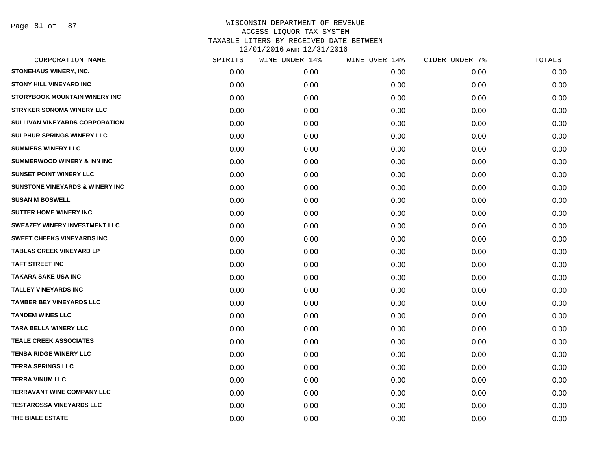Page 81 of 87

| CORPORATION NAME                           | SPIRITS | WINE UNDER 14% | WINE OVER 14% | CIDER UNDER 7% | TOTALS |
|--------------------------------------------|---------|----------------|---------------|----------------|--------|
| STONEHAUS WINERY, INC.                     | 0.00    | 0.00           | 0.00          | 0.00           | 0.00   |
| <b>STONY HILL VINEYARD INC</b>             | 0.00    | 0.00           | 0.00          | 0.00           | 0.00   |
| <b>STORYBOOK MOUNTAIN WINERY INC</b>       | 0.00    | 0.00           | 0.00          | 0.00           | 0.00   |
| <b>STRYKER SONOMA WINERY LLC</b>           | 0.00    | 0.00           | 0.00          | 0.00           | 0.00   |
| SULLIVAN VINEYARDS CORPORATION             | 0.00    | 0.00           | 0.00          | 0.00           | 0.00   |
| SULPHUR SPRINGS WINERY LLC                 | 0.00    | 0.00           | 0.00          | 0.00           | 0.00   |
| <b>SUMMERS WINERY LLC</b>                  | 0.00    | 0.00           | 0.00          | 0.00           | 0.00   |
| <b>SUMMERWOOD WINERY &amp; INN INC</b>     | 0.00    | 0.00           | 0.00          | 0.00           | 0.00   |
| <b>SUNSET POINT WINERY LLC</b>             | 0.00    | 0.00           | 0.00          | 0.00           | 0.00   |
| <b>SUNSTONE VINEYARDS &amp; WINERY INC</b> | 0.00    | 0.00           | 0.00          | 0.00           | 0.00   |
| <b>SUSAN M BOSWELL</b>                     | 0.00    | 0.00           | 0.00          | 0.00           | 0.00   |
| <b>SUTTER HOME WINERY INC</b>              | 0.00    | 0.00           | 0.00          | 0.00           | 0.00   |
| SWEAZEY WINERY INVESTMENT LLC              | 0.00    | 0.00           | 0.00          | 0.00           | 0.00   |
| <b>SWEET CHEEKS VINEYARDS INC</b>          | 0.00    | 0.00           | 0.00          | 0.00           | 0.00   |
| <b>TABLAS CREEK VINEYARD LP</b>            | 0.00    | 0.00           | 0.00          | 0.00           | 0.00   |
| <b>TAFT STREET INC</b>                     | 0.00    | 0.00           | 0.00          | 0.00           | 0.00   |
| <b>TAKARA SAKE USA INC</b>                 | 0.00    | 0.00           | 0.00          | 0.00           | 0.00   |
| <b>TALLEY VINEYARDS INC</b>                | 0.00    | 0.00           | 0.00          | 0.00           | 0.00   |
| <b>TAMBER BEY VINEYARDS LLC</b>            | 0.00    | 0.00           | 0.00          | 0.00           | 0.00   |
| <b>TANDEM WINES LLC</b>                    | 0.00    | 0.00           | 0.00          | 0.00           | 0.00   |
| <b>TARA BELLA WINERY LLC</b>               | 0.00    | 0.00           | 0.00          | 0.00           | 0.00   |
| <b>TEALE CREEK ASSOCIATES</b>              | 0.00    | 0.00           | 0.00          | 0.00           | 0.00   |
| <b>TENBA RIDGE WINERY LLC</b>              | 0.00    | 0.00           | 0.00          | 0.00           | 0.00   |
| <b>TERRA SPRINGS LLC</b>                   | 0.00    | 0.00           | 0.00          | 0.00           | 0.00   |
| <b>TERRA VINUM LLC</b>                     | 0.00    | 0.00           | 0.00          | 0.00           | 0.00   |
| TERRAVANT WINE COMPANY LLC                 | 0.00    | 0.00           | 0.00          | 0.00           | 0.00   |
| <b>TESTAROSSA VINEYARDS LLC</b>            | 0.00    | 0.00           | 0.00          | 0.00           | 0.00   |
| THE BIALE ESTATE                           | 0.00    | 0.00           | 0.00          | 0.00           | 0.00   |
|                                            |         |                |               |                |        |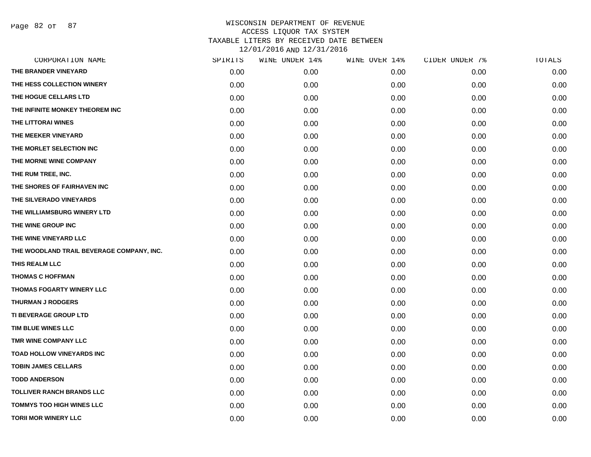Page 82 of 87

| CORPORATION NAME                          | SPIRITS | WINE UNDER 14% | WINE OVER 14% | CIDER UNDER 7% | TOTALS |
|-------------------------------------------|---------|----------------|---------------|----------------|--------|
| THE BRANDER VINEYARD                      | 0.00    | 0.00           | 0.00          | 0.00           | 0.00   |
| THE HESS COLLECTION WINERY                | 0.00    | 0.00           | 0.00          | 0.00           | 0.00   |
| THE HOGUE CELLARS LTD                     | 0.00    | 0.00           | 0.00          | 0.00           | 0.00   |
| THE INFINITE MONKEY THEOREM INC           | 0.00    | 0.00           | 0.00          | 0.00           | 0.00   |
| THE LITTORAI WINES                        | 0.00    | 0.00           | 0.00          | 0.00           | 0.00   |
| THE MEEKER VINEYARD                       | 0.00    | 0.00           | 0.00          | 0.00           | 0.00   |
| THE MORLET SELECTION INC                  | 0.00    | 0.00           | 0.00          | 0.00           | 0.00   |
| THE MORNE WINE COMPANY                    | 0.00    | 0.00           | 0.00          | 0.00           | 0.00   |
| THE RUM TREE, INC.                        | 0.00    | 0.00           | 0.00          | 0.00           | 0.00   |
| THE SHORES OF FAIRHAVEN INC               | 0.00    | 0.00           | 0.00          | 0.00           | 0.00   |
| THE SILVERADO VINEYARDS                   | 0.00    | 0.00           | 0.00          | 0.00           | 0.00   |
| THE WILLIAMSBURG WINERY LTD               | 0.00    | 0.00           | 0.00          | 0.00           | 0.00   |
| THE WINE GROUP INC                        | 0.00    | 0.00           | 0.00          | 0.00           | 0.00   |
| THE WINE VINEYARD LLC                     | 0.00    | 0.00           | 0.00          | 0.00           | 0.00   |
| THE WOODLAND TRAIL BEVERAGE COMPANY, INC. | 0.00    | 0.00           | 0.00          | 0.00           | 0.00   |
| THIS REALM LLC                            | 0.00    | 0.00           | 0.00          | 0.00           | 0.00   |
| <b>THOMAS C HOFFMAN</b>                   | 0.00    | 0.00           | 0.00          | 0.00           | 0.00   |
| THOMAS FOGARTY WINERY LLC                 | 0.00    | 0.00           | 0.00          | 0.00           | 0.00   |
| <b>THURMAN J RODGERS</b>                  | 0.00    | 0.00           | 0.00          | 0.00           | 0.00   |
| TI BEVERAGE GROUP LTD                     | 0.00    | 0.00           | 0.00          | 0.00           | 0.00   |
| TIM BLUE WINES LLC                        | 0.00    | 0.00           | 0.00          | 0.00           | 0.00   |
| TMR WINE COMPANY LLC                      | 0.00    | 0.00           | 0.00          | 0.00           | 0.00   |
| <b>TOAD HOLLOW VINEYARDS INC</b>          | 0.00    | 0.00           | 0.00          | 0.00           | 0.00   |
| <b>TOBIN JAMES CELLARS</b>                | 0.00    | 0.00           | 0.00          | 0.00           | 0.00   |
| <b>TODD ANDERSON</b>                      | 0.00    | 0.00           | 0.00          | 0.00           | 0.00   |
| <b>TOLLIVER RANCH BRANDS LLC</b>          | 0.00    | 0.00           | 0.00          | 0.00           | 0.00   |
| <b>TOMMYS TOO HIGH WINES LLC</b>          | 0.00    | 0.00           | 0.00          | 0.00           | 0.00   |
| <b>TORII MOR WINERY LLC</b>               | 0.00    | 0.00           | 0.00          | 0.00           | 0.00   |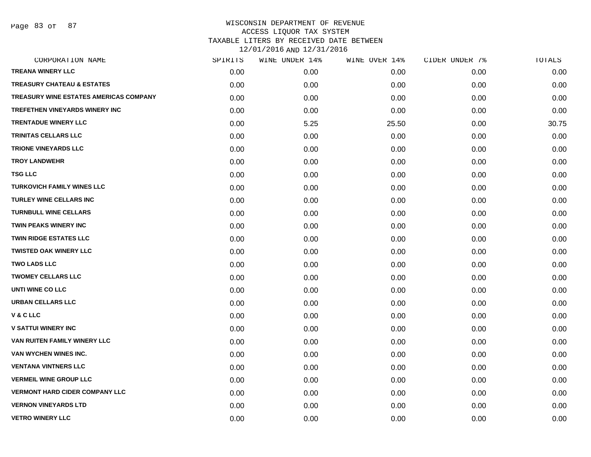Page 83 of 87

| CORPORATION NAME                              | SPIRITS | WINE UNDER 14% | WINE OVER 14% | CIDER UNDER 7% | TOTALS |
|-----------------------------------------------|---------|----------------|---------------|----------------|--------|
| <b>TREANA WINERY LLC</b>                      | 0.00    | 0.00           | 0.00          | 0.00           | 0.00   |
| <b>TREASURY CHATEAU &amp; ESTATES</b>         | 0.00    | 0.00           | 0.00          | 0.00           | 0.00   |
| <b>TREASURY WINE ESTATES AMERICAS COMPANY</b> | 0.00    | 0.00           | 0.00          | 0.00           | 0.00   |
| TREFETHEN VINEYARDS WINERY INC                | 0.00    | 0.00           | 0.00          | 0.00           | 0.00   |
| <b>TRENTADUE WINERY LLC</b>                   | 0.00    | 5.25           | 25.50         | 0.00           | 30.75  |
| <b>TRINITAS CELLARS LLC</b>                   | 0.00    | 0.00           | 0.00          | 0.00           | 0.00   |
| <b>TRIONE VINEYARDS LLC</b>                   | 0.00    | 0.00           | 0.00          | 0.00           | 0.00   |
| <b>TROY LANDWEHR</b>                          | 0.00    | 0.00           | 0.00          | 0.00           | 0.00   |
| <b>TSG LLC</b>                                | 0.00    | 0.00           | 0.00          | 0.00           | 0.00   |
| <b>TURKOVICH FAMILY WINES LLC</b>             | 0.00    | 0.00           | 0.00          | 0.00           | 0.00   |
| <b>TURLEY WINE CELLARS INC</b>                | 0.00    | 0.00           | 0.00          | 0.00           | 0.00   |
| <b>TURNBULL WINE CELLARS</b>                  | 0.00    | 0.00           | 0.00          | 0.00           | 0.00   |
| <b>TWIN PEAKS WINERY INC</b>                  | 0.00    | 0.00           | 0.00          | 0.00           | 0.00   |
| <b>TWIN RIDGE ESTATES LLC</b>                 | 0.00    | 0.00           | 0.00          | 0.00           | 0.00   |
| <b>TWISTED OAK WINERY LLC</b>                 | 0.00    | 0.00           | 0.00          | 0.00           | 0.00   |
| <b>TWO LADS LLC</b>                           | 0.00    | 0.00           | 0.00          | 0.00           | 0.00   |
| <b>TWOMEY CELLARS LLC</b>                     | 0.00    | 0.00           | 0.00          | 0.00           | 0.00   |
| <b>UNTI WINE CO LLC</b>                       | 0.00    | 0.00           | 0.00          | 0.00           | 0.00   |
| <b>URBAN CELLARS LLC</b>                      | 0.00    | 0.00           | 0.00          | 0.00           | 0.00   |
| <b>V&amp;CLLC</b>                             | 0.00    | 0.00           | 0.00          | 0.00           | 0.00   |
| <b>V SATTUI WINERY INC</b>                    | 0.00    | 0.00           | 0.00          | 0.00           | 0.00   |
| VAN RUITEN FAMILY WINERY LLC                  | 0.00    | 0.00           | 0.00          | 0.00           | 0.00   |
| VAN WYCHEN WINES INC.                         | 0.00    | 0.00           | 0.00          | 0.00           | 0.00   |
| <b>VENTANA VINTNERS LLC</b>                   | 0.00    | 0.00           | 0.00          | 0.00           | 0.00   |
| <b>VERMEIL WINE GROUP LLC</b>                 | 0.00    | 0.00           | 0.00          | 0.00           | 0.00   |
| <b>VERMONT HARD CIDER COMPANY LLC</b>         | 0.00    | 0.00           | 0.00          | 0.00           | 0.00   |
| <b>VERNON VINEYARDS LTD</b>                   | 0.00    | 0.00           | 0.00          | 0.00           | 0.00   |
| <b>VETRO WINERY LLC</b>                       | 0.00    | 0.00           | 0.00          | 0.00           | 0.00   |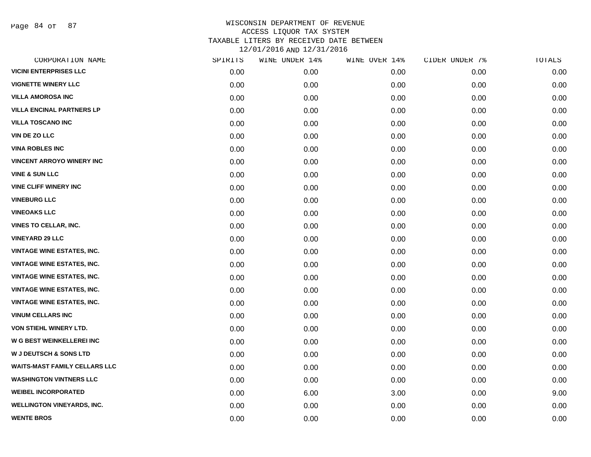Page 84 of 87

| CORPORATION NAME                     | SPIRITS | WINE UNDER 14% | WINE OVER 14% | CIDER UNDER 7% | TOTALS |
|--------------------------------------|---------|----------------|---------------|----------------|--------|
| <b>VICINI ENTERPRISES LLC</b>        | 0.00    | 0.00           | 0.00          | 0.00           | 0.00   |
| <b>VIGNETTE WINERY LLC</b>           | 0.00    | 0.00           | 0.00          | 0.00           | 0.00   |
| VILLA AMOROSA INC                    | 0.00    | 0.00           | 0.00          | 0.00           | 0.00   |
| <b>VILLA ENCINAL PARTNERS LP</b>     | 0.00    | 0.00           | 0.00          | 0.00           | 0.00   |
| <b>VILLA TOSCANO INC</b>             | 0.00    | 0.00           | 0.00          | 0.00           | 0.00   |
| <b>VIN DE ZO LLC</b>                 | 0.00    | 0.00           | 0.00          | 0.00           | 0.00   |
| <b>VINA ROBLES INC</b>               | 0.00    | 0.00           | 0.00          | 0.00           | 0.00   |
| <b>VINCENT ARROYO WINERY INC</b>     | 0.00    | 0.00           | 0.00          | 0.00           | 0.00   |
| <b>VINE &amp; SUN LLC</b>            | 0.00    | 0.00           | 0.00          | 0.00           | 0.00   |
| <b>VINE CLIFF WINERY INC</b>         | 0.00    | 0.00           | 0.00          | 0.00           | 0.00   |
| <b>VINEBURG LLC</b>                  | 0.00    | 0.00           | 0.00          | 0.00           | 0.00   |
| <b>VINEOAKS LLC</b>                  | 0.00    | 0.00           | 0.00          | 0.00           | 0.00   |
| <b>VINES TO CELLAR, INC.</b>         | 0.00    | 0.00           | 0.00          | 0.00           | 0.00   |
| <b>VINEYARD 29 LLC</b>               | 0.00    | 0.00           | 0.00          | 0.00           | 0.00   |
| <b>VINTAGE WINE ESTATES, INC.</b>    | 0.00    | 0.00           | 0.00          | 0.00           | 0.00   |
| <b>VINTAGE WINE ESTATES, INC.</b>    | 0.00    | 0.00           | 0.00          | 0.00           | 0.00   |
| <b>VINTAGE WINE ESTATES, INC.</b>    | 0.00    | 0.00           | 0.00          | 0.00           | 0.00   |
| <b>VINTAGE WINE ESTATES, INC.</b>    | 0.00    | 0.00           | 0.00          | 0.00           | 0.00   |
| <b>VINTAGE WINE ESTATES, INC.</b>    | 0.00    | 0.00           | 0.00          | 0.00           | 0.00   |
| <b>VINUM CELLARS INC</b>             | 0.00    | 0.00           | 0.00          | 0.00           | 0.00   |
| VON STIEHL WINERY LTD.               | 0.00    | 0.00           | 0.00          | 0.00           | 0.00   |
| W G BEST WEINKELLEREI INC            | 0.00    | 0.00           | 0.00          | 0.00           | 0.00   |
| <b>W J DEUTSCH &amp; SONS LTD</b>    | 0.00    | 0.00           | 0.00          | 0.00           | 0.00   |
| <b>WAITS-MAST FAMILY CELLARS LLC</b> | 0.00    | 0.00           | 0.00          | 0.00           | 0.00   |
| <b>WASHINGTON VINTNERS LLC</b>       | 0.00    | 0.00           | 0.00          | 0.00           | 0.00   |
| <b>WEIBEL INCORPORATED</b>           | 0.00    | 6.00           | 3.00          | 0.00           | 9.00   |
| <b>WELLINGTON VINEYARDS, INC.</b>    | 0.00    | 0.00           | 0.00          | 0.00           | 0.00   |
| <b>WENTE BROS</b>                    | 0.00    | 0.00           | 0.00          | 0.00           | 0.00   |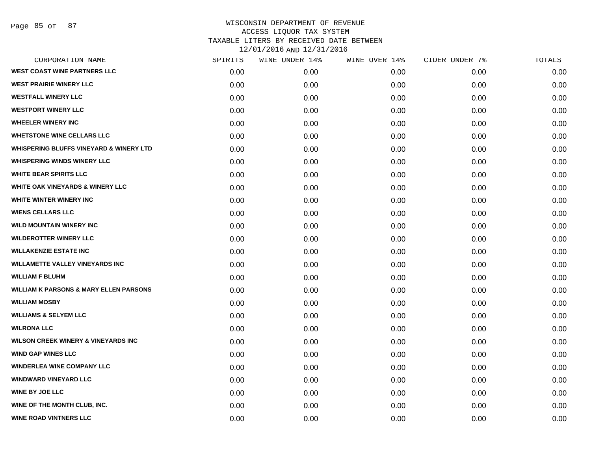Page 85 of 87

| CORPORATION NAME                                   | SPIRITS | WINE UNDER 14% | WINE OVER 14% | CIDER UNDER 7% | TOTALS |
|----------------------------------------------------|---------|----------------|---------------|----------------|--------|
| <b>WEST COAST WINE PARTNERS LLC</b>                | 0.00    | 0.00           | 0.00          | 0.00           | 0.00   |
| <b>WEST PRAIRIE WINERY LLC</b>                     | 0.00    | 0.00           | 0.00          | 0.00           | 0.00   |
| <b>WESTFALL WINERY LLC</b>                         | 0.00    | 0.00           | 0.00          | 0.00           | 0.00   |
| <b>WESTPORT WINERY LLC</b>                         | 0.00    | 0.00           | 0.00          | 0.00           | 0.00   |
| <b>WHEELER WINERY INC</b>                          | 0.00    | 0.00           | 0.00          | 0.00           | 0.00   |
| <b>WHETSTONE WINE CELLARS LLC</b>                  | 0.00    | 0.00           | 0.00          | 0.00           | 0.00   |
| <b>WHISPERING BLUFFS VINEYARD &amp; WINERY LTD</b> | 0.00    | 0.00           | 0.00          | 0.00           | 0.00   |
| <b>WHISPERING WINDS WINERY LLC</b>                 | 0.00    | 0.00           | 0.00          | 0.00           | 0.00   |
| <b>WHITE BEAR SPIRITS LLC</b>                      | 0.00    | 0.00           | 0.00          | 0.00           | 0.00   |
| <b>WHITE OAK VINEYARDS &amp; WINERY LLC</b>        | 0.00    | 0.00           | 0.00          | 0.00           | 0.00   |
| <b>WHITE WINTER WINERY INC</b>                     | 0.00    | 0.00           | 0.00          | 0.00           | 0.00   |
| <b>WIENS CELLARS LLC</b>                           | 0.00    | 0.00           | 0.00          | 0.00           | 0.00   |
| <b>WILD MOUNTAIN WINERY INC</b>                    | 0.00    | 0.00           | 0.00          | 0.00           | 0.00   |
| <b>WILDEROTTER WINERY LLC</b>                      | 0.00    | 0.00           | 0.00          | 0.00           | 0.00   |
| <b>WILLAKENZIE ESTATE INC</b>                      | 0.00    | 0.00           | 0.00          | 0.00           | 0.00   |
| <b>WILLAMETTE VALLEY VINEYARDS INC</b>             | 0.00    | 0.00           | 0.00          | 0.00           | 0.00   |
| <b>WILLIAM F BLUHM</b>                             | 0.00    | 0.00           | 0.00          | 0.00           | 0.00   |
| <b>WILLIAM K PARSONS &amp; MARY ELLEN PARSONS</b>  | 0.00    | 0.00           | 0.00          | 0.00           | 0.00   |
| <b>WILLIAM MOSBY</b>                               | 0.00    | 0.00           | 0.00          | 0.00           | 0.00   |
| <b>WILLIAMS &amp; SELYEM LLC</b>                   | 0.00    | 0.00           | 0.00          | 0.00           | 0.00   |
| <b>WILRONA LLC</b>                                 | 0.00    | 0.00           | 0.00          | 0.00           | 0.00   |
| <b>WILSON CREEK WINERY &amp; VINEYARDS INC</b>     | 0.00    | 0.00           | 0.00          | 0.00           | 0.00   |
| <b>WIND GAP WINES LLC</b>                          | 0.00    | 0.00           | 0.00          | 0.00           | 0.00   |
| <b>WINDERLEA WINE COMPANY LLC</b>                  | 0.00    | 0.00           | 0.00          | 0.00           | 0.00   |
| <b>WINDWARD VINEYARD LLC</b>                       | 0.00    | 0.00           | 0.00          | 0.00           | 0.00   |
| <b>WINE BY JOE LLC</b>                             | 0.00    | 0.00           | 0.00          | 0.00           | 0.00   |
| WINE OF THE MONTH CLUB, INC.                       | 0.00    | 0.00           | 0.00          | 0.00           | 0.00   |
| <b>WINE ROAD VINTNERS LLC</b>                      | 0.00    | 0.00           | 0.00          | 0.00           | 0.00   |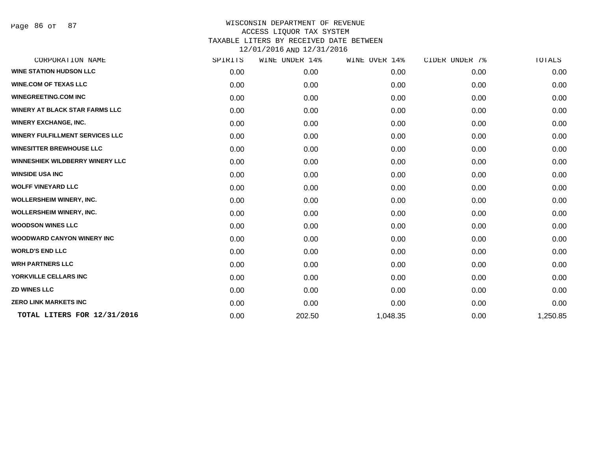Page 86 of 87

| CORPORATION NAME                       | SPIRITS | WINE UNDER 14% | WINE OVER 14% | CIDER UNDER 7% | TOTALS   |
|----------------------------------------|---------|----------------|---------------|----------------|----------|
| <b>WINE STATION HUDSON LLC</b>         | 0.00    | 0.00           | 0.00          | 0.00           | 0.00     |
| <b>WINE.COM OF TEXAS LLC</b>           | 0.00    | 0.00           | 0.00          | 0.00           | 0.00     |
| <b>WINEGREETING.COM INC</b>            | 0.00    | 0.00           | 0.00          | 0.00           | 0.00     |
| <b>WINERY AT BLACK STAR FARMS LLC</b>  | 0.00    | 0.00           | 0.00          | 0.00           | 0.00     |
| <b>WINERY EXCHANGE, INC.</b>           | 0.00    | 0.00           | 0.00          | 0.00           | 0.00     |
| <b>WINERY FULFILLMENT SERVICES LLC</b> | 0.00    | 0.00           | 0.00          | 0.00           | 0.00     |
| <b>WINESITTER BREWHOUSE LLC</b>        | 0.00    | 0.00           | 0.00          | 0.00           | 0.00     |
| <b>WINNESHIEK WILDBERRY WINERY LLC</b> | 0.00    | 0.00           | 0.00          | 0.00           | 0.00     |
| <b>WINSIDE USA INC</b>                 | 0.00    | 0.00           | 0.00          | 0.00           | 0.00     |
| <b>WOLFF VINEYARD LLC</b>              | 0.00    | 0.00           | 0.00          | 0.00           | 0.00     |
| <b>WOLLERSHEIM WINERY, INC.</b>        | 0.00    | 0.00           | 0.00          | 0.00           | 0.00     |
| <b>WOLLERSHEIM WINERY, INC.</b>        | 0.00    | 0.00           | 0.00          | 0.00           | 0.00     |
| <b>WOODSON WINES LLC</b>               | 0.00    | 0.00           | 0.00          | 0.00           | 0.00     |
| <b>WOODWARD CANYON WINERY INC.</b>     | 0.00    | 0.00           | 0.00          | 0.00           | 0.00     |
| <b>WORLD'S END LLC</b>                 | 0.00    | 0.00           | 0.00          | 0.00           | 0.00     |
| <b>WRH PARTNERS LLC</b>                | 0.00    | 0.00           | 0.00          | 0.00           | 0.00     |
| YORKVILLE CELLARS INC                  | 0.00    | 0.00           | 0.00          | 0.00           | 0.00     |
| <b>ZD WINES LLC</b>                    | 0.00    | 0.00           | 0.00          | 0.00           | 0.00     |
| <b>ZERO LINK MARKETS INC</b>           | 0.00    | 0.00           | 0.00          | 0.00           | 0.00     |
| TOTAL LITERS FOR 12/31/2016            | 0.00    | 202.50         | 1,048.35      | 0.00           | 1,250.85 |